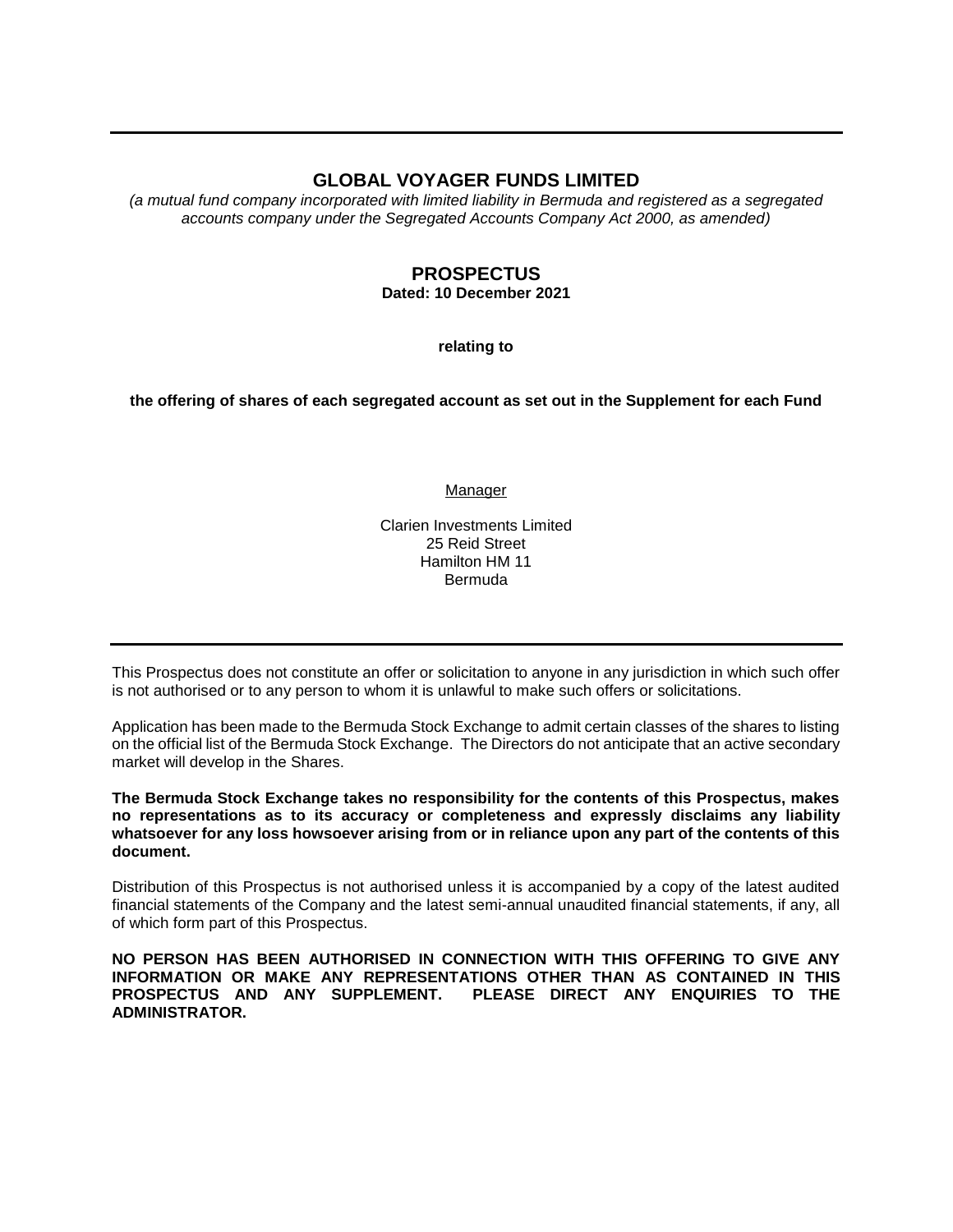# **GLOBAL VOYAGER FUNDS LIMITED**

*(a mutual fund company incorporated with limited liability in Bermuda and registered as a segregated accounts company under the Segregated Accounts Company Act 2000, as amended)*

# **PROSPECTUS**

**Dated: 10 December 2021**

## **relating to**

**the offering of shares of each segregated account as set out in the Supplement for each Fund**

Manager

Clarien Investments Limited 25 Reid Street Hamilton HM 11 Bermuda

This Prospectus does not constitute an offer or solicitation to anyone in any jurisdiction in which such offer is not authorised or to any person to whom it is unlawful to make such offers or solicitations.

Application has been made to the Bermuda Stock Exchange to admit certain classes of the shares to listing on the official list of the Bermuda Stock Exchange. The Directors do not anticipate that an active secondary market will develop in the Shares.

**The Bermuda Stock Exchange takes no responsibility for the contents of this Prospectus, makes no representations as to its accuracy or completeness and expressly disclaims any liability whatsoever for any loss howsoever arising from or in reliance upon any part of the contents of this document.**

Distribution of this Prospectus is not authorised unless it is accompanied by a copy of the latest audited financial statements of the Company and the latest semi-annual unaudited financial statements, if any, all of which form part of this Prospectus.

**NO PERSON HAS BEEN AUTHORISED IN CONNECTION WITH THIS OFFERING TO GIVE ANY INFORMATION OR MAKE ANY REPRESENTATIONS OTHER THAN AS CONTAINED IN THIS PROSPECTUS AND ANY SUPPLEMENT. PLEASE DIRECT ANY ENQUIRIES TO THE ADMINISTRATOR.**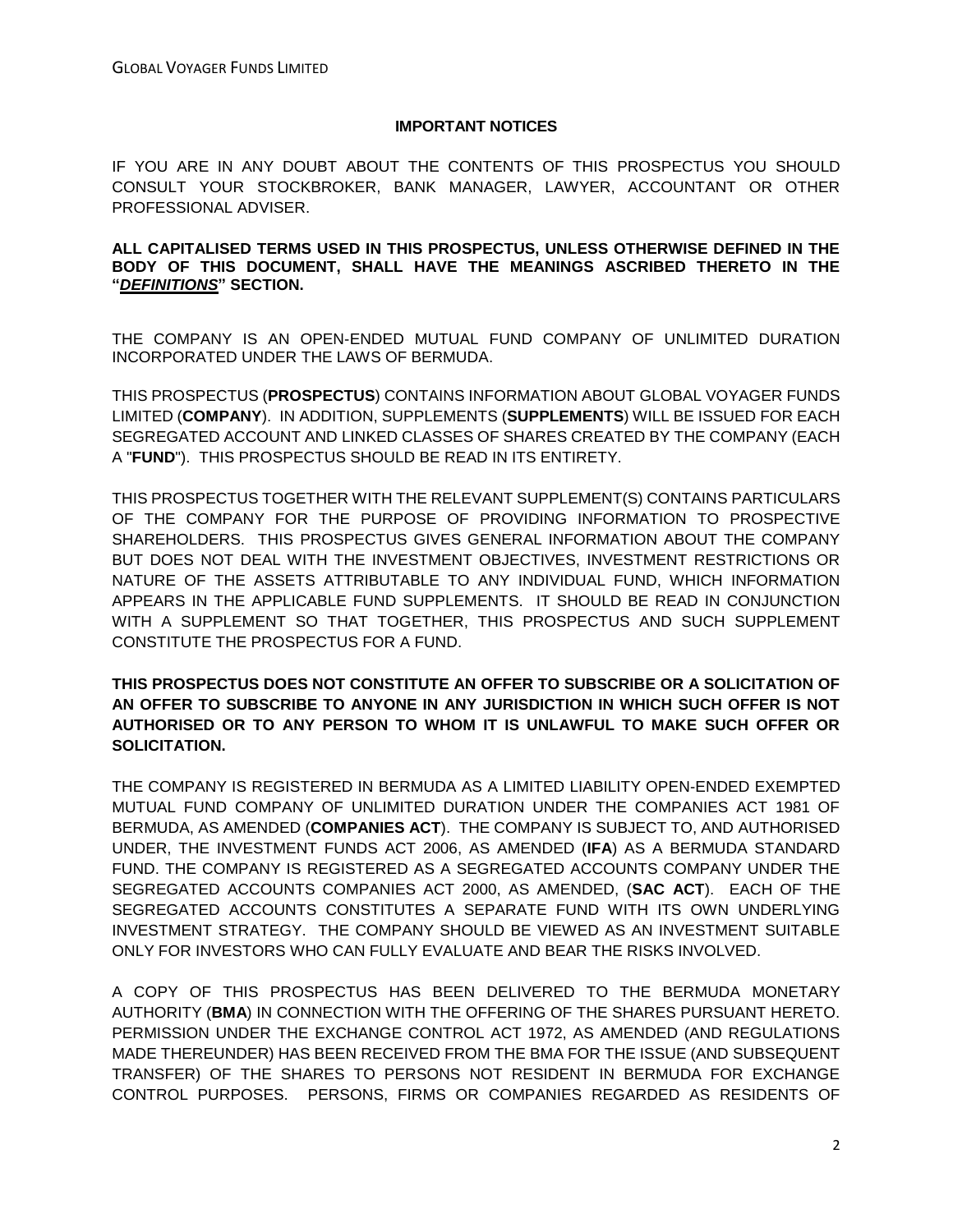### **IMPORTANT NOTICES**

IF YOU ARE IN ANY DOUBT ABOUT THE CONTENTS OF THIS PROSPECTUS YOU SHOULD CONSULT YOUR STOCKBROKER, BANK MANAGER, LAWYER, ACCOUNTANT OR OTHER PROFESSIONAL ADVISER.

## **ALL CAPITALISED TERMS USED IN THIS PROSPECTUS, UNLESS OTHERWISE DEFINED IN THE BODY OF THIS DOCUMENT, SHALL HAVE THE MEANINGS ASCRIBED THERETO IN THE "***DEFINITIONS***" SECTION.**

THE COMPANY IS AN OPEN-ENDED MUTUAL FUND COMPANY OF UNLIMITED DURATION INCORPORATED UNDER THE LAWS OF BERMUDA.

<span id="page-1-2"></span><span id="page-1-1"></span>THIS PROSPECTUS (**PROSPECTUS**) CONTAINS INFORMATION ABOUT GLOBAL VOYAGER FUNDS LIMITED (**COMPANY**). IN ADDITION, SUPPLEMENTS (**SUPPLEMENTS**) WILL BE ISSUED FOR EACH SEGREGATED ACCOUNT AND LINKED CLASSES OF SHARES CREATED BY THE COMPANY (EACH A "**FUND**"). THIS PROSPECTUS SHOULD BE READ IN ITS ENTIRETY.

THIS PROSPECTUS TOGETHER WITH THE RELEVANT SUPPLEMENT(S) CONTAINS PARTICULARS OF THE COMPANY FOR THE PURPOSE OF PROVIDING INFORMATION TO PROSPECTIVE SHAREHOLDERS. THIS PROSPECTUS GIVES GENERAL INFORMATION ABOUT THE COMPANY BUT DOES NOT DEAL WITH THE INVESTMENT OBJECTIVES, INVESTMENT RESTRICTIONS OR NATURE OF THE ASSETS ATTRIBUTABLE TO ANY INDIVIDUAL FUND, WHICH INFORMATION APPEARS IN THE APPLICABLE FUND SUPPLEMENTS. IT SHOULD BE READ IN CONJUNCTION WITH A SUPPLEMENT SO THAT TOGETHER, THIS PROSPECTUS AND SUCH SUPPLEMENT CONSTITUTE THE PROSPECTUS FOR A FUND.

# **THIS PROSPECTUS DOES NOT CONSTITUTE AN OFFER TO SUBSCRIBE OR A SOLICITATION OF AN OFFER TO SUBSCRIBE TO ANYONE IN ANY JURISDICTION IN WHICH SUCH OFFER IS NOT AUTHORISED OR TO ANY PERSON TO WHOM IT IS UNLAWFUL TO MAKE SUCH OFFER OR SOLICITATION.**

THE COMPANY IS REGISTERED IN BERMUDA AS A LIMITED LIABILITY OPEN-ENDED EXEMPTED MUTUAL FUND COMPANY OF UNLIMITED DURATION UNDER THE COMPANIES ACT 1981 OF BERMUDA, AS AMENDED (**COMPANIES ACT**). THE COMPANY IS SUBJECT TO, AND AUTHORISED UNDER, THE INVESTMENT FUNDS ACT 2006, AS AMENDED (**IFA**) AS A BERMUDA STANDARD FUND. THE COMPANY IS REGISTERED AS A SEGREGATED ACCOUNTS COMPANY UNDER THE SEGREGATED ACCOUNTS COMPANIES ACT 2000, AS AMENDED, (**SAC ACT**). EACH OF THE SEGREGATED ACCOUNTS CONSTITUTES A SEPARATE FUND WITH ITS OWN UNDERLYING INVESTMENT STRATEGY. THE COMPANY SHOULD BE VIEWED AS AN INVESTMENT SUITABLE ONLY FOR INVESTORS WHO CAN FULLY EVALUATE AND BEAR THE RISKS INVOLVED.

<span id="page-1-0"></span>A COPY OF THIS PROSPECTUS HAS BEEN DELIVERED TO THE BERMUDA MONETARY AUTHORITY (**BMA**) IN CONNECTION WITH THE OFFERING OF THE SHARES PURSUANT HERETO. PERMISSION UNDER THE EXCHANGE CONTROL ACT 1972, AS AMENDED (AND REGULATIONS MADE THEREUNDER) HAS BEEN RECEIVED FROM THE BMA FOR THE ISSUE (AND SUBSEQUENT TRANSFER) OF THE SHARES TO PERSONS NOT RESIDENT IN BERMUDA FOR EXCHANGE CONTROL PURPOSES. PERSONS, FIRMS OR COMPANIES REGARDED AS RESIDENTS OF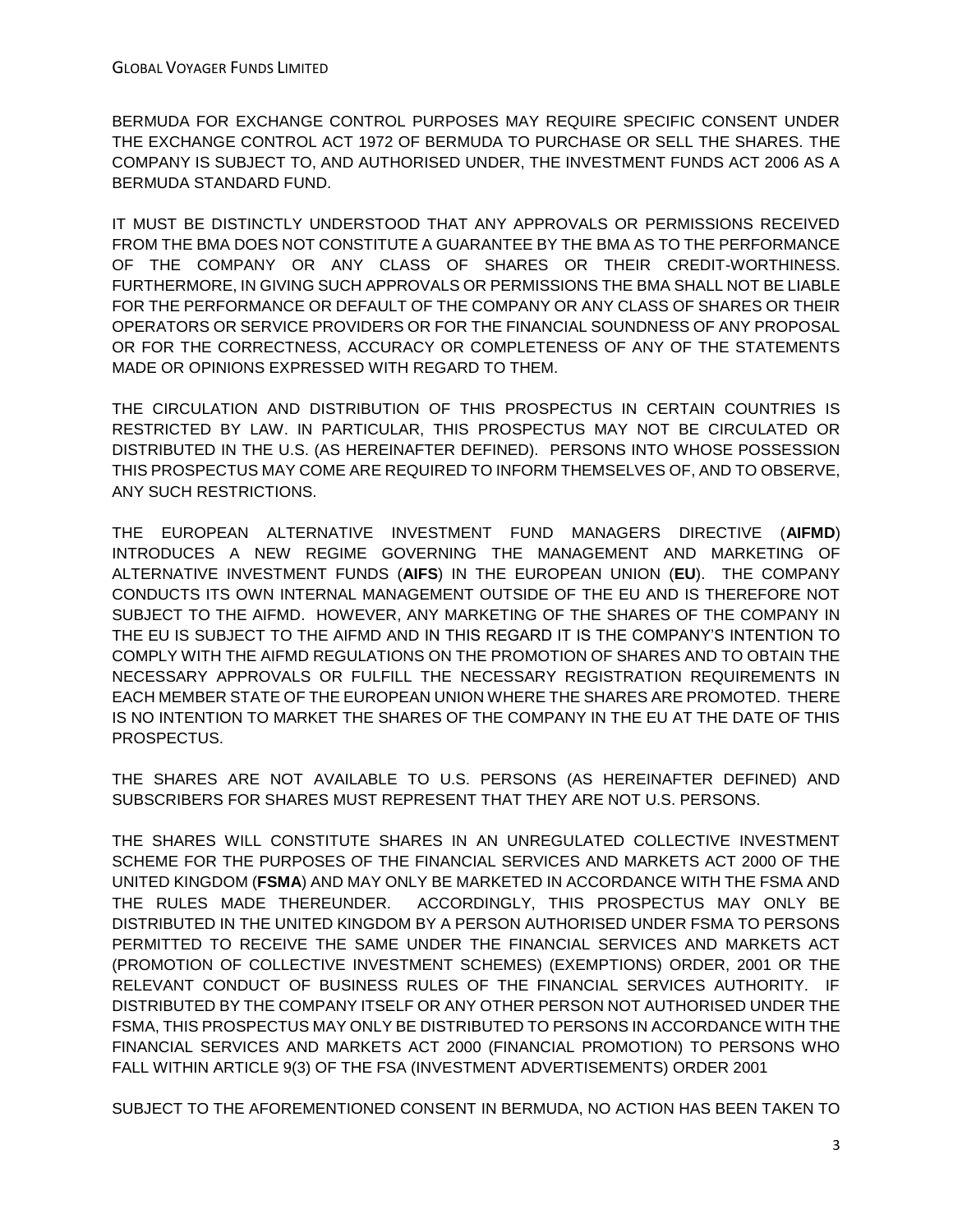BERMUDA FOR EXCHANGE CONTROL PURPOSES MAY REQUIRE SPECIFIC CONSENT UNDER THE EXCHANGE CONTROL ACT 1972 OF BERMUDA TO PURCHASE OR SELL THE SHARES. THE COMPANY IS SUBJECT TO, AND AUTHORISED UNDER, THE INVESTMENT FUNDS ACT 2006 AS A BERMUDA STANDARD FUND.

IT MUST BE DISTINCTLY UNDERSTOOD THAT ANY APPROVALS OR PERMISSIONS RECEIVED FROM THE BMA DOES NOT CONSTITUTE A GUARANTEE BY THE BMA AS TO THE PERFORMANCE OF THE COMPANY OR ANY CLASS OF SHARES OR THEIR CREDIT-WORTHINESS. FURTHERMORE, IN GIVING SUCH APPROVALS OR PERMISSIONS THE BMA SHALL NOT BE LIABLE FOR THE PERFORMANCE OR DEFAULT OF THE COMPANY OR ANY CLASS OF SHARES OR THEIR OPERATORS OR SERVICE PROVIDERS OR FOR THE FINANCIAL SOUNDNESS OF ANY PROPOSAL OR FOR THE CORRECTNESS, ACCURACY OR COMPLETENESS OF ANY OF THE STATEMENTS MADE OR OPINIONS EXPRESSED WITH REGARD TO THEM.

THE CIRCULATION AND DISTRIBUTION OF THIS PROSPECTUS IN CERTAIN COUNTRIES IS RESTRICTED BY LAW. IN PARTICULAR, THIS PROSPECTUS MAY NOT BE CIRCULATED OR DISTRIBUTED IN THE U.S. (AS HEREINAFTER DEFINED). PERSONS INTO WHOSE POSSESSION THIS PROSPECTUS MAY COME ARE REQUIRED TO INFORM THEMSELVES OF, AND TO OBSERVE, ANY SUCH RESTRICTIONS.

THE EUROPEAN ALTERNATIVE INVESTMENT FUND MANAGERS DIRECTIVE (**AIFMD**) INTRODUCES A NEW REGIME GOVERNING THE MANAGEMENT AND MARKETING OF ALTERNATIVE INVESTMENT FUNDS (**AIFS**) IN THE EUROPEAN UNION (**EU**). THE COMPANY CONDUCTS ITS OWN INTERNAL MANAGEMENT OUTSIDE OF THE EU AND IS THEREFORE NOT SUBJECT TO THE AIFMD. HOWEVER, ANY MARKETING OF THE SHARES OF THE COMPANY IN THE EU IS SUBJECT TO THE AIFMD AND IN THIS REGARD IT IS THE COMPANY'S INTENTION TO COMPLY WITH THE AIFMD REGULATIONS ON THE PROMOTION OF SHARES AND TO OBTAIN THE NECESSARY APPROVALS OR FULFILL THE NECESSARY REGISTRATION REQUIREMENTS IN EACH MEMBER STATE OF THE EUROPEAN UNION WHERE THE SHARES ARE PROMOTED. THERE IS NO INTENTION TO MARKET THE SHARES OF THE COMPANY IN THE EU AT THE DATE OF THIS PROSPECTUS.

THE SHARES ARE NOT AVAILABLE TO U.S. PERSONS (AS HEREINAFTER DEFINED) AND SUBSCRIBERS FOR SHARES MUST REPRESENT THAT THEY ARE NOT U.S. PERSONS.

<span id="page-2-0"></span>THE SHARES WILL CONSTITUTE SHARES IN AN UNREGULATED COLLECTIVE INVESTMENT SCHEME FOR THE PURPOSES OF THE FINANCIAL SERVICES AND MARKETS ACT 2000 OF THE UNITED KINGDOM (**FSMA**) AND MAY ONLY BE MARKETED IN ACCORDANCE WITH THE FSMA AND THE RULES MADE THEREUNDER. ACCORDINGLY, THIS PROSPECTUS MAY ONLY BE DISTRIBUTED IN THE UNITED KINGDOM BY A PERSON AUTHORISED UNDER FSMA TO PERSONS PERMITTED TO RECEIVE THE SAME UNDER THE FINANCIAL SERVICES AND MARKETS ACT (PROMOTION OF COLLECTIVE INVESTMENT SCHEMES) (EXEMPTIONS) ORDER, 2001 OR THE RELEVANT CONDUCT OF BUSINESS RULES OF THE FINANCIAL SERVICES AUTHORITY. IF DISTRIBUTED BY THE COMPANY ITSELF OR ANY OTHER PERSON NOT AUTHORISED UNDER THE FSMA, THIS PROSPECTUS MAY ONLY BE DISTRIBUTED TO PERSONS IN ACCORDANCE WITH THE FINANCIAL SERVICES AND MARKETS ACT 2000 (FINANCIAL PROMOTION) TO PERSONS WHO FALL WITHIN ARTICLE 9(3) OF THE FSA (INVESTMENT ADVERTISEMENTS) ORDER 2001

SUBJECT TO THE AFOREMENTIONED CONSENT IN BERMUDA, NO ACTION HAS BEEN TAKEN TO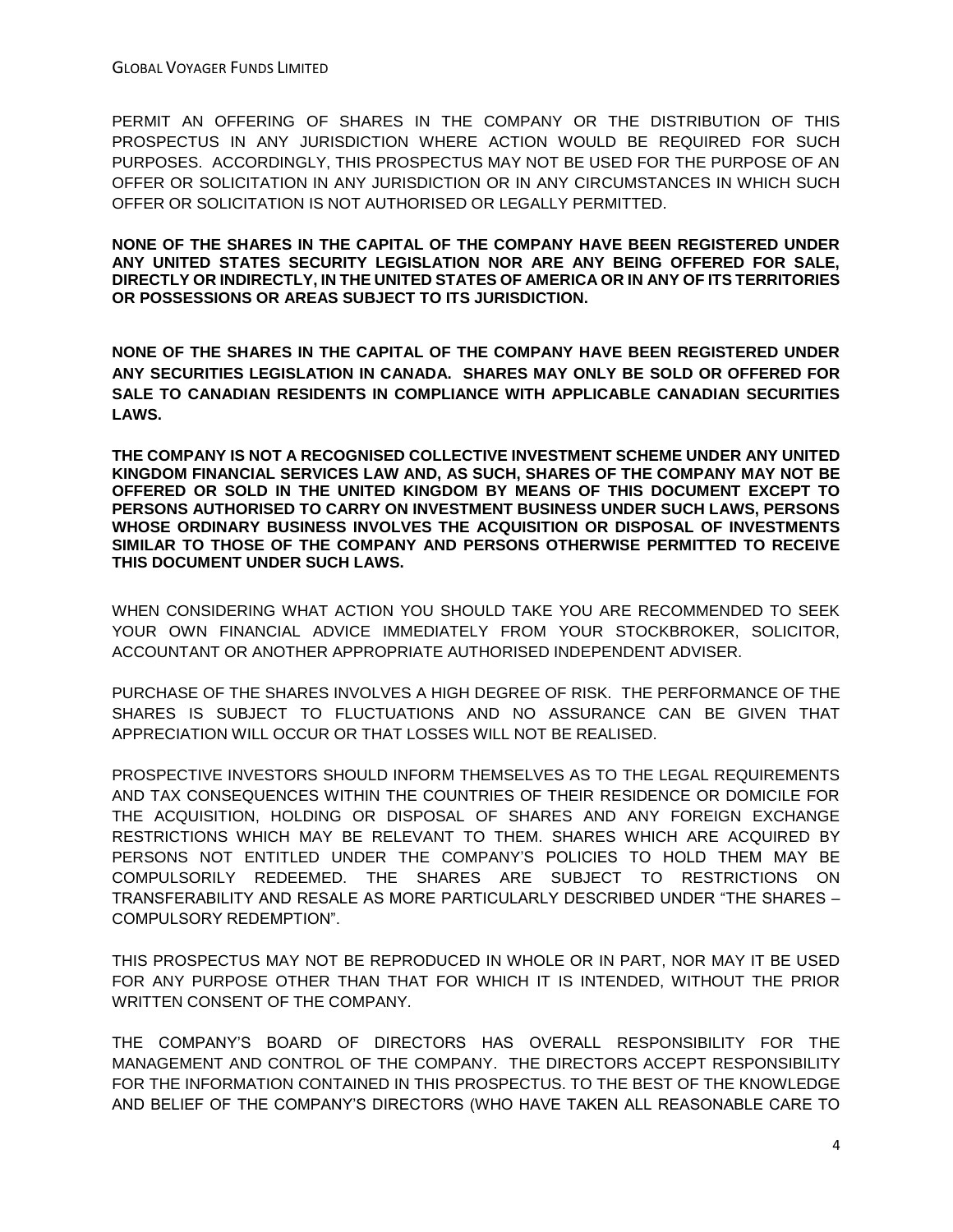PERMIT AN OFFERING OF SHARES IN THE COMPANY OR THE DISTRIBUTION OF THIS PROSPECTUS IN ANY JURISDICTION WHERE ACTION WOULD BE REQUIRED FOR SUCH PURPOSES. ACCORDINGLY, THIS PROSPECTUS MAY NOT BE USED FOR THE PURPOSE OF AN OFFER OR SOLICITATION IN ANY JURISDICTION OR IN ANY CIRCUMSTANCES IN WHICH SUCH OFFER OR SOLICITATION IS NOT AUTHORISED OR LEGALLY PERMITTED.

**NONE OF THE SHARES IN THE CAPITAL OF THE COMPANY HAVE BEEN REGISTERED UNDER ANY UNITED STATES SECURITY LEGISLATION NOR ARE ANY BEING OFFERED FOR SALE, DIRECTLY OR INDIRECTLY, IN THE UNITED STATES OF AMERICA OR IN ANY OF ITS TERRITORIES OR POSSESSIONS OR AREAS SUBJECT TO ITS JURISDICTION.**

**NONE OF THE SHARES IN THE CAPITAL OF THE COMPANY HAVE BEEN REGISTERED UNDER ANY SECURITIES LEGISLATION IN CANADA. SHARES MAY ONLY BE SOLD OR OFFERED FOR SALE TO CANADIAN RESIDENTS IN COMPLIANCE WITH APPLICABLE CANADIAN SECURITIES LAWS.**

**THE COMPANY IS NOT A RECOGNISED COLLECTIVE INVESTMENT SCHEME UNDER ANY UNITED KINGDOM FINANCIAL SERVICES LAW AND, AS SUCH, SHARES OF THE COMPANY MAY NOT BE OFFERED OR SOLD IN THE UNITED KINGDOM BY MEANS OF THIS DOCUMENT EXCEPT TO PERSONS AUTHORISED TO CARRY ON INVESTMENT BUSINESS UNDER SUCH LAWS, PERSONS WHOSE ORDINARY BUSINESS INVOLVES THE ACQUISITION OR DISPOSAL OF INVESTMENTS SIMILAR TO THOSE OF THE COMPANY AND PERSONS OTHERWISE PERMITTED TO RECEIVE THIS DOCUMENT UNDER SUCH LAWS.**

WHEN CONSIDERING WHAT ACTION YOU SHOULD TAKE YOU ARE RECOMMENDED TO SEEK YOUR OWN FINANCIAL ADVICE IMMEDIATELY FROM YOUR STOCKBROKER, SOLICITOR, ACCOUNTANT OR ANOTHER APPROPRIATE AUTHORISED INDEPENDENT ADVISER.

PURCHASE OF THE SHARES INVOLVES A HIGH DEGREE OF RISK. THE PERFORMANCE OF THE SHARES IS SUBJECT TO FLUCTUATIONS AND NO ASSURANCE CAN BE GIVEN THAT APPRECIATION WILL OCCUR OR THAT LOSSES WILL NOT BE REALISED.

PROSPECTIVE INVESTORS SHOULD INFORM THEMSELVES AS TO THE LEGAL REQUIREMENTS AND TAX CONSEQUENCES WITHIN THE COUNTRIES OF THEIR RESIDENCE OR DOMICILE FOR THE ACQUISITION, HOLDING OR DISPOSAL OF SHARES AND ANY FOREIGN EXCHANGE RESTRICTIONS WHICH MAY BE RELEVANT TO THEM. SHARES WHICH ARE ACQUIRED BY PERSONS NOT ENTITLED UNDER THE COMPANY'S POLICIES TO HOLD THEM MAY BE COMPULSORILY REDEEMED. THE SHARES ARE SUBJECT TO RESTRICTIONS ON TRANSFERABILITY AND RESALE AS MORE PARTICULARLY DESCRIBED UNDER "THE SHARES – COMPULSORY REDEMPTION".

THIS PROSPECTUS MAY NOT BE REPRODUCED IN WHOLE OR IN PART, NOR MAY IT BE USED FOR ANY PURPOSE OTHER THAN THAT FOR WHICH IT IS INTENDED, WITHOUT THE PRIOR WRITTEN CONSENT OF THE COMPANY.

THE COMPANY'S BOARD OF DIRECTORS HAS OVERALL RESPONSIBILITY FOR THE MANAGEMENT AND CONTROL OF THE COMPANY. THE DIRECTORS ACCEPT RESPONSIBILITY FOR THE INFORMATION CONTAINED IN THIS PROSPECTUS. TO THE BEST OF THE KNOWLEDGE AND BELIEF OF THE COMPANY'S DIRECTORS (WHO HAVE TAKEN ALL REASONABLE CARE TO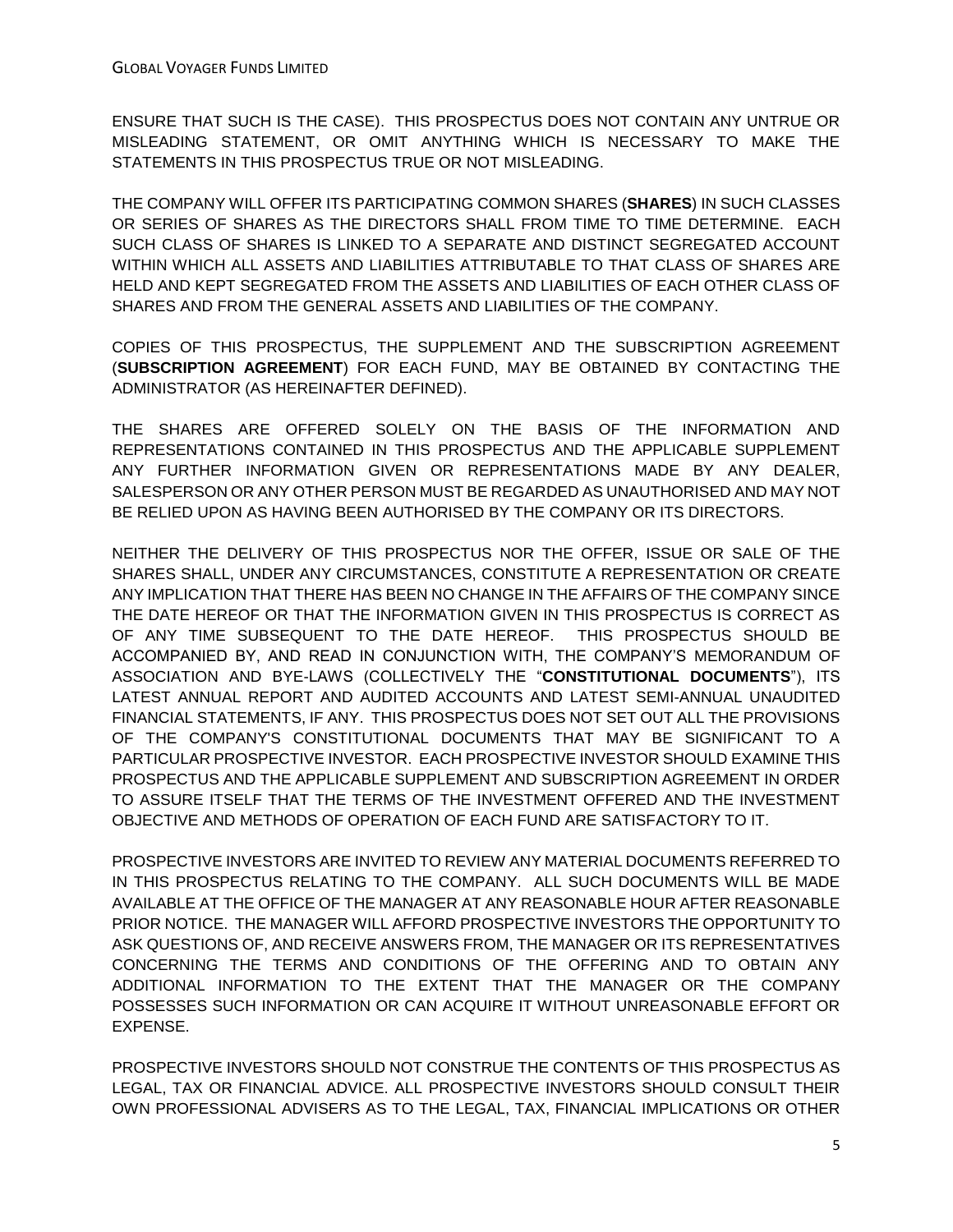ENSURE THAT SUCH IS THE CASE). THIS PROSPECTUS DOES NOT CONTAIN ANY UNTRUE OR MISLEADING STATEMENT, OR OMIT ANYTHING WHICH IS NECESSARY TO MAKE THE STATEMENTS IN THIS PROSPECTUS TRUE OR NOT MISLEADING.

THE COMPANY WILL OFFER ITS PARTICIPATING COMMON SHARES (**SHARES**) IN SUCH CLASSES OR SERIES OF SHARES AS THE DIRECTORS SHALL FROM TIME TO TIME DETERMINE. EACH SUCH CLASS OF SHARES IS LINKED TO A SEPARATE AND DISTINCT SEGREGATED ACCOUNT WITHIN WHICH ALL ASSETS AND LIABILITIES ATTRIBUTABLE TO THAT CLASS OF SHARES ARE HELD AND KEPT SEGREGATED FROM THE ASSETS AND LIABILITIES OF EACH OTHER CLASS OF SHARES AND FROM THE GENERAL ASSETS AND LIABILITIES OF THE COMPANY.

COPIES OF THIS PROSPECTUS, THE SUPPLEMENT AND THE SUBSCRIPTION AGREEMENT (**SUBSCRIPTION AGREEMENT**) FOR EACH FUND, MAY BE OBTAINED BY CONTACTING THE ADMINISTRATOR (AS HEREINAFTER DEFINED).

THE SHARES ARE OFFERED SOLELY ON THE BASIS OF THE INFORMATION AND REPRESENTATIONS CONTAINED IN THIS PROSPECTUS AND THE APPLICABLE SUPPLEMENT ANY FURTHER INFORMATION GIVEN OR REPRESENTATIONS MADE BY ANY DEALER, SALESPERSON OR ANY OTHER PERSON MUST BE REGARDED AS UNAUTHORISED AND MAY NOT BE RELIED UPON AS HAVING BEEN AUTHORISED BY THE COMPANY OR ITS DIRECTORS.

<span id="page-4-0"></span>NEITHER THE DELIVERY OF THIS PROSPECTUS NOR THE OFFER, ISSUE OR SALE OF THE SHARES SHALL, UNDER ANY CIRCUMSTANCES, CONSTITUTE A REPRESENTATION OR CREATE ANY IMPLICATION THAT THERE HAS BEEN NO CHANGE IN THE AFFAIRS OF THE COMPANY SINCE THE DATE HEREOF OR THAT THE INFORMATION GIVEN IN THIS PROSPECTUS IS CORRECT AS OF ANY TIME SUBSEQUENT TO THE DATE HEREOF. THIS PROSPECTUS SHOULD BE ACCOMPANIED BY, AND READ IN CONJUNCTION WITH, THE COMPANY'S MEMORANDUM OF ASSOCIATION AND BYE-LAWS (COLLECTIVELY THE "**CONSTITUTIONAL DOCUMENTS**"), ITS LATEST ANNUAL REPORT AND AUDITED ACCOUNTS AND LATEST SEMI-ANNUAL UNAUDITED FINANCIAL STATEMENTS, IF ANY. THIS PROSPECTUS DOES NOT SET OUT ALL THE PROVISIONS OF THE COMPANY'S CONSTITUTIONAL DOCUMENTS THAT MAY BE SIGNIFICANT TO A PARTICULAR PROSPECTIVE INVESTOR. EACH PROSPECTIVE INVESTOR SHOULD EXAMINE THIS PROSPECTUS AND THE APPLICABLE SUPPLEMENT AND SUBSCRIPTION AGREEMENT IN ORDER TO ASSURE ITSELF THAT THE TERMS OF THE INVESTMENT OFFERED AND THE INVESTMENT OBJECTIVE AND METHODS OF OPERATION OF EACH FUND ARE SATISFACTORY TO IT.

PROSPECTIVE INVESTORS ARE INVITED TO REVIEW ANY MATERIAL DOCUMENTS REFERRED TO IN THIS PROSPECTUS RELATING TO THE COMPANY. ALL SUCH DOCUMENTS WILL BE MADE AVAILABLE AT THE OFFICE OF THE MANAGER AT ANY REASONABLE HOUR AFTER REASONABLE PRIOR NOTICE. THE MANAGER WILL AFFORD PROSPECTIVE INVESTORS THE OPPORTUNITY TO ASK QUESTIONS OF, AND RECEIVE ANSWERS FROM, THE MANAGER OR ITS REPRESENTATIVES CONCERNING THE TERMS AND CONDITIONS OF THE OFFERING AND TO OBTAIN ANY ADDITIONAL INFORMATION TO THE EXTENT THAT THE MANAGER OR THE COMPANY POSSESSES SUCH INFORMATION OR CAN ACQUIRE IT WITHOUT UNREASONABLE EFFORT OR EXPENSE.

PROSPECTIVE INVESTORS SHOULD NOT CONSTRUE THE CONTENTS OF THIS PROSPECTUS AS LEGAL, TAX OR FINANCIAL ADVICE. ALL PROSPECTIVE INVESTORS SHOULD CONSULT THEIR OWN PROFESSIONAL ADVISERS AS TO THE LEGAL, TAX, FINANCIAL IMPLICATIONS OR OTHER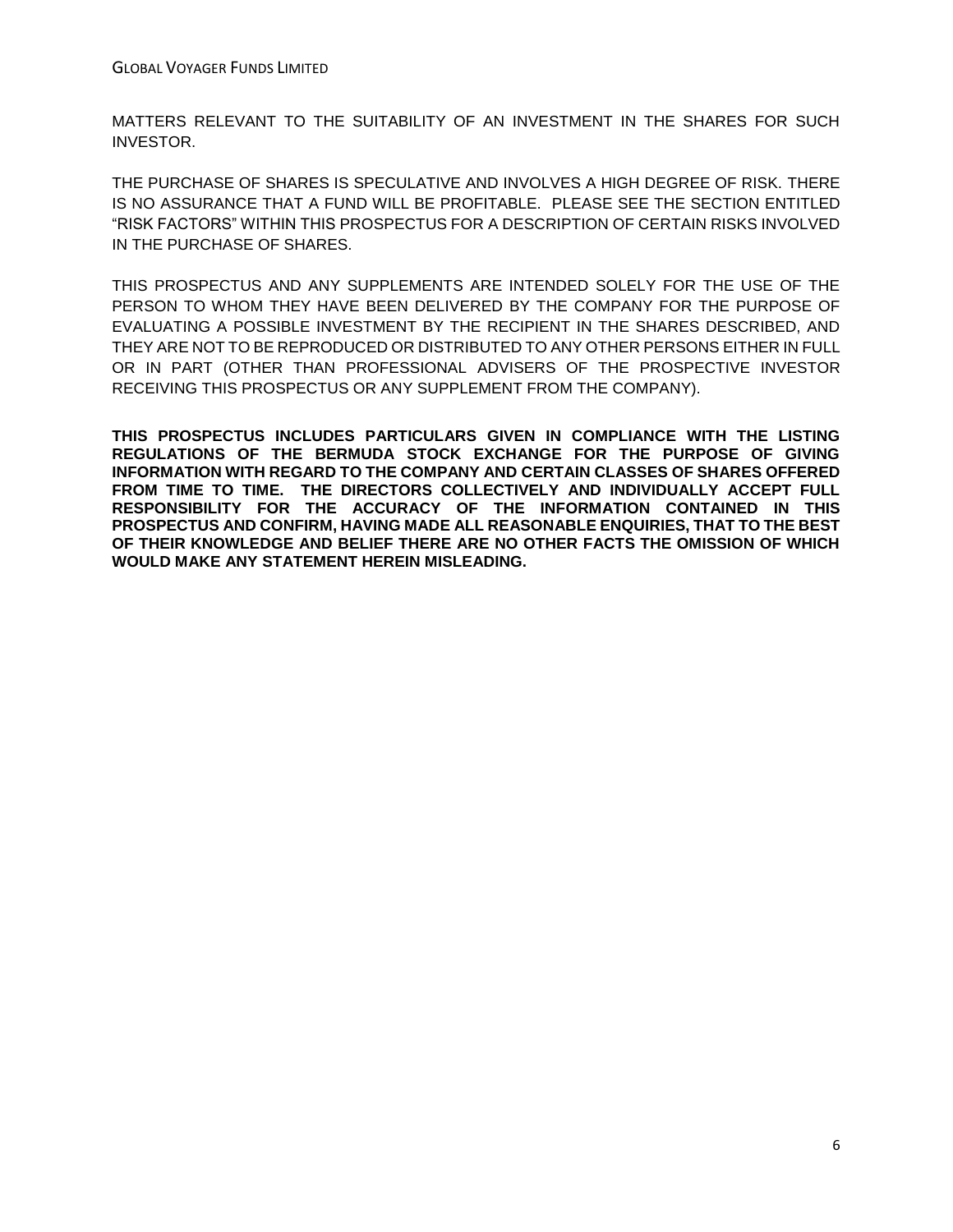MATTERS RELEVANT TO THE SUITABILITY OF AN INVESTMENT IN THE SHARES FOR SUCH INVESTOR.

THE PURCHASE OF SHARES IS SPECULATIVE AND INVOLVES A HIGH DEGREE OF RISK. THERE IS NO ASSURANCE THAT A FUND WILL BE PROFITABLE. PLEASE SEE THE SECTION ENTITLED "RISK FACTORS" WITHIN THIS PROSPECTUS FOR A DESCRIPTION OF CERTAIN RISKS INVOLVED IN THE PURCHASE OF SHARES.

THIS PROSPECTUS AND ANY SUPPLEMENTS ARE INTENDED SOLELY FOR THE USE OF THE PERSON TO WHOM THEY HAVE BEEN DELIVERED BY THE COMPANY FOR THE PURPOSE OF EVALUATING A POSSIBLE INVESTMENT BY THE RECIPIENT IN THE SHARES DESCRIBED, AND THEY ARE NOT TO BE REPRODUCED OR DISTRIBUTED TO ANY OTHER PERSONS EITHER IN FULL OR IN PART (OTHER THAN PROFESSIONAL ADVISERS OF THE PROSPECTIVE INVESTOR RECEIVING THIS PROSPECTUS OR ANY SUPPLEMENT FROM THE COMPANY).

**THIS PROSPECTUS INCLUDES PARTICULARS GIVEN IN COMPLIANCE WITH THE LISTING REGULATIONS OF THE BERMUDA STOCK EXCHANGE FOR THE PURPOSE OF GIVING INFORMATION WITH REGARD TO THE COMPANY AND CERTAIN CLASSES OF SHARES OFFERED FROM TIME TO TIME. THE DIRECTORS COLLECTIVELY AND INDIVIDUALLY ACCEPT FULL RESPONSIBILITY FOR THE ACCURACY OF THE INFORMATION CONTAINED IN THIS PROSPECTUS AND CONFIRM, HAVING MADE ALL REASONABLE ENQUIRIES, THAT TO THE BEST OF THEIR KNOWLEDGE AND BELIEF THERE ARE NO OTHER FACTS THE OMISSION OF WHICH WOULD MAKE ANY STATEMENT HEREIN MISLEADING.**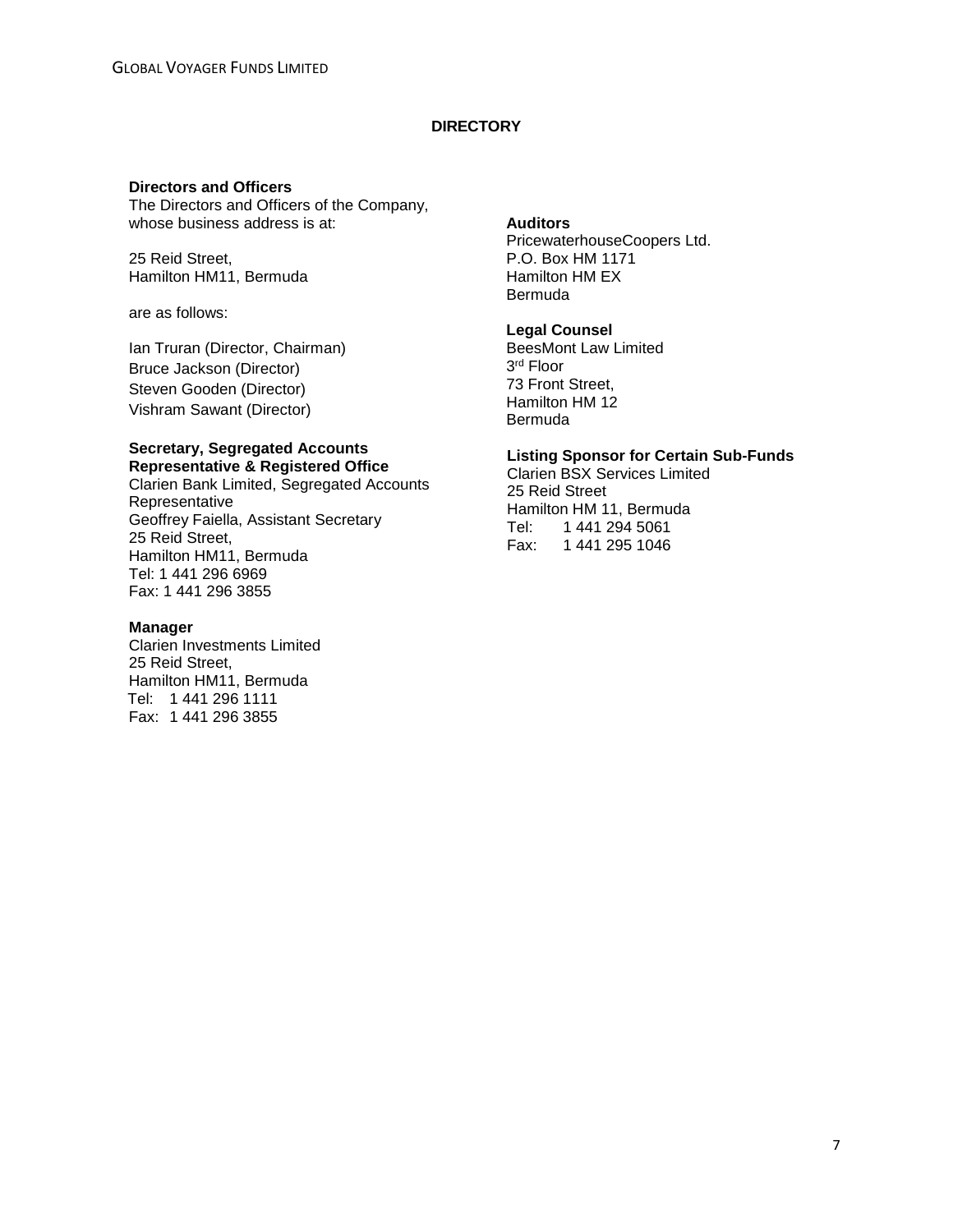# **DIRECTORY**

### **Directors and Officers**

The Directors and Officers of the Company, whose business address is at:

25 Reid Street, Hamilton HM11, Bermuda

are as follows:

Ian Truran (Director, Chairman) Bruce Jackson (Director) Steven Gooden (Director) Vishram Sawant (Director)

#### **Secretary, Segregated Accounts Representative & Registered Office**

Clarien Bank Limited, Segregated Accounts **Representative** Geoffrey Faiella, Assistant Secretary 25 Reid Street, Hamilton HM11, Bermuda Tel: 1 441 296 6969 Fax: 1 441 296 3855

#### **Manager**

Clarien Investments Limited 25 Reid Street, Hamilton HM11, Bermuda Tel: 1 441 296 1111 Fax: 1 441 296 3855

### **Auditors**

PricewaterhouseCoopers Ltd. P.O. Box HM 1171 Hamilton HM EX Bermuda

# **Legal Counsel**

BeesMont Law Limited 3 rd Floor 73 Front Street, Hamilton HM 12 Bermuda

#### **Listing Sponsor for Certain Sub-Funds**

Clarien BSX Services Limited 25 Reid Street Hamilton HM 11, Bermuda Tel: 1 441 294 5061 Fax: 1 441 295 1046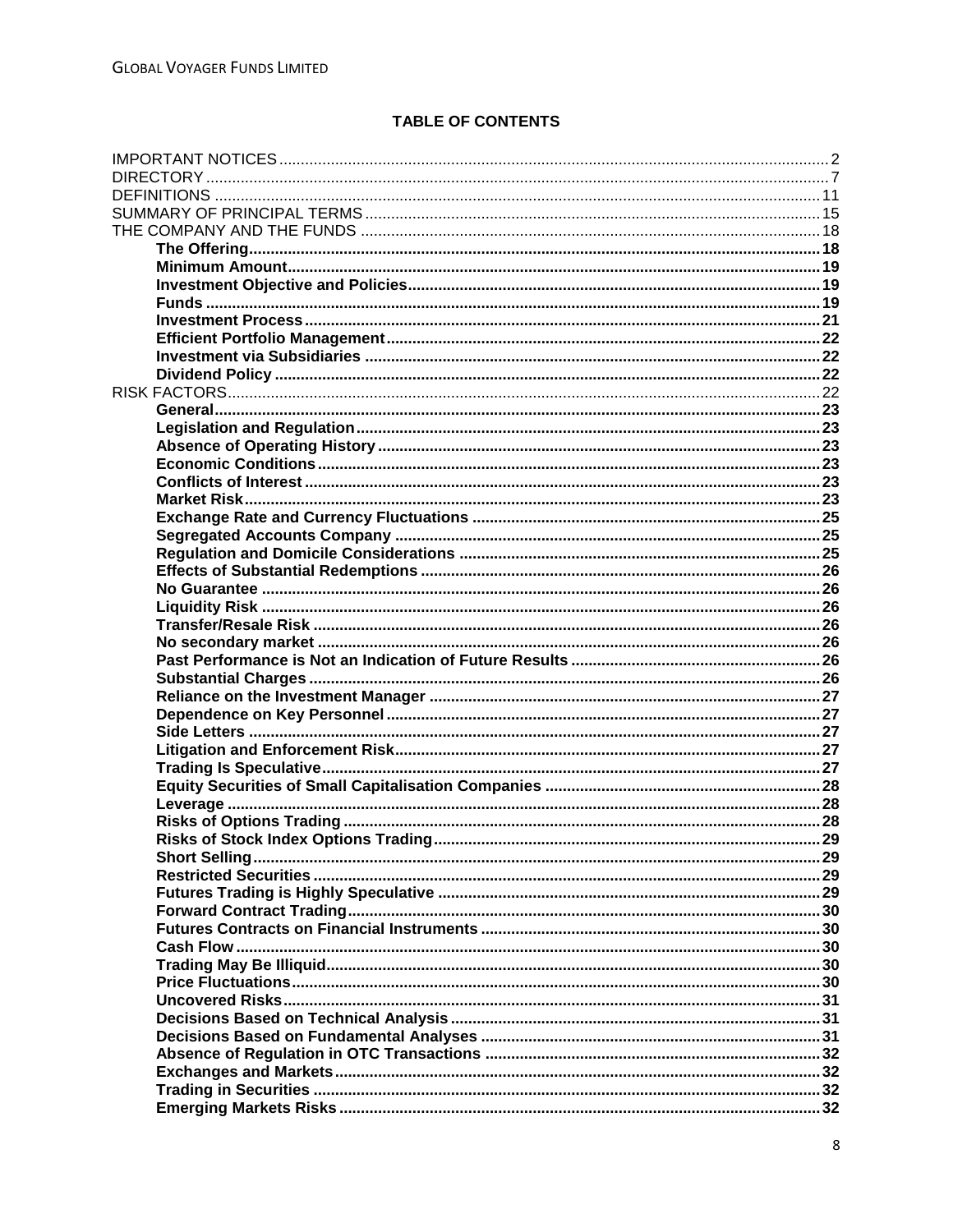# **TABLE OF CONTENTS**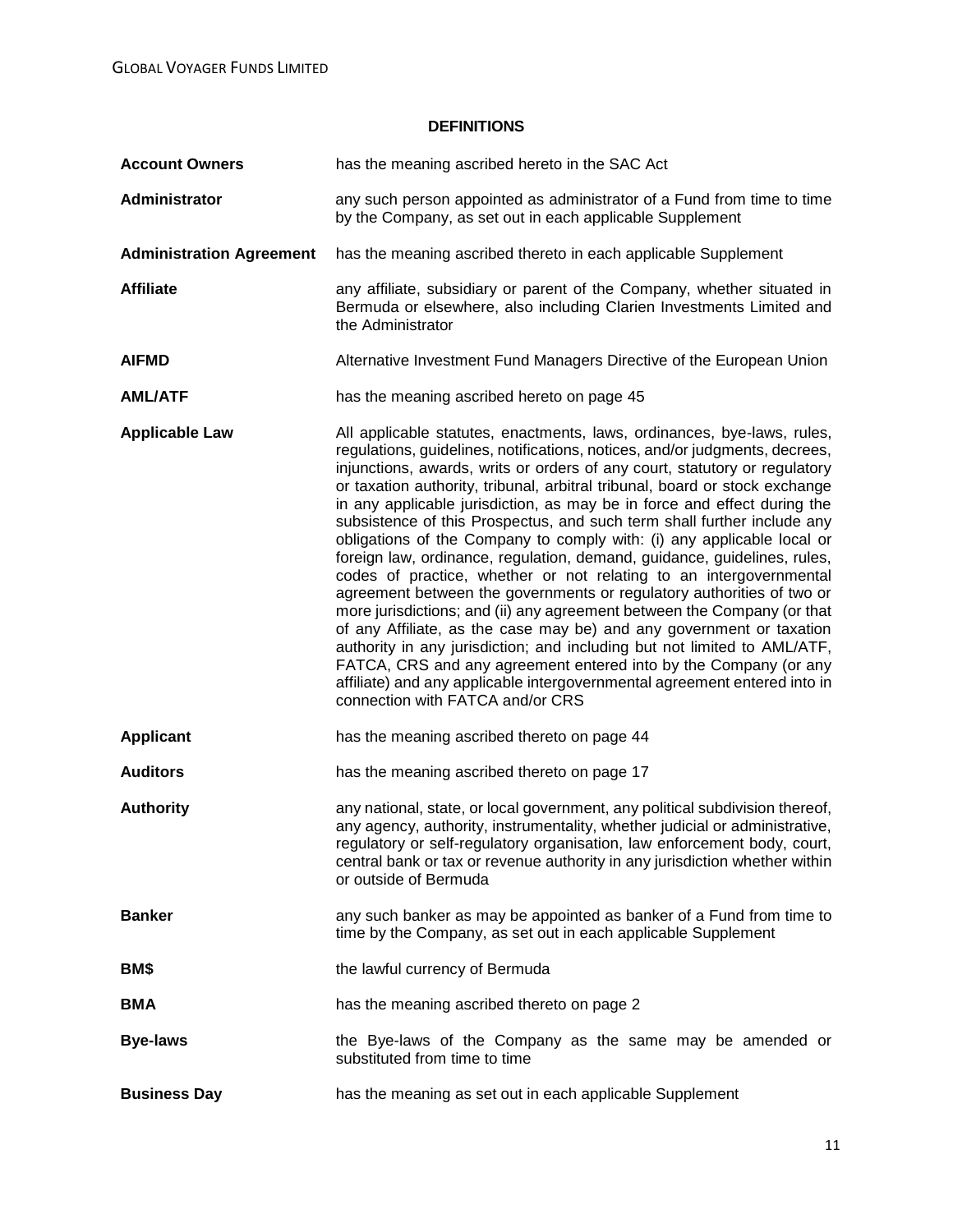# **DEFINITIONS**

| <b>Account Owners</b>           | has the meaning ascribed hereto in the SAC Act                                                                                                                                                                                                                                                                                                                                                                                                                                                                                                                                                                                                                                                                                                                                                                                                                                                                                                                                                                                                                                                                                                                                                      |
|---------------------------------|-----------------------------------------------------------------------------------------------------------------------------------------------------------------------------------------------------------------------------------------------------------------------------------------------------------------------------------------------------------------------------------------------------------------------------------------------------------------------------------------------------------------------------------------------------------------------------------------------------------------------------------------------------------------------------------------------------------------------------------------------------------------------------------------------------------------------------------------------------------------------------------------------------------------------------------------------------------------------------------------------------------------------------------------------------------------------------------------------------------------------------------------------------------------------------------------------------|
| Administrator                   | any such person appointed as administrator of a Fund from time to time<br>by the Company, as set out in each applicable Supplement                                                                                                                                                                                                                                                                                                                                                                                                                                                                                                                                                                                                                                                                                                                                                                                                                                                                                                                                                                                                                                                                  |
| <b>Administration Agreement</b> | has the meaning ascribed thereto in each applicable Supplement                                                                                                                                                                                                                                                                                                                                                                                                                                                                                                                                                                                                                                                                                                                                                                                                                                                                                                                                                                                                                                                                                                                                      |
| <b>Affiliate</b>                | any affiliate, subsidiary or parent of the Company, whether situated in<br>Bermuda or elsewhere, also including Clarien Investments Limited and<br>the Administrator                                                                                                                                                                                                                                                                                                                                                                                                                                                                                                                                                                                                                                                                                                                                                                                                                                                                                                                                                                                                                                |
| <b>AIFMD</b>                    | Alternative Investment Fund Managers Directive of the European Union                                                                                                                                                                                                                                                                                                                                                                                                                                                                                                                                                                                                                                                                                                                                                                                                                                                                                                                                                                                                                                                                                                                                |
| <b>AML/ATF</b>                  | has the meaning ascribed hereto on page 45                                                                                                                                                                                                                                                                                                                                                                                                                                                                                                                                                                                                                                                                                                                                                                                                                                                                                                                                                                                                                                                                                                                                                          |
| <b>Applicable Law</b>           | All applicable statutes, enactments, laws, ordinances, bye-laws, rules,<br>regulations, guidelines, notifications, notices, and/or judgments, decrees,<br>injunctions, awards, writs or orders of any court, statutory or regulatory<br>or taxation authority, tribunal, arbitral tribunal, board or stock exchange<br>in any applicable jurisdiction, as may be in force and effect during the<br>subsistence of this Prospectus, and such term shall further include any<br>obligations of the Company to comply with: (i) any applicable local or<br>foreign law, ordinance, regulation, demand, guidance, guidelines, rules,<br>codes of practice, whether or not relating to an intergovernmental<br>agreement between the governments or regulatory authorities of two or<br>more jurisdictions; and (ii) any agreement between the Company (or that<br>of any Affiliate, as the case may be) and any government or taxation<br>authority in any jurisdiction; and including but not limited to AML/ATF,<br>FATCA, CRS and any agreement entered into by the Company (or any<br>affiliate) and any applicable intergovernmental agreement entered into in<br>connection with FATCA and/or CRS |
| <b>Applicant</b>                | has the meaning ascribed thereto on page 44                                                                                                                                                                                                                                                                                                                                                                                                                                                                                                                                                                                                                                                                                                                                                                                                                                                                                                                                                                                                                                                                                                                                                         |
| <b>Auditors</b>                 | has the meaning ascribed thereto on page 17                                                                                                                                                                                                                                                                                                                                                                                                                                                                                                                                                                                                                                                                                                                                                                                                                                                                                                                                                                                                                                                                                                                                                         |
| <b>Authority</b>                | any national, state, or local government, any political subdivision thereof,<br>any agency, authority, instrumentality, whether judicial or administrative,<br>regulatory or self-regulatory organisation, law enforcement body, court,<br>central bank or tax or revenue authority in any jurisdiction whether within<br>or outside of Bermuda                                                                                                                                                                                                                                                                                                                                                                                                                                                                                                                                                                                                                                                                                                                                                                                                                                                     |
| <b>Banker</b>                   | any such banker as may be appointed as banker of a Fund from time to<br>time by the Company, as set out in each applicable Supplement                                                                                                                                                                                                                                                                                                                                                                                                                                                                                                                                                                                                                                                                                                                                                                                                                                                                                                                                                                                                                                                               |
| BM\$                            | the lawful currency of Bermuda                                                                                                                                                                                                                                                                                                                                                                                                                                                                                                                                                                                                                                                                                                                                                                                                                                                                                                                                                                                                                                                                                                                                                                      |
| <b>BMA</b>                      | has the meaning ascribed thereto on page 2                                                                                                                                                                                                                                                                                                                                                                                                                                                                                                                                                                                                                                                                                                                                                                                                                                                                                                                                                                                                                                                                                                                                                          |
| <b>Bye-laws</b>                 | the Bye-laws of the Company as the same may be amended or<br>substituted from time to time                                                                                                                                                                                                                                                                                                                                                                                                                                                                                                                                                                                                                                                                                                                                                                                                                                                                                                                                                                                                                                                                                                          |
| <b>Business Day</b>             | has the meaning as set out in each applicable Supplement                                                                                                                                                                                                                                                                                                                                                                                                                                                                                                                                                                                                                                                                                                                                                                                                                                                                                                                                                                                                                                                                                                                                            |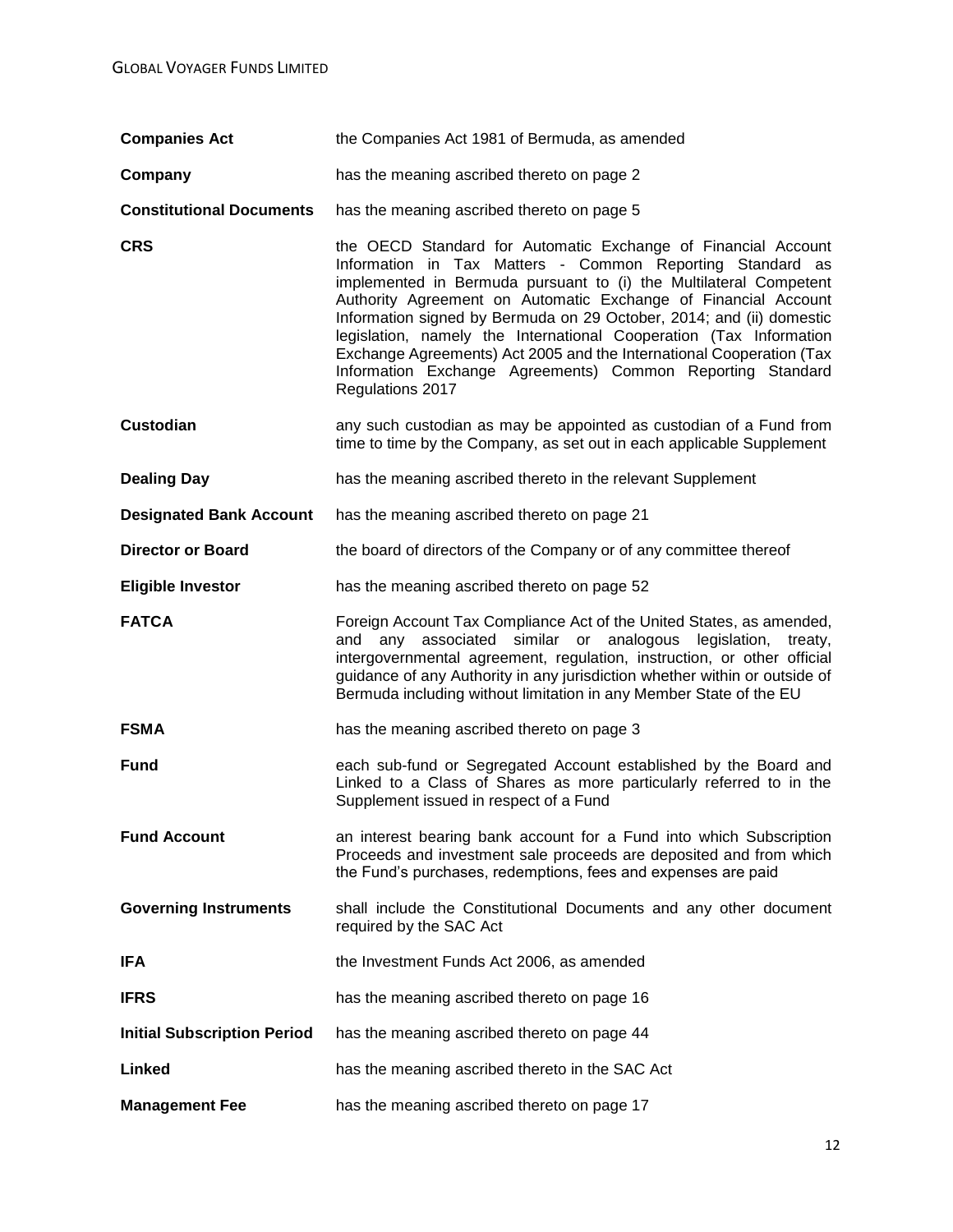| <b>Companies Act</b>               | the Companies Act 1981 of Bermuda, as amended                                                                                                                                                                                                                                                                                                                                                                                                                                                                                                                             |
|------------------------------------|---------------------------------------------------------------------------------------------------------------------------------------------------------------------------------------------------------------------------------------------------------------------------------------------------------------------------------------------------------------------------------------------------------------------------------------------------------------------------------------------------------------------------------------------------------------------------|
| Company                            | has the meaning ascribed thereto on page 2                                                                                                                                                                                                                                                                                                                                                                                                                                                                                                                                |
| <b>Constitutional Documents</b>    | has the meaning ascribed thereto on page 5                                                                                                                                                                                                                                                                                                                                                                                                                                                                                                                                |
| <b>CRS</b>                         | the OECD Standard for Automatic Exchange of Financial Account<br>Information in Tax Matters - Common Reporting Standard as<br>implemented in Bermuda pursuant to (i) the Multilateral Competent<br>Authority Agreement on Automatic Exchange of Financial Account<br>Information signed by Bermuda on 29 October, 2014; and (ii) domestic<br>legislation, namely the International Cooperation (Tax Information<br>Exchange Agreements) Act 2005 and the International Cooperation (Tax<br>Information Exchange Agreements) Common Reporting Standard<br>Regulations 2017 |
| <b>Custodian</b>                   | any such custodian as may be appointed as custodian of a Fund from<br>time to time by the Company, as set out in each applicable Supplement                                                                                                                                                                                                                                                                                                                                                                                                                               |
| <b>Dealing Day</b>                 | has the meaning ascribed thereto in the relevant Supplement                                                                                                                                                                                                                                                                                                                                                                                                                                                                                                               |
| <b>Designated Bank Account</b>     | has the meaning ascribed thereto on page 21                                                                                                                                                                                                                                                                                                                                                                                                                                                                                                                               |
| <b>Director or Board</b>           | the board of directors of the Company or of any committee thereof                                                                                                                                                                                                                                                                                                                                                                                                                                                                                                         |
| <b>Eligible Investor</b>           | has the meaning ascribed thereto on page 52                                                                                                                                                                                                                                                                                                                                                                                                                                                                                                                               |
| <b>FATCA</b>                       | Foreign Account Tax Compliance Act of the United States, as amended,<br>any associated similar or analogous legislation,<br>and<br>treaty,<br>intergovernmental agreement, regulation, instruction, or other official<br>guidance of any Authority in any jurisdiction whether within or outside of<br>Bermuda including without limitation in any Member State of the EU                                                                                                                                                                                                 |
| <b>FSMA</b>                        | has the meaning ascribed thereto on page 3                                                                                                                                                                                                                                                                                                                                                                                                                                                                                                                                |
| <b>Fund</b>                        | each sub-fund or Segregated Account established by the Board and<br>Linked to a Class of Shares as more particularly referred to in the<br>Supplement issued in respect of a Fund                                                                                                                                                                                                                                                                                                                                                                                         |
| <b>Fund Account</b>                | an interest bearing bank account for a Fund into which Subscription<br>Proceeds and investment sale proceeds are deposited and from which<br>the Fund's purchases, redemptions, fees and expenses are paid                                                                                                                                                                                                                                                                                                                                                                |
| <b>Governing Instruments</b>       | shall include the Constitutional Documents and any other document<br>required by the SAC Act                                                                                                                                                                                                                                                                                                                                                                                                                                                                              |
| <b>IFA</b>                         | the Investment Funds Act 2006, as amended                                                                                                                                                                                                                                                                                                                                                                                                                                                                                                                                 |
| <b>IFRS</b>                        | has the meaning ascribed thereto on page 16                                                                                                                                                                                                                                                                                                                                                                                                                                                                                                                               |
| <b>Initial Subscription Period</b> | has the meaning ascribed thereto on page 44                                                                                                                                                                                                                                                                                                                                                                                                                                                                                                                               |
| <b>Linked</b>                      | has the meaning ascribed thereto in the SAC Act                                                                                                                                                                                                                                                                                                                                                                                                                                                                                                                           |
| <b>Management Fee</b>              | has the meaning ascribed thereto on page 17                                                                                                                                                                                                                                                                                                                                                                                                                                                                                                                               |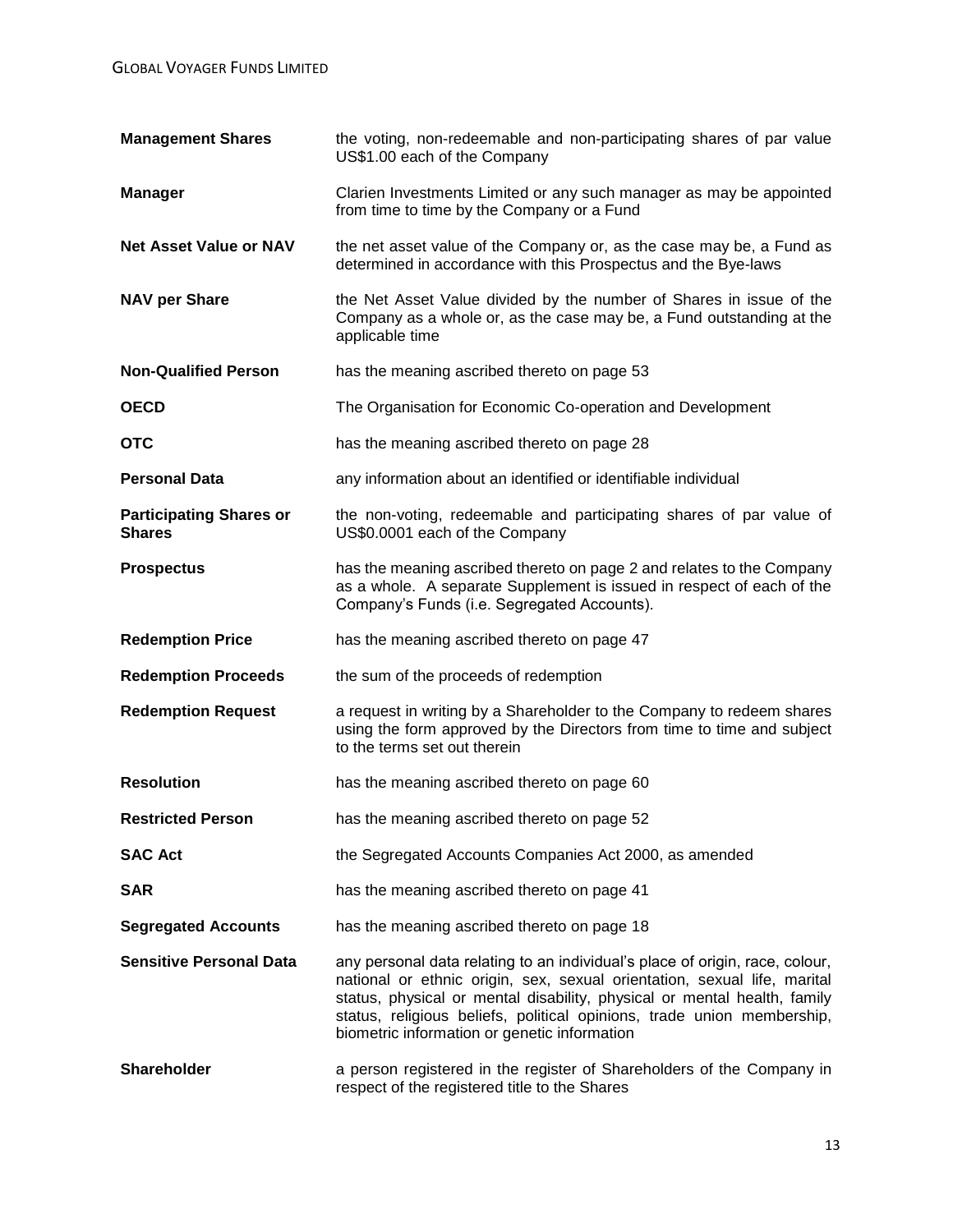| <b>Management Shares</b>                        | the voting, non-redeemable and non-participating shares of par value<br>US\$1.00 each of the Company                                                                                                                                                                                                                                                           |
|-------------------------------------------------|----------------------------------------------------------------------------------------------------------------------------------------------------------------------------------------------------------------------------------------------------------------------------------------------------------------------------------------------------------------|
| <b>Manager</b>                                  | Clarien Investments Limited or any such manager as may be appointed<br>from time to time by the Company or a Fund                                                                                                                                                                                                                                              |
| <b>Net Asset Value or NAV</b>                   | the net asset value of the Company or, as the case may be, a Fund as<br>determined in accordance with this Prospectus and the Bye-laws                                                                                                                                                                                                                         |
| <b>NAV per Share</b>                            | the Net Asset Value divided by the number of Shares in issue of the<br>Company as a whole or, as the case may be, a Fund outstanding at the<br>applicable time                                                                                                                                                                                                 |
| <b>Non-Qualified Person</b>                     | has the meaning ascribed thereto on page 53                                                                                                                                                                                                                                                                                                                    |
| <b>OECD</b>                                     | The Organisation for Economic Co-operation and Development                                                                                                                                                                                                                                                                                                     |
| <b>OTC</b>                                      | has the meaning ascribed thereto on page 28                                                                                                                                                                                                                                                                                                                    |
| <b>Personal Data</b>                            | any information about an identified or identifiable individual                                                                                                                                                                                                                                                                                                 |
| <b>Participating Shares or</b><br><b>Shares</b> | the non-voting, redeemable and participating shares of par value of<br>US\$0.0001 each of the Company                                                                                                                                                                                                                                                          |
| <b>Prospectus</b>                               | has the meaning ascribed thereto on page 2 and relates to the Company<br>as a whole. A separate Supplement is issued in respect of each of the<br>Company's Funds (i.e. Segregated Accounts).                                                                                                                                                                  |
| <b>Redemption Price</b>                         | has the meaning ascribed thereto on page 47                                                                                                                                                                                                                                                                                                                    |
| <b>Redemption Proceeds</b>                      | the sum of the proceeds of redemption                                                                                                                                                                                                                                                                                                                          |
| <b>Redemption Request</b>                       | a request in writing by a Shareholder to the Company to redeem shares<br>using the form approved by the Directors from time to time and subject<br>to the terms set out therein                                                                                                                                                                                |
| <b>Resolution</b>                               | has the meaning ascribed thereto on page 60                                                                                                                                                                                                                                                                                                                    |
| <b>Restricted Person</b>                        | has the meaning ascribed thereto on page 52                                                                                                                                                                                                                                                                                                                    |
| <b>SAC Act</b>                                  | the Segregated Accounts Companies Act 2000, as amended                                                                                                                                                                                                                                                                                                         |
| <b>SAR</b>                                      | has the meaning ascribed thereto on page 41                                                                                                                                                                                                                                                                                                                    |
| <b>Segregated Accounts</b>                      | has the meaning ascribed thereto on page 18                                                                                                                                                                                                                                                                                                                    |
| <b>Sensitive Personal Data</b>                  | any personal data relating to an individual's place of origin, race, colour,<br>national or ethnic origin, sex, sexual orientation, sexual life, marital<br>status, physical or mental disability, physical or mental health, family<br>status, religious beliefs, political opinions, trade union membership,<br>biometric information or genetic information |
| <b>Shareholder</b>                              | a person registered in the register of Shareholders of the Company in<br>respect of the registered title to the Shares                                                                                                                                                                                                                                         |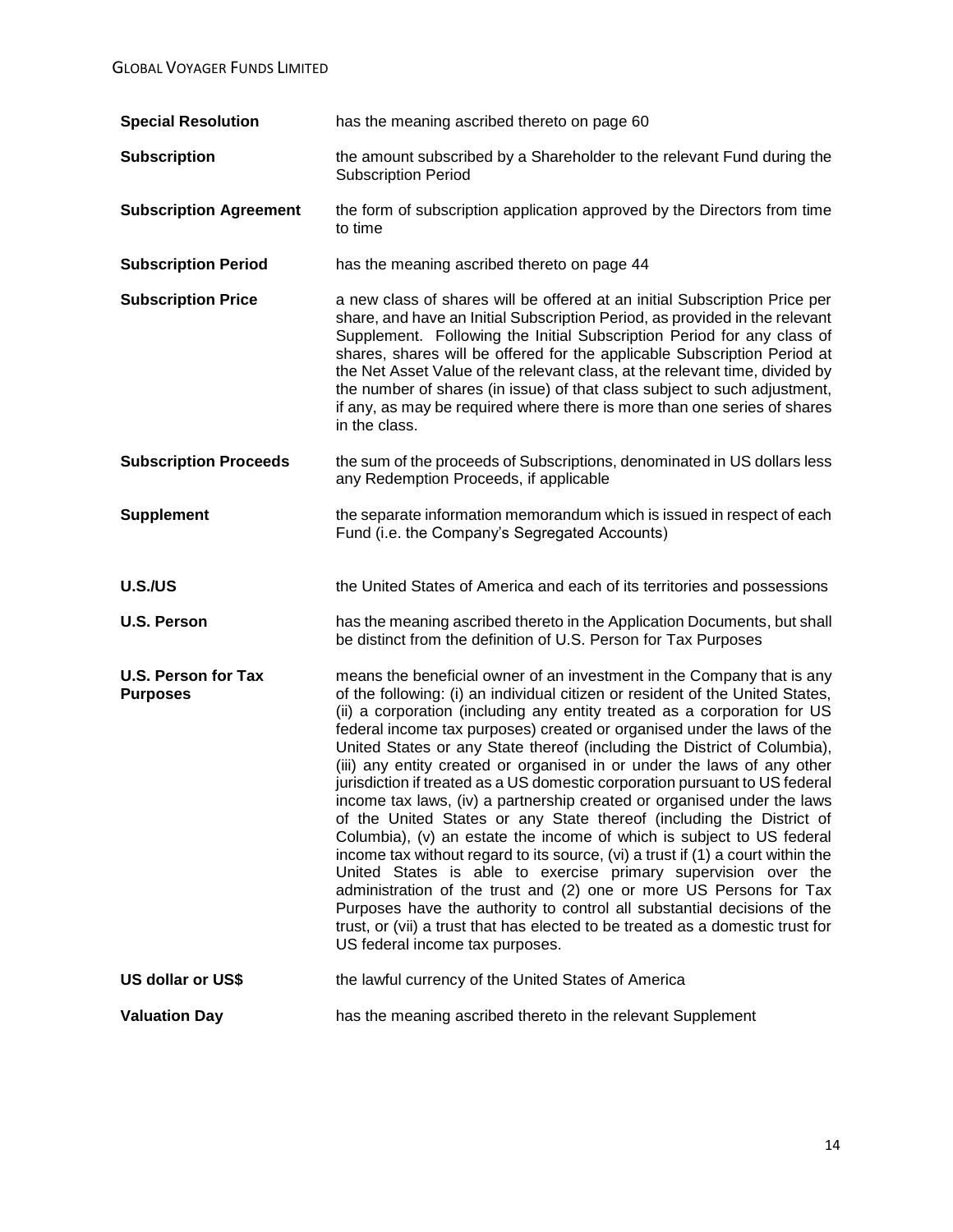| <b>Special Resolution</b>                     | has the meaning ascribed thereto on page 60                                                                                                                                                                                                                                                                                                                                                                                                                                                                                                                                                                                                                                                                                                                                                                                                                                                                                                                                                                                                                                                                                                                                                                 |
|-----------------------------------------------|-------------------------------------------------------------------------------------------------------------------------------------------------------------------------------------------------------------------------------------------------------------------------------------------------------------------------------------------------------------------------------------------------------------------------------------------------------------------------------------------------------------------------------------------------------------------------------------------------------------------------------------------------------------------------------------------------------------------------------------------------------------------------------------------------------------------------------------------------------------------------------------------------------------------------------------------------------------------------------------------------------------------------------------------------------------------------------------------------------------------------------------------------------------------------------------------------------------|
| <b>Subscription</b>                           | the amount subscribed by a Shareholder to the relevant Fund during the<br><b>Subscription Period</b>                                                                                                                                                                                                                                                                                                                                                                                                                                                                                                                                                                                                                                                                                                                                                                                                                                                                                                                                                                                                                                                                                                        |
| <b>Subscription Agreement</b>                 | the form of subscription application approved by the Directors from time<br>to time                                                                                                                                                                                                                                                                                                                                                                                                                                                                                                                                                                                                                                                                                                                                                                                                                                                                                                                                                                                                                                                                                                                         |
| <b>Subscription Period</b>                    | has the meaning ascribed thereto on page 44                                                                                                                                                                                                                                                                                                                                                                                                                                                                                                                                                                                                                                                                                                                                                                                                                                                                                                                                                                                                                                                                                                                                                                 |
| <b>Subscription Price</b>                     | a new class of shares will be offered at an initial Subscription Price per<br>share, and have an Initial Subscription Period, as provided in the relevant<br>Supplement. Following the Initial Subscription Period for any class of<br>shares, shares will be offered for the applicable Subscription Period at<br>the Net Asset Value of the relevant class, at the relevant time, divided by<br>the number of shares (in issue) of that class subject to such adjustment,<br>if any, as may be required where there is more than one series of shares<br>in the class.                                                                                                                                                                                                                                                                                                                                                                                                                                                                                                                                                                                                                                    |
| <b>Subscription Proceeds</b>                  | the sum of the proceeds of Subscriptions, denominated in US dollars less<br>any Redemption Proceeds, if applicable                                                                                                                                                                                                                                                                                                                                                                                                                                                                                                                                                                                                                                                                                                                                                                                                                                                                                                                                                                                                                                                                                          |
| <b>Supplement</b>                             | the separate information memorandum which is issued in respect of each<br>Fund (i.e. the Company's Segregated Accounts)                                                                                                                                                                                                                                                                                                                                                                                                                                                                                                                                                                                                                                                                                                                                                                                                                                                                                                                                                                                                                                                                                     |
| <b>U.S./US</b>                                | the United States of America and each of its territories and possessions                                                                                                                                                                                                                                                                                                                                                                                                                                                                                                                                                                                                                                                                                                                                                                                                                                                                                                                                                                                                                                                                                                                                    |
| <b>U.S. Person</b>                            | has the meaning ascribed thereto in the Application Documents, but shall<br>be distinct from the definition of U.S. Person for Tax Purposes                                                                                                                                                                                                                                                                                                                                                                                                                                                                                                                                                                                                                                                                                                                                                                                                                                                                                                                                                                                                                                                                 |
| <b>U.S. Person for Tax</b><br><b>Purposes</b> | means the beneficial owner of an investment in the Company that is any<br>of the following: (i) an individual citizen or resident of the United States,<br>(ii) a corporation (including any entity treated as a corporation for US<br>federal income tax purposes) created or organised under the laws of the<br>United States or any State thereof (including the District of Columbia),<br>(iii) any entity created or organised in or under the laws of any other<br>jurisdiction if treated as a US domestic corporation pursuant to US federal<br>income tax laws, (iv) a partnership created or organised under the laws<br>of the United States or any State thereof (including the District of<br>Columbia), (v) an estate the income of which is subject to US federal<br>income tax without regard to its source, (vi) a trust if (1) a court within the<br>United States is able to exercise primary supervision over the<br>administration of the trust and (2) one or more US Persons for Tax<br>Purposes have the authority to control all substantial decisions of the<br>trust, or (vii) a trust that has elected to be treated as a domestic trust for<br>US federal income tax purposes. |
| <b>US dollar or US\$</b>                      | the lawful currency of the United States of America                                                                                                                                                                                                                                                                                                                                                                                                                                                                                                                                                                                                                                                                                                                                                                                                                                                                                                                                                                                                                                                                                                                                                         |
| <b>Valuation Day</b>                          | has the meaning ascribed thereto in the relevant Supplement                                                                                                                                                                                                                                                                                                                                                                                                                                                                                                                                                                                                                                                                                                                                                                                                                                                                                                                                                                                                                                                                                                                                                 |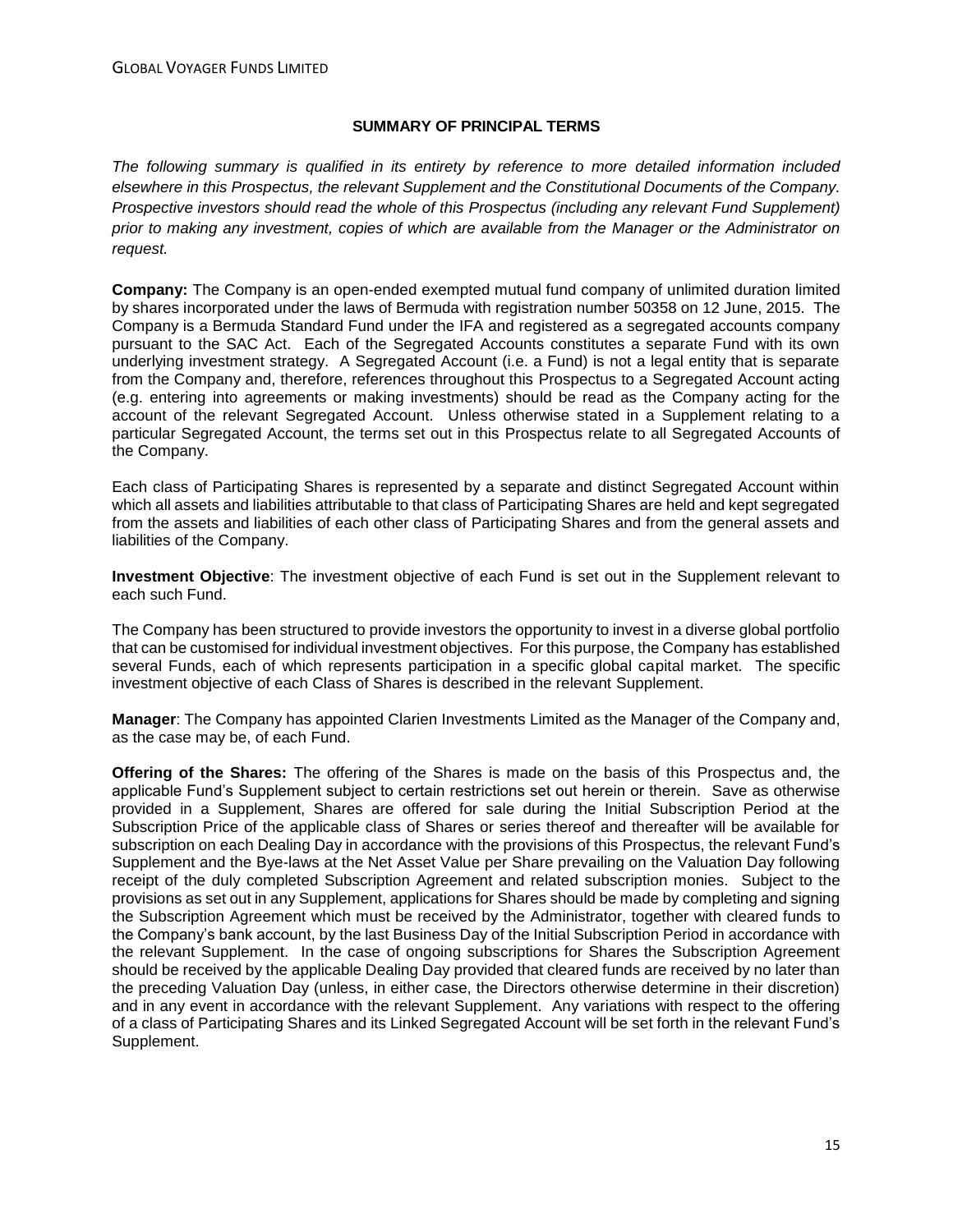## **SUMMARY OF PRINCIPAL TERMS**

*The following summary is qualified in its entirety by reference to more detailed information included elsewhere in this Prospectus, the relevant Supplement and the Constitutional Documents of the Company. Prospective investors should read the whole of this Prospectus (including any relevant Fund Supplement) prior to making any investment, copies of which are available from the Manager or the Administrator on request.*

**Company:** The Company is an open-ended exempted mutual fund company of unlimited duration limited by shares incorporated under the laws of Bermuda with registration number 50358 on 12 June, 2015. The Company is a Bermuda Standard Fund under the IFA and registered as a segregated accounts company pursuant to the SAC Act. Each of the Segregated Accounts constitutes a separate Fund with its own underlying investment strategy. A Segregated Account (i.e. a Fund) is not a legal entity that is separate from the Company and, therefore, references throughout this Prospectus to a Segregated Account acting (e.g. entering into agreements or making investments) should be read as the Company acting for the account of the relevant Segregated Account. Unless otherwise stated in a Supplement relating to a particular Segregated Account, the terms set out in this Prospectus relate to all Segregated Accounts of the Company.

Each class of Participating Shares is represented by a separate and distinct Segregated Account within which all assets and liabilities attributable to that class of Participating Shares are held and kept segregated from the assets and liabilities of each other class of Participating Shares and from the general assets and liabilities of the Company.

**Investment Objective**: The investment objective of each Fund is set out in the Supplement relevant to each such Fund.

The Company has been structured to provide investors the opportunity to invest in a diverse global portfolio that can be customised for individual investment objectives. For this purpose, the Company has established several Funds, each of which represents participation in a specific global capital market. The specific investment objective of each Class of Shares is described in the relevant Supplement.

**Manager**: The Company has appointed Clarien Investments Limited as the Manager of the Company and, as the case may be, of each Fund.

**Offering of the Shares:** The offering of the Shares is made on the basis of this Prospectus and, the applicable Fund's Supplement subject to certain restrictions set out herein or therein. Save as otherwise provided in a Supplement, Shares are offered for sale during the Initial Subscription Period at the Subscription Price of the applicable class of Shares or series thereof and thereafter will be available for subscription on each Dealing Day in accordance with the provisions of this Prospectus, the relevant Fund's Supplement and the Bye-laws at the Net Asset Value per Share prevailing on the Valuation Day following receipt of the duly completed Subscription Agreement and related subscription monies. Subject to the provisions as set out in any Supplement, applications for Shares should be made by completing and signing the Subscription Agreement which must be received by the Administrator, together with cleared funds to the Company's bank account, by the last Business Day of the Initial Subscription Period in accordance with the relevant Supplement. In the case of ongoing subscriptions for Shares the Subscription Agreement should be received by the applicable Dealing Day provided that cleared funds are received by no later than the preceding Valuation Day (unless, in either case, the Directors otherwise determine in their discretion) and in any event in accordance with the relevant Supplement. Any variations with respect to the offering of a class of Participating Shares and its Linked Segregated Account will be set forth in the relevant Fund's Supplement.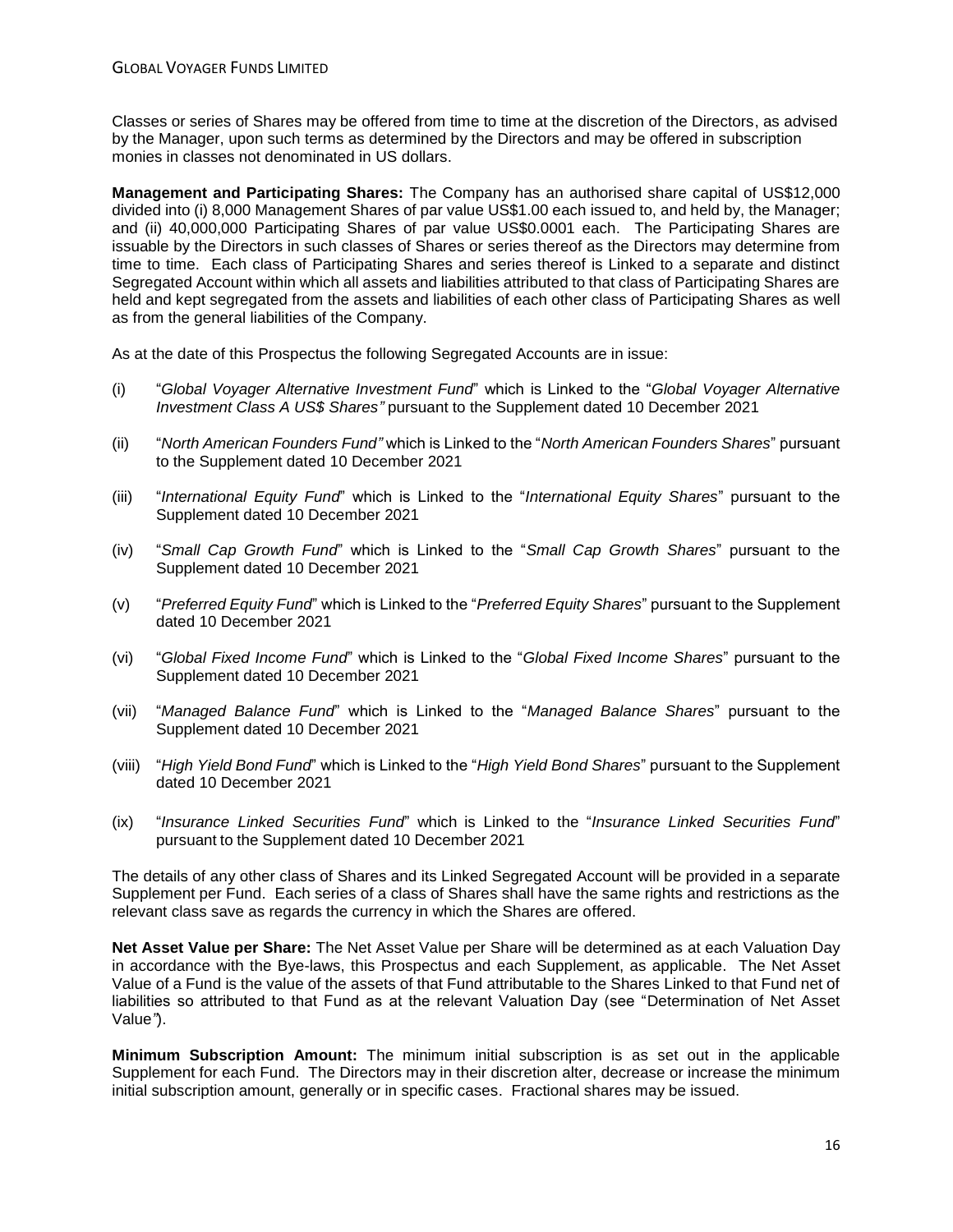Classes or series of Shares may be offered from time to time at the discretion of the Directors, as advised by the Manager, upon such terms as determined by the Directors and may be offered in subscription monies in classes not denominated in US dollars.

**Management and Participating Shares:** The Company has an authorised share capital of US\$12,000 divided into (i) 8,000 Management Shares of par value US\$1.00 each issued to, and held by, the Manager; and (ii) 40,000,000 Participating Shares of par value US\$0.0001 each. The Participating Shares are issuable by the Directors in such classes of Shares or series thereof as the Directors may determine from time to time. Each class of Participating Shares and series thereof is Linked to a separate and distinct Segregated Account within which all assets and liabilities attributed to that class of Participating Shares are held and kept segregated from the assets and liabilities of each other class of Participating Shares as well as from the general liabilities of the Company.

<span id="page-15-0"></span>As at the date of this Prospectus the following Segregated Accounts are in issue:

- (i) "*Global Voyager Alternative Investment Fund*" which is Linked to the "*Global Voyager Alternative Investment Class A US\$ Shares"* pursuant to the Supplement dated 10 December 2021
- (ii) "*North American Founders Fund"* which is Linked to the "*North American Founders Shares*" pursuant to the Supplement dated 10 December 2021
- (iii) "*International Equity Fund*" which is Linked to the "*International Equity Shares*" pursuant to the Supplement dated 10 December 2021
- (iv) "*Small Cap Growth Fund*" which is Linked to the "*Small Cap Growth Shares*" pursuant to the Supplement dated 10 December 2021
- (v) "*Preferred Equity Fund*" which is Linked to the "*Preferred Equity Shares*" pursuant to the Supplement dated 10 December 2021
- (vi) "*Global Fixed Income Fund*" which is Linked to the "*Global Fixed Income Shares*" pursuant to the Supplement dated 10 December 2021
- (vii) "*Managed Balance Fund*" which is Linked to the "*Managed Balance Shares*" pursuant to the Supplement dated 10 December 2021
- (viii) "*High Yield Bond Fund*" which is Linked to the "*High Yield Bond Shares*" pursuant to the Supplement dated 10 December 2021
- (ix) "*Insurance Linked Securities Fund*" which is Linked to the "*Insurance Linked Securities Fund*" pursuant to the Supplement dated 10 December 2021

The details of any other class of Shares and its Linked Segregated Account will be provided in a separate Supplement per Fund. Each series of a class of Shares shall have the same rights and restrictions as the relevant class save as regards the currency in which the Shares are offered.

**Net Asset Value per Share:** The Net Asset Value per Share will be determined as at each Valuation Day in accordance with the Bye-laws, this Prospectus and each Supplement, as applicable. The Net Asset Value of a Fund is the value of the assets of that Fund attributable to the Shares Linked to that Fund net of liabilities so attributed to that Fund as at the relevant Valuation Day (see "Determination of Net Asset Value*"*).

**Minimum Subscription Amount:** The minimum initial subscription is as set out in the applicable Supplement for each Fund. The Directors may in their discretion alter, decrease or increase the minimum initial subscription amount, generally or in specific cases. Fractional shares may be issued.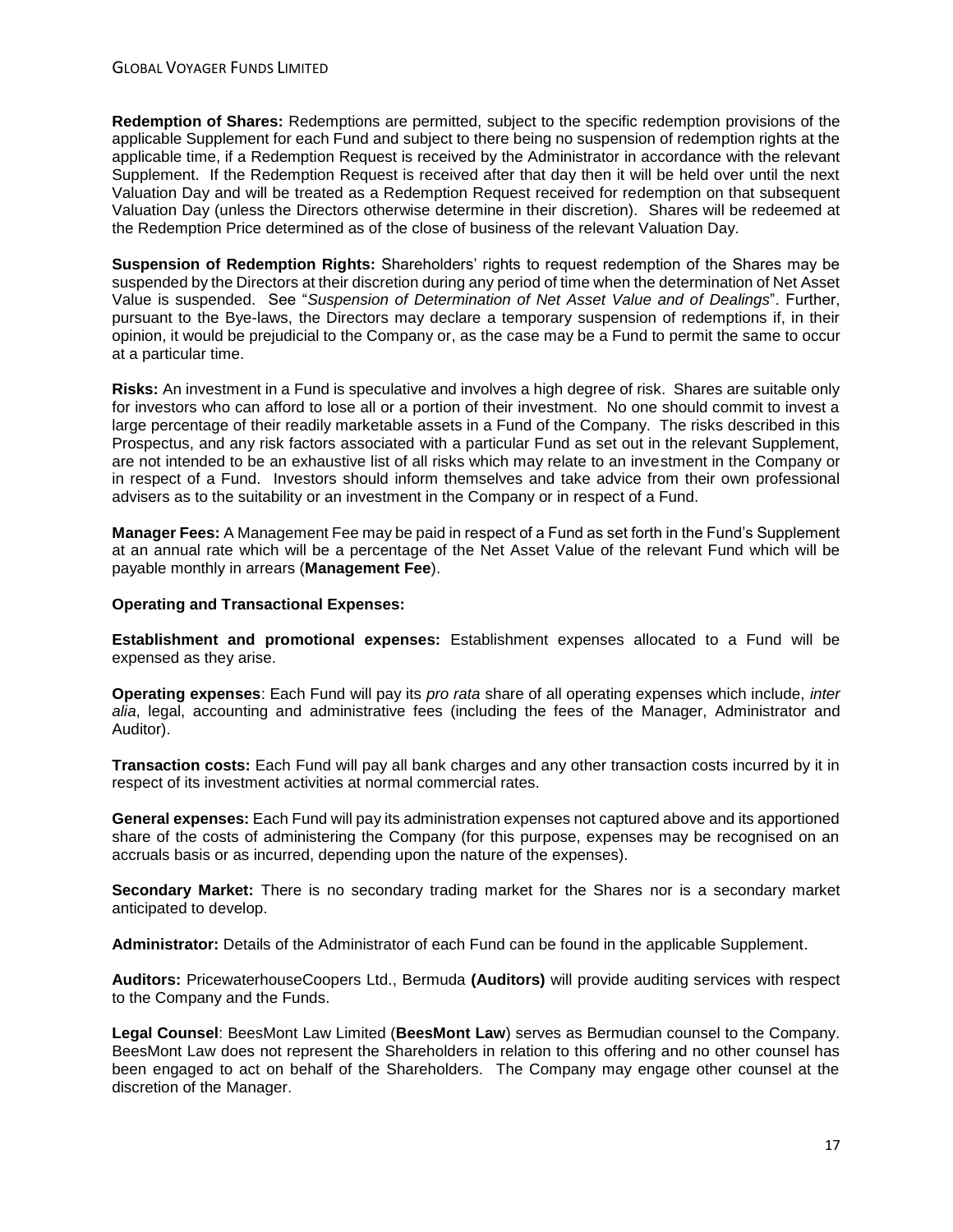**Redemption of Shares:** Redemptions are permitted, subject to the specific redemption provisions of the applicable Supplement for each Fund and subject to there being no suspension of redemption rights at the applicable time, if a Redemption Request is received by the Administrator in accordance with the relevant Supplement. If the Redemption Request is received after that day then it will be held over until the next Valuation Day and will be treated as a Redemption Request received for redemption on that subsequent Valuation Day (unless the Directors otherwise determine in their discretion). Shares will be redeemed at the Redemption Price determined as of the close of business of the relevant Valuation Day.

**Suspension of Redemption Rights:** Shareholders' rights to request redemption of the Shares may be suspended by the Directors at their discretion during any period of time when the determination of Net Asset Value is suspended. See "*Suspension of Determination of Net Asset Value and of Dealings*". Further, pursuant to the Bye-laws, the Directors may declare a temporary suspension of redemptions if, in their opinion, it would be prejudicial to the Company or, as the case may be a Fund to permit the same to occur at a particular time.

**Risks:** An investment in a Fund is speculative and involves a high degree of risk. Shares are suitable only for investors who can afford to lose all or a portion of their investment. No one should commit to invest a large percentage of their readily marketable assets in a Fund of the Company. The risks described in this Prospectus, and any risk factors associated with a particular Fund as set out in the relevant Supplement, are not intended to be an exhaustive list of all risks which may relate to an investment in the Company or in respect of a Fund. Investors should inform themselves and take advice from their own professional advisers as to the suitability or an investment in the Company or in respect of a Fund.

<span id="page-16-1"></span>**Manager Fees:** A Management Fee may be paid in respect of a Fund as set forth in the Fund's Supplement at an annual rate which will be a percentage of the Net Asset Value of the relevant Fund which will be payable monthly in arrears (**Management Fee**).

## **Operating and Transactional Expenses:**

**Establishment and promotional expenses:** Establishment expenses allocated to a Fund will be expensed as they arise.

**Operating expenses**: Each Fund will pay its *pro rata* share of all operating expenses which include, *inter alia*, legal, accounting and administrative fees (including the fees of the Manager, Administrator and Auditor).

**Transaction costs:** Each Fund will pay all bank charges and any other transaction costs incurred by it in respect of its investment activities at normal commercial rates.

**General expenses:** Each Fund will pay its administration expenses not captured above and its apportioned share of the costs of administering the Company (for this purpose, expenses may be recognised on an accruals basis or as incurred, depending upon the nature of the expenses).

**Secondary Market:** There is no secondary trading market for the Shares nor is a secondary market anticipated to develop.

**Administrator:** Details of the Administrator of each Fund can be found in the applicable Supplement.

<span id="page-16-0"></span>**Auditors:** PricewaterhouseCoopers Ltd., Bermuda **(Auditors)** will provide auditing services with respect to the Company and the Funds.

**Legal Counsel**: BeesMont Law Limited (**BeesMont Law**) serves as Bermudian counsel to the Company. BeesMont Law does not represent the Shareholders in relation to this offering and no other counsel has been engaged to act on behalf of the Shareholders. The Company may engage other counsel at the discretion of the Manager.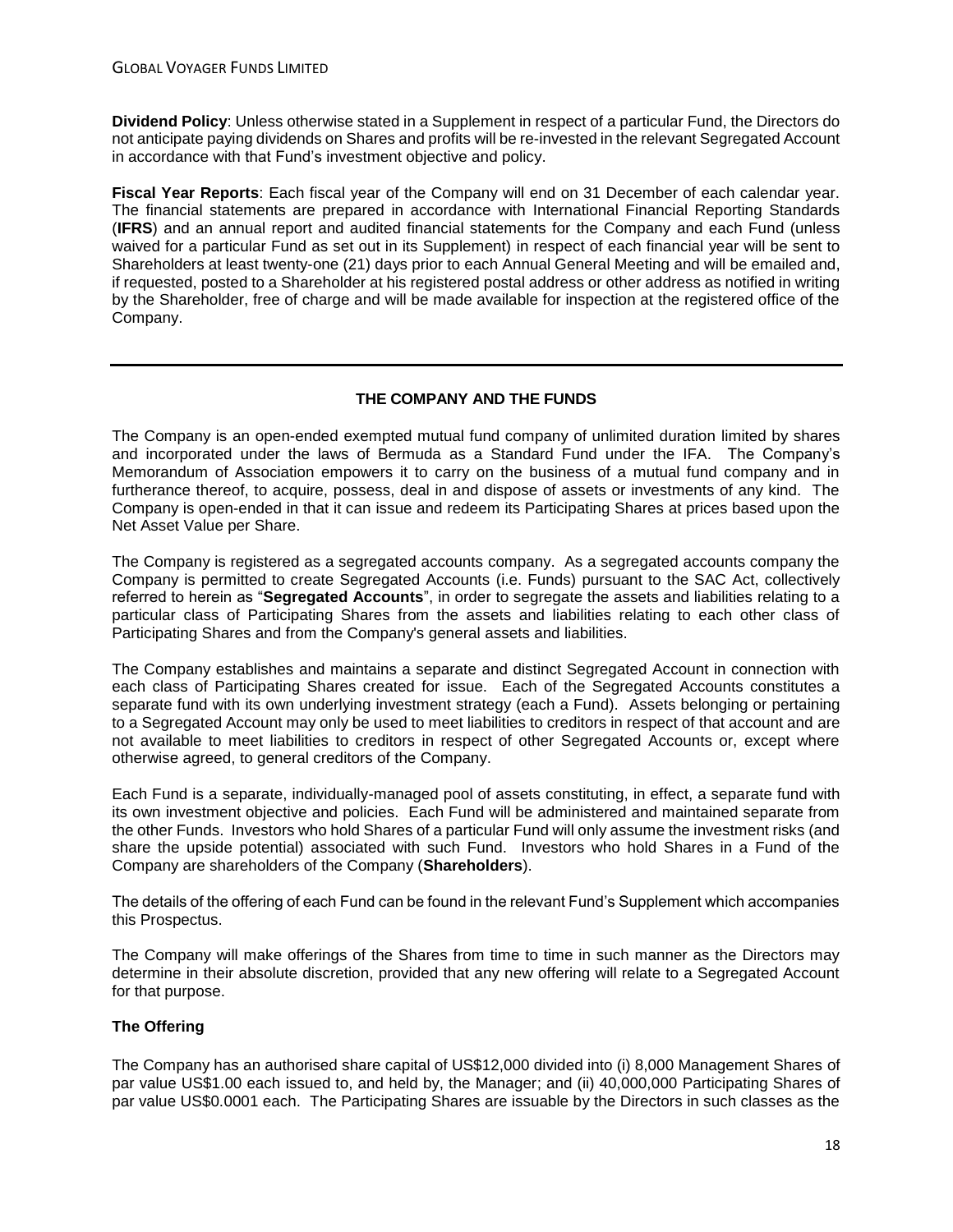**Dividend Policy**: Unless otherwise stated in a Supplement in respect of a particular Fund, the Directors do not anticipate paying dividends on Shares and profits will be re-invested in the relevant Segregated Account in accordance with that Fund's investment objective and policy.

**Fiscal Year Reports**: Each fiscal year of the Company will end on 31 December of each calendar year. The financial statements are prepared in accordance with International Financial Reporting Standards (**IFRS**) and an annual report and audited financial statements for the Company and each Fund (unless waived for a particular Fund as set out in its Supplement) in respect of each financial year will be sent to Shareholders at least twenty-one (21) days prior to each Annual General Meeting and will be emailed and, if requested, posted to a Shareholder at his registered postal address or other address as notified in writing by the Shareholder, free of charge and will be made available for inspection at the registered office of the Company.

# **THE COMPANY AND THE FUNDS**

The Company is an open-ended exempted mutual fund company of unlimited duration limited by shares and incorporated under the laws of Bermuda as a Standard Fund under the IFA. The Company's Memorandum of Association empowers it to carry on the business of a mutual fund company and in furtherance thereof, to acquire, possess, deal in and dispose of assets or investments of any kind. The Company is open-ended in that it can issue and redeem its Participating Shares at prices based upon the Net Asset Value per Share.

<span id="page-17-0"></span>The Company is registered as a segregated accounts company. As a segregated accounts company the Company is permitted to create Segregated Accounts (i.e. Funds) pursuant to the SAC Act, collectively referred to herein as "**Segregated Accounts**", in order to segregate the assets and liabilities relating to a particular class of Participating Shares from the assets and liabilities relating to each other class of Participating Shares and from the Company's general assets and liabilities.

The Company establishes and maintains a separate and distinct Segregated Account in connection with each class of Participating Shares created for issue. Each of the Segregated Accounts constitutes a separate fund with its own underlying investment strategy (each a Fund). Assets belonging or pertaining to a Segregated Account may only be used to meet liabilities to creditors in respect of that account and are not available to meet liabilities to creditors in respect of other Segregated Accounts or, except where otherwise agreed, to general creditors of the Company.

Each Fund is a separate, individually-managed pool of assets constituting, in effect, a separate fund with its own investment objective and policies. Each Fund will be administered and maintained separate from the other Funds. Investors who hold Shares of a particular Fund will only assume the investment risks (and share the upside potential) associated with such Fund. Investors who hold Shares in a Fund of the Company are shareholders of the Company (**Shareholders**).

The details of the offering of each Fund can be found in the relevant Fund's Supplement which accompanies this Prospectus.

The Company will make offerings of the Shares from time to time in such manner as the Directors may determine in their absolute discretion, provided that any new offering will relate to a Segregated Account for that purpose.

# **The Offering**

The Company has an authorised share capital of US\$12,000 divided into (i) 8,000 Management Shares of par value US\$1.00 each issued to, and held by, the Manager; and (ii) 40,000,000 Participating Shares of par value US\$0.0001 each. The Participating Shares are issuable by the Directors in such classes as the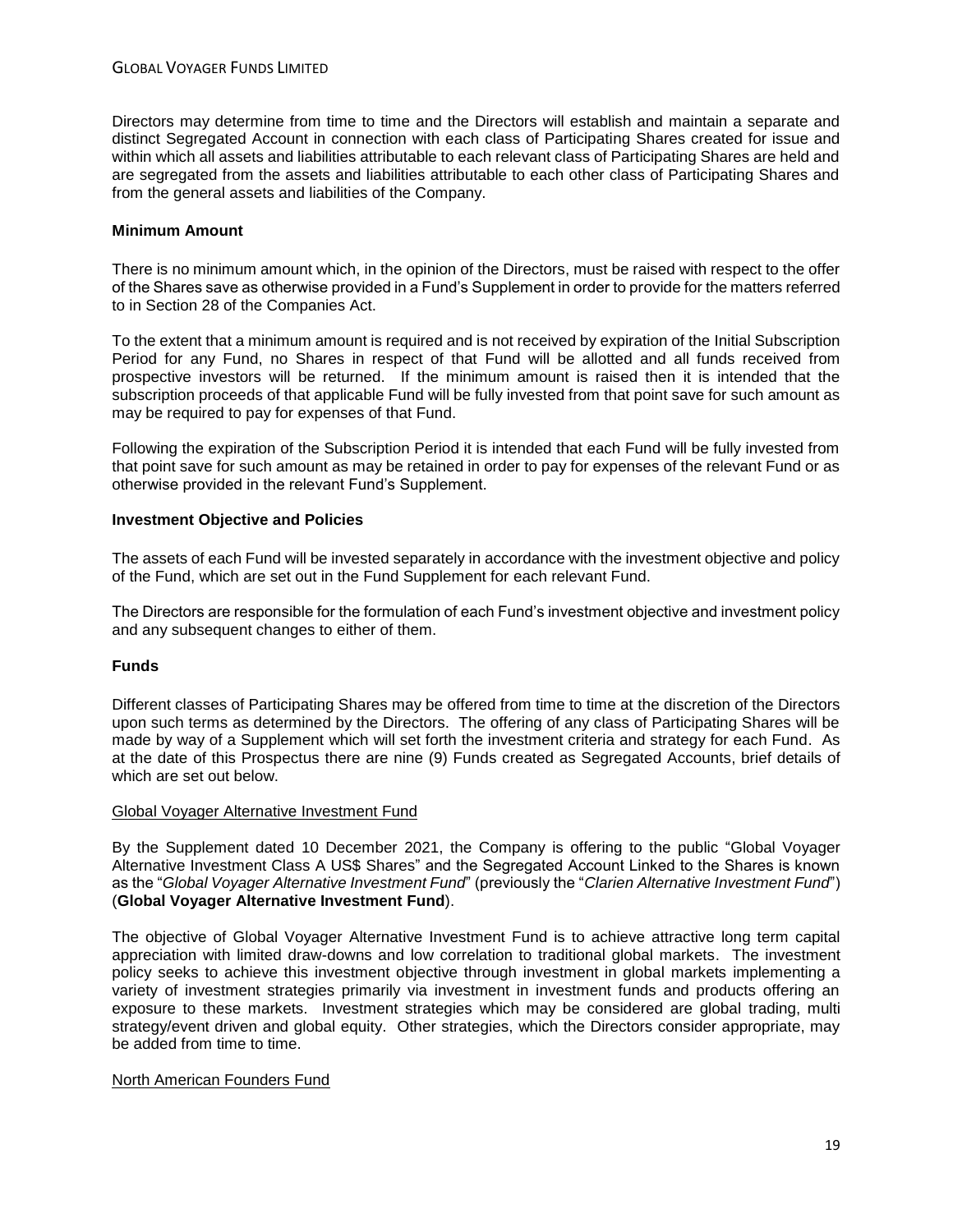Directors may determine from time to time and the Directors will establish and maintain a separate and distinct Segregated Account in connection with each class of Participating Shares created for issue and within which all assets and liabilities attributable to each relevant class of Participating Shares are held and are segregated from the assets and liabilities attributable to each other class of Participating Shares and from the general assets and liabilities of the Company.

## **Minimum Amount**

There is no minimum amount which, in the opinion of the Directors, must be raised with respect to the offer of the Shares save as otherwise provided in a Fund's Supplement in order to provide for the matters referred to in Section 28 of the Companies Act.

To the extent that a minimum amount is required and is not received by expiration of the Initial Subscription Period for any Fund, no Shares in respect of that Fund will be allotted and all funds received from prospective investors will be returned. If the minimum amount is raised then it is intended that the subscription proceeds of that applicable Fund will be fully invested from that point save for such amount as may be required to pay for expenses of that Fund.

Following the expiration of the Subscription Period it is intended that each Fund will be fully invested from that point save for such amount as may be retained in order to pay for expenses of the relevant Fund or as otherwise provided in the relevant Fund's Supplement.

### **Investment Objective and Policies**

The assets of each Fund will be invested separately in accordance with the investment objective and policy of the Fund, which are set out in the Fund Supplement for each relevant Fund.

The Directors are responsible for the formulation of each Fund's investment objective and investment policy and any subsequent changes to either of them.

# **Funds**

Different classes of Participating Shares may be offered from time to time at the discretion of the Directors upon such terms as determined by the Directors. The offering of any class of Participating Shares will be made by way of a Supplement which will set forth the investment criteria and strategy for each Fund. As at the date of this Prospectus there are nine (9) Funds created as Segregated Accounts, brief details of which are set out below.

### Global Voyager Alternative Investment Fund

By the Supplement dated 10 December 2021, the Company is offering to the public "Global Voyager Alternative Investment Class A US\$ Shares" and the Segregated Account Linked to the Shares is known as the "*Global Voyager Alternative Investment Fund*" (previously the "*Clarien Alternative Investment Fund*") (**Global Voyager Alternative Investment Fund**).

The objective of Global Voyager Alternative Investment Fund is to achieve attractive long term capital appreciation with limited draw-downs and low correlation to traditional global markets. The investment policy seeks to achieve this investment objective through investment in global markets implementing a variety of investment strategies primarily via investment in investment funds and products offering an exposure to these markets. Investment strategies which may be considered are global trading, multi strategy/event driven and global equity. Other strategies, which the Directors consider appropriate, may be added from time to time.

### North American Founders Fund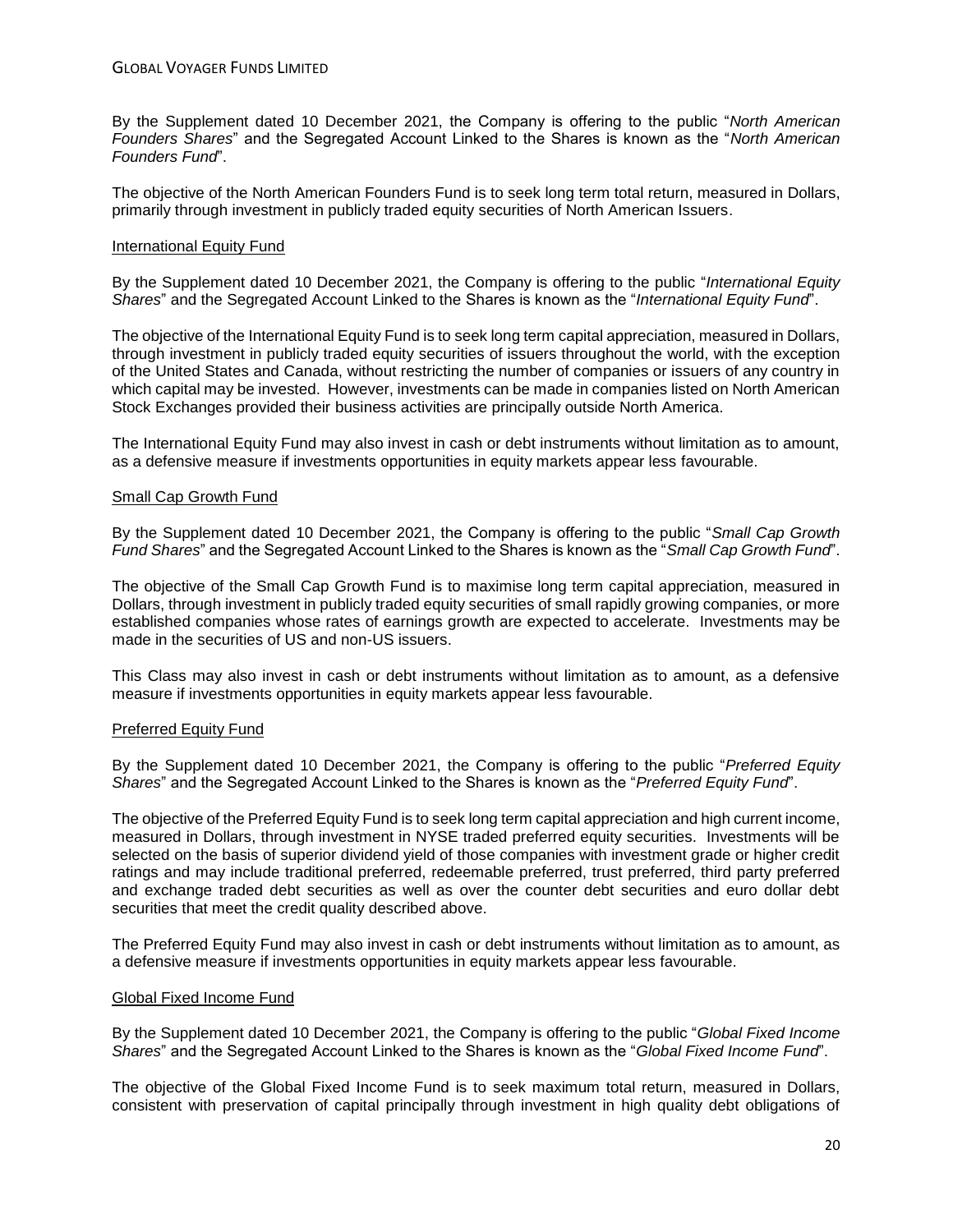By the Supplement dated 10 December 2021, the Company is offering to the public "*North American Founders Shares*" and the Segregated Account Linked to the Shares is known as the "*North American Founders Fund*".

The objective of the North American Founders Fund is to seek long term total return, measured in Dollars, primarily through investment in publicly traded equity securities of North American Issuers.

### International Equity Fund

By the Supplement dated 10 December 2021, the Company is offering to the public "*International Equity Shares*" and the Segregated Account Linked to the Shares is known as the "*International Equity Fund*".

The objective of the International Equity Fund is to seek long term capital appreciation, measured in Dollars, through investment in publicly traded equity securities of issuers throughout the world, with the exception of the United States and Canada, without restricting the number of companies or issuers of any country in which capital may be invested. However, investments can be made in companies listed on North American Stock Exchanges provided their business activities are principally outside North America.

The International Equity Fund may also invest in cash or debt instruments without limitation as to amount, as a defensive measure if investments opportunities in equity markets appear less favourable.

#### Small Cap Growth Fund

By the Supplement dated 10 December 2021, the Company is offering to the public "*Small Cap Growth Fund Shares*" and the Segregated Account Linked to the Shares is known as the "*Small Cap Growth Fund*".

The objective of the Small Cap Growth Fund is to maximise long term capital appreciation, measured in Dollars, through investment in publicly traded equity securities of small rapidly growing companies, or more established companies whose rates of earnings growth are expected to accelerate. Investments may be made in the securities of US and non-US issuers.

This Class may also invest in cash or debt instruments without limitation as to amount, as a defensive measure if investments opportunities in equity markets appear less favourable.

#### Preferred Equity Fund

By the Supplement dated 10 December 2021, the Company is offering to the public "*Preferred Equity Shares*" and the Segregated Account Linked to the Shares is known as the "*Preferred Equity Fund*".

The objective of the Preferred Equity Fund is to seek long term capital appreciation and high current income, measured in Dollars, through investment in NYSE traded preferred equity securities. Investments will be selected on the basis of superior dividend yield of those companies with investment grade or higher credit ratings and may include traditional preferred, redeemable preferred, trust preferred, third party preferred and exchange traded debt securities as well as over the counter debt securities and euro dollar debt securities that meet the credit quality described above.

The Preferred Equity Fund may also invest in cash or debt instruments without limitation as to amount, as a defensive measure if investments opportunities in equity markets appear less favourable.

#### Global Fixed Income Fund

By the Supplement dated 10 December 2021, the Company is offering to the public "*Global Fixed Income Shares*" and the Segregated Account Linked to the Shares is known as the "*Global Fixed Income Fund*".

The objective of the Global Fixed Income Fund is to seek maximum total return, measured in Dollars, consistent with preservation of capital principally through investment in high quality debt obligations of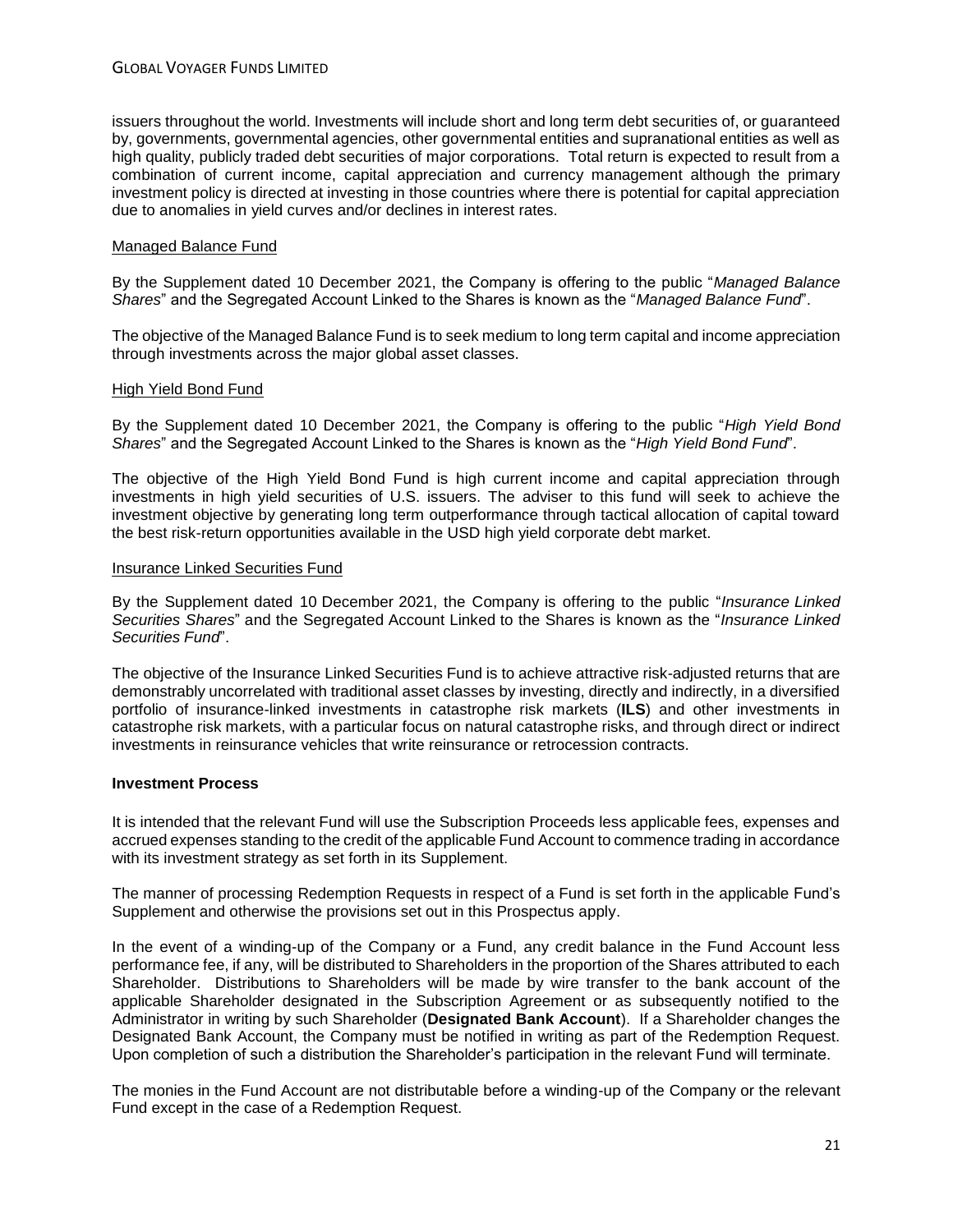issuers throughout the world. Investments will include short and long term debt securities of, or guaranteed by, governments, governmental agencies, other governmental entities and supranational entities as well as high quality, publicly traded debt securities of major corporations. Total return is expected to result from a combination of current income, capital appreciation and currency management although the primary investment policy is directed at investing in those countries where there is potential for capital appreciation due to anomalies in yield curves and/or declines in interest rates.

#### Managed Balance Fund

By the Supplement dated 10 December 2021, the Company is offering to the public "*Managed Balance Shares*" and the Segregated Account Linked to the Shares is known as the "*Managed Balance Fund*".

The objective of the Managed Balance Fund is to seek medium to long term capital and income appreciation through investments across the major global asset classes.

#### High Yield Bond Fund

By the Supplement dated 10 December 2021, the Company is offering to the public "*High Yield Bond Shares*" and the Segregated Account Linked to the Shares is known as the "*High Yield Bond Fund*".

The objective of the High Yield Bond Fund is high current income and capital appreciation through investments in high yield securities of U.S. issuers. The adviser to this fund will seek to achieve the investment objective by generating long term outperformance through tactical allocation of capital toward the best risk-return opportunities available in the USD high yield corporate debt market.

### Insurance Linked Securities Fund

By the Supplement dated 10 December 2021, the Company is offering to the public "*Insurance Linked Securities Shares*" and the Segregated Account Linked to the Shares is known as the "*Insurance Linked Securities Fund*".

The objective of the Insurance Linked Securities Fund is to achieve attractive risk-adjusted returns that are demonstrably uncorrelated with traditional asset classes by investing, directly and indirectly, in a diversified portfolio of insurance-linked investments in catastrophe risk markets (**ILS**) and other investments in catastrophe risk markets, with a particular focus on natural catastrophe risks, and through direct or indirect investments in reinsurance vehicles that write reinsurance or retrocession contracts.

### **Investment Process**

It is intended that the relevant Fund will use the Subscription Proceeds less applicable fees, expenses and accrued expenses standing to the credit of the applicable Fund Account to commence trading in accordance with its investment strategy as set forth in its Supplement.

The manner of processing Redemption Requests in respect of a Fund is set forth in the applicable Fund's Supplement and otherwise the provisions set out in this Prospectus apply.

<span id="page-20-0"></span>In the event of a winding-up of the Company or a Fund, any credit balance in the Fund Account less performance fee, if any, will be distributed to Shareholders in the proportion of the Shares attributed to each Shareholder. Distributions to Shareholders will be made by wire transfer to the bank account of the applicable Shareholder designated in the Subscription Agreement or as subsequently notified to the Administrator in writing by such Shareholder (**Designated Bank Account**). If a Shareholder changes the Designated Bank Account, the Company must be notified in writing as part of the Redemption Request. Upon completion of such a distribution the Shareholder's participation in the relevant Fund will terminate.

The monies in the Fund Account are not distributable before a winding-up of the Company or the relevant Fund except in the case of a Redemption Request.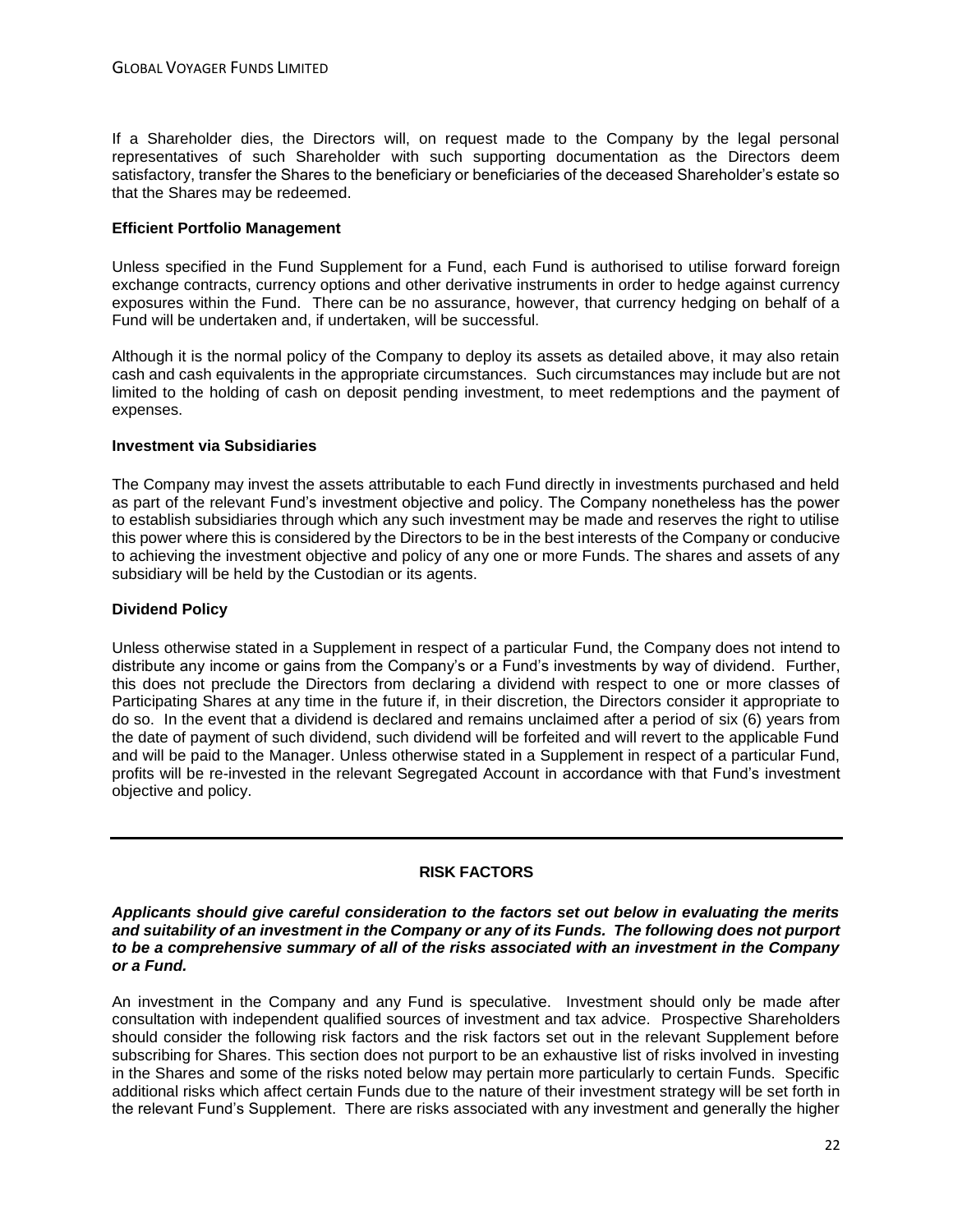If a Shareholder dies, the Directors will, on request made to the Company by the legal personal representatives of such Shareholder with such supporting documentation as the Directors deem satisfactory, transfer the Shares to the beneficiary or beneficiaries of the deceased Shareholder's estate so that the Shares may be redeemed.

## **Efficient Portfolio Management**

Unless specified in the Fund Supplement for a Fund, each Fund is authorised to utilise forward foreign exchange contracts, currency options and other derivative instruments in order to hedge against currency exposures within the Fund. There can be no assurance, however, that currency hedging on behalf of a Fund will be undertaken and, if undertaken, will be successful.

Although it is the normal policy of the Company to deploy its assets as detailed above, it may also retain cash and cash equivalents in the appropriate circumstances. Such circumstances may include but are not limited to the holding of cash on deposit pending investment, to meet redemptions and the payment of expenses.

## **Investment via Subsidiaries**

The Company may invest the assets attributable to each Fund directly in investments purchased and held as part of the relevant Fund's investment objective and policy. The Company nonetheless has the power to establish subsidiaries through which any such investment may be made and reserves the right to utilise this power where this is considered by the Directors to be in the best interests of the Company or conducive to achieving the investment objective and policy of any one or more Funds. The shares and assets of any subsidiary will be held by the Custodian or its agents.

### **Dividend Policy**

Unless otherwise stated in a Supplement in respect of a particular Fund, the Company does not intend to distribute any income or gains from the Company's or a Fund's investments by way of dividend. Further, this does not preclude the Directors from declaring a dividend with respect to one or more classes of Participating Shares at any time in the future if, in their discretion, the Directors consider it appropriate to do so. In the event that a dividend is declared and remains unclaimed after a period of six (6) years from the date of payment of such dividend, such dividend will be forfeited and will revert to the applicable Fund and will be paid to the Manager. Unless otherwise stated in a Supplement in respect of a particular Fund, profits will be re-invested in the relevant Segregated Account in accordance with that Fund's investment objective and policy.

### **RISK FACTORS**

*Applicants should give careful consideration to the factors set out below in evaluating the merits and suitability of an investment in the Company or any of its Funds. The following does not purport to be a comprehensive summary of all of the risks associated with an investment in the Company or a Fund.*

An investment in the Company and any Fund is speculative. Investment should only be made after consultation with independent qualified sources of investment and tax advice. Prospective Shareholders should consider the following risk factors and the risk factors set out in the relevant Supplement before subscribing for Shares. This section does not purport to be an exhaustive list of risks involved in investing in the Shares and some of the risks noted below may pertain more particularly to certain Funds. Specific additional risks which affect certain Funds due to the nature of their investment strategy will be set forth in the relevant Fund's Supplement. There are risks associated with any investment and generally the higher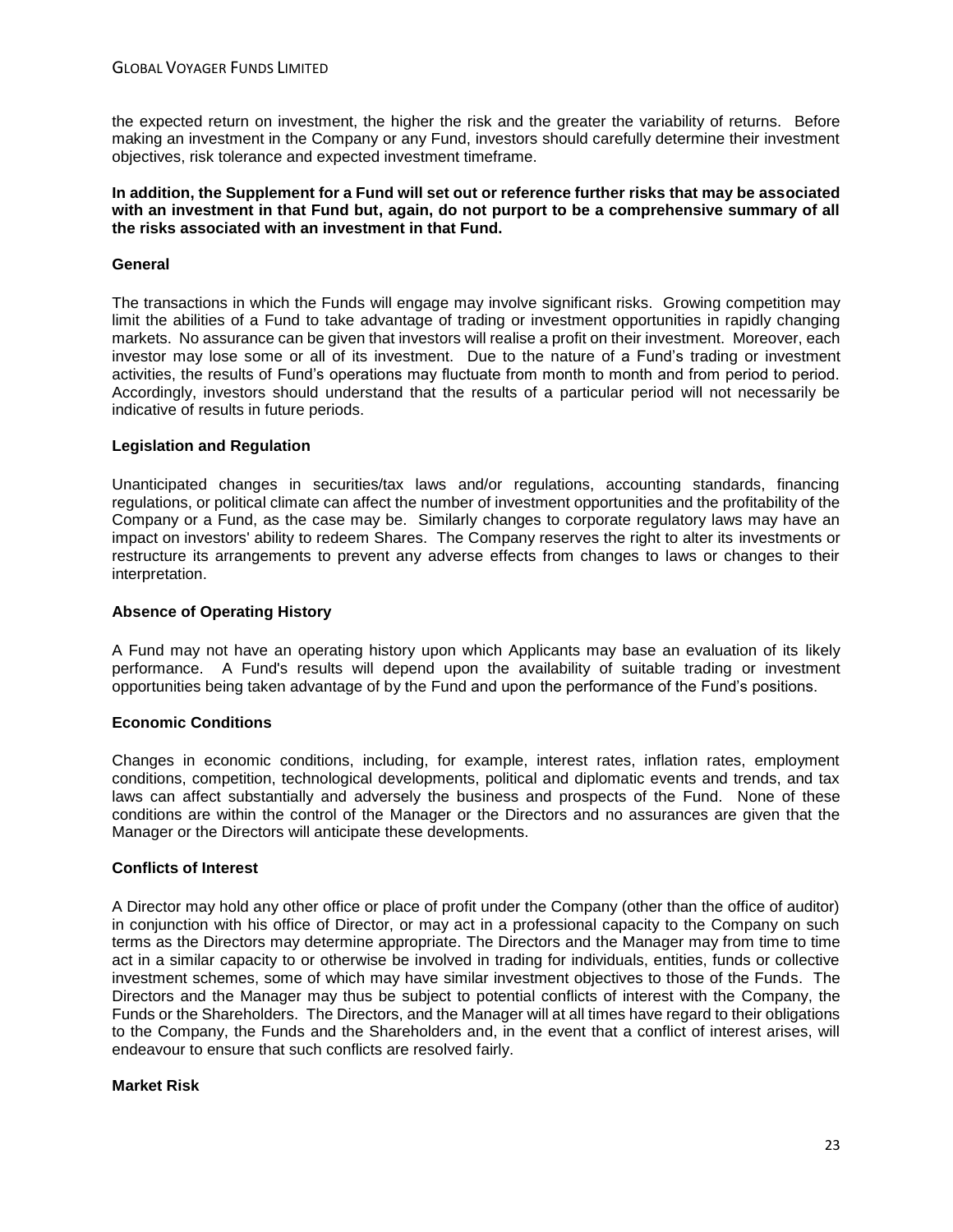the expected return on investment, the higher the risk and the greater the variability of returns. Before making an investment in the Company or any Fund, investors should carefully determine their investment objectives, risk tolerance and expected investment timeframe.

### **In addition, the Supplement for a Fund will set out or reference further risks that may be associated with an investment in that Fund but, again, do not purport to be a comprehensive summary of all the risks associated with an investment in that Fund.**

### **General**

The transactions in which the Funds will engage may involve significant risks. Growing competition may limit the abilities of a Fund to take advantage of trading or investment opportunities in rapidly changing markets. No assurance can be given that investors will realise a profit on their investment. Moreover, each investor may lose some or all of its investment. Due to the nature of a Fund's trading or investment activities, the results of Fund's operations may fluctuate from month to month and from period to period. Accordingly, investors should understand that the results of a particular period will not necessarily be indicative of results in future periods.

## **Legislation and Regulation**

Unanticipated changes in securities/tax laws and/or regulations, accounting standards, financing regulations, or political climate can affect the number of investment opportunities and the profitability of the Company or a Fund, as the case may be. Similarly changes to corporate regulatory laws may have an impact on investors' ability to redeem Shares. The Company reserves the right to alter its investments or restructure its arrangements to prevent any adverse effects from changes to laws or changes to their interpretation.

## **Absence of Operating History**

A Fund may not have an operating history upon which Applicants may base an evaluation of its likely performance. A Fund's results will depend upon the availability of suitable trading or investment opportunities being taken advantage of by the Fund and upon the performance of the Fund's positions.

### **Economic Conditions**

Changes in economic conditions, including, for example, interest rates, inflation rates, employment conditions, competition, technological developments, political and diplomatic events and trends, and tax laws can affect substantially and adversely the business and prospects of the Fund. None of these conditions are within the control of the Manager or the Directors and no assurances are given that the Manager or the Directors will anticipate these developments.

### **Conflicts of Interest**

A Director may hold any other office or place of profit under the Company (other than the office of auditor) in conjunction with his office of Director, or may act in a professional capacity to the Company on such terms as the Directors may determine appropriate. The Directors and the Manager may from time to time act in a similar capacity to or otherwise be involved in trading for individuals, entities, funds or collective investment schemes, some of which may have similar investment objectives to those of the Funds. The Directors and the Manager may thus be subject to potential conflicts of interest with the Company, the Funds or the Shareholders. The Directors, and the Manager will at all times have regard to their obligations to the Company, the Funds and the Shareholders and, in the event that a conflict of interest arises, will endeavour to ensure that such conflicts are resolved fairly.

## **Market Risk**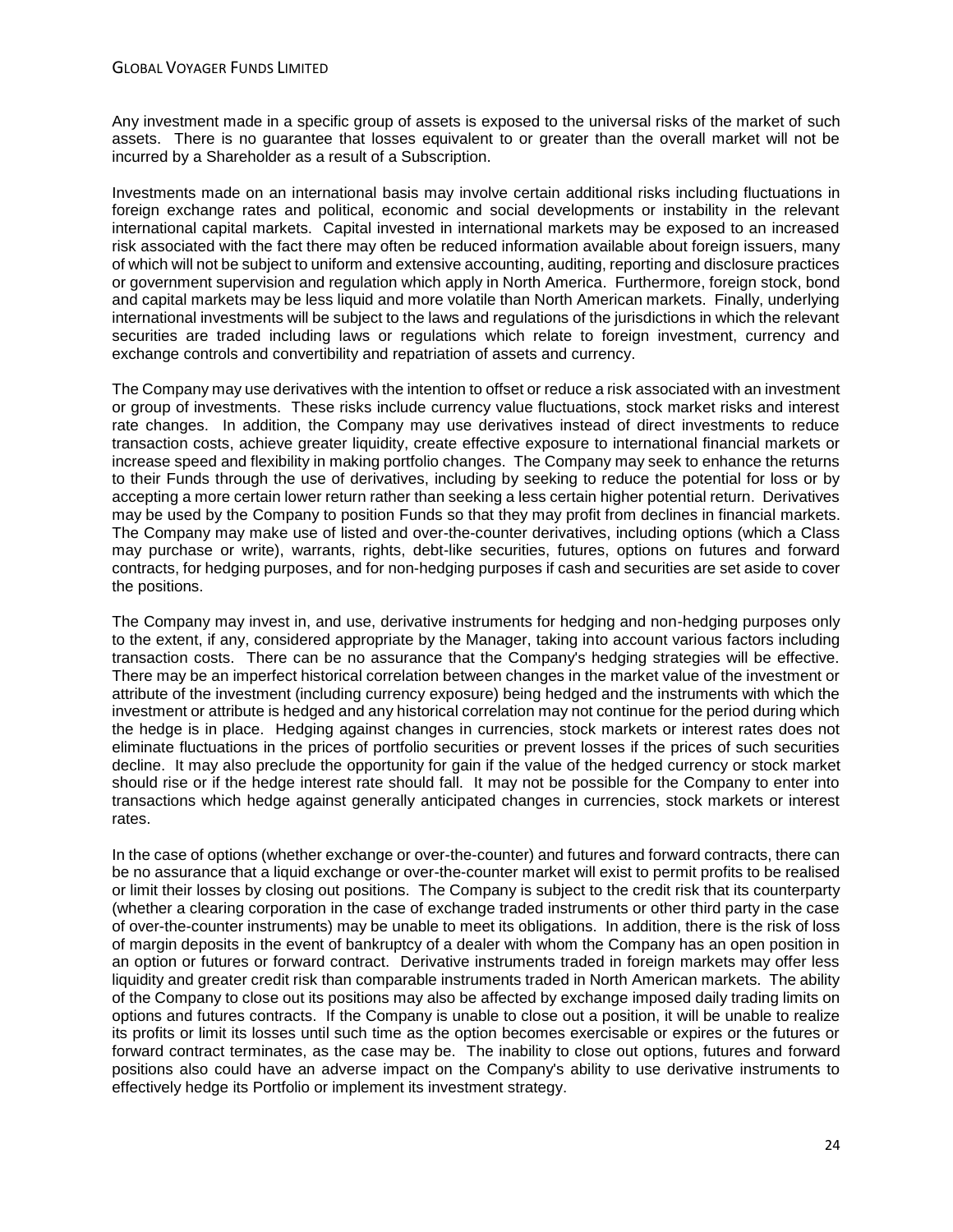Any investment made in a specific group of assets is exposed to the universal risks of the market of such assets. There is no guarantee that losses equivalent to or greater than the overall market will not be incurred by a Shareholder as a result of a Subscription.

Investments made on an international basis may involve certain additional risks including fluctuations in foreign exchange rates and political, economic and social developments or instability in the relevant international capital markets. Capital invested in international markets may be exposed to an increased risk associated with the fact there may often be reduced information available about foreign issuers, many of which will not be subject to uniform and extensive accounting, auditing, reporting and disclosure practices or government supervision and regulation which apply in North America. Furthermore, foreign stock, bond and capital markets may be less liquid and more volatile than North American markets. Finally, underlying international investments will be subject to the laws and regulations of the jurisdictions in which the relevant securities are traded including laws or regulations which relate to foreign investment, currency and exchange controls and convertibility and repatriation of assets and currency.

The Company may use derivatives with the intention to offset or reduce a risk associated with an investment or group of investments. These risks include currency value fluctuations, stock market risks and interest rate changes. In addition, the Company may use derivatives instead of direct investments to reduce transaction costs, achieve greater liquidity, create effective exposure to international financial markets or increase speed and flexibility in making portfolio changes. The Company may seek to enhance the returns to their Funds through the use of derivatives, including by seeking to reduce the potential for loss or by accepting a more certain lower return rather than seeking a less certain higher potential return. Derivatives may be used by the Company to position Funds so that they may profit from declines in financial markets. The Company may make use of listed and over-the-counter derivatives, including options (which a Class may purchase or write), warrants, rights, debt-like securities, futures, options on futures and forward contracts, for hedging purposes, and for non-hedging purposes if cash and securities are set aside to cover the positions.

The Company may invest in, and use, derivative instruments for hedging and non-hedging purposes only to the extent, if any, considered appropriate by the Manager, taking into account various factors including transaction costs. There can be no assurance that the Company's hedging strategies will be effective. There may be an imperfect historical correlation between changes in the market value of the investment or attribute of the investment (including currency exposure) being hedged and the instruments with which the investment or attribute is hedged and any historical correlation may not continue for the period during which the hedge is in place. Hedging against changes in currencies, stock markets or interest rates does not eliminate fluctuations in the prices of portfolio securities or prevent losses if the prices of such securities decline. It may also preclude the opportunity for gain if the value of the hedged currency or stock market should rise or if the hedge interest rate should fall. It may not be possible for the Company to enter into transactions which hedge against generally anticipated changes in currencies, stock markets or interest rates.

In the case of options (whether exchange or over-the-counter) and futures and forward contracts, there can be no assurance that a liquid exchange or over-the-counter market will exist to permit profits to be realised or limit their losses by closing out positions. The Company is subject to the credit risk that its counterparty (whether a clearing corporation in the case of exchange traded instruments or other third party in the case of over-the-counter instruments) may be unable to meet its obligations. In addition, there is the risk of loss of margin deposits in the event of bankruptcy of a dealer with whom the Company has an open position in an option or futures or forward contract. Derivative instruments traded in foreign markets may offer less liquidity and greater credit risk than comparable instruments traded in North American markets. The ability of the Company to close out its positions may also be affected by exchange imposed daily trading limits on options and futures contracts. If the Company is unable to close out a position, it will be unable to realize its profits or limit its losses until such time as the option becomes exercisable or expires or the futures or forward contract terminates, as the case may be. The inability to close out options, futures and forward positions also could have an adverse impact on the Company's ability to use derivative instruments to effectively hedge its Portfolio or implement its investment strategy.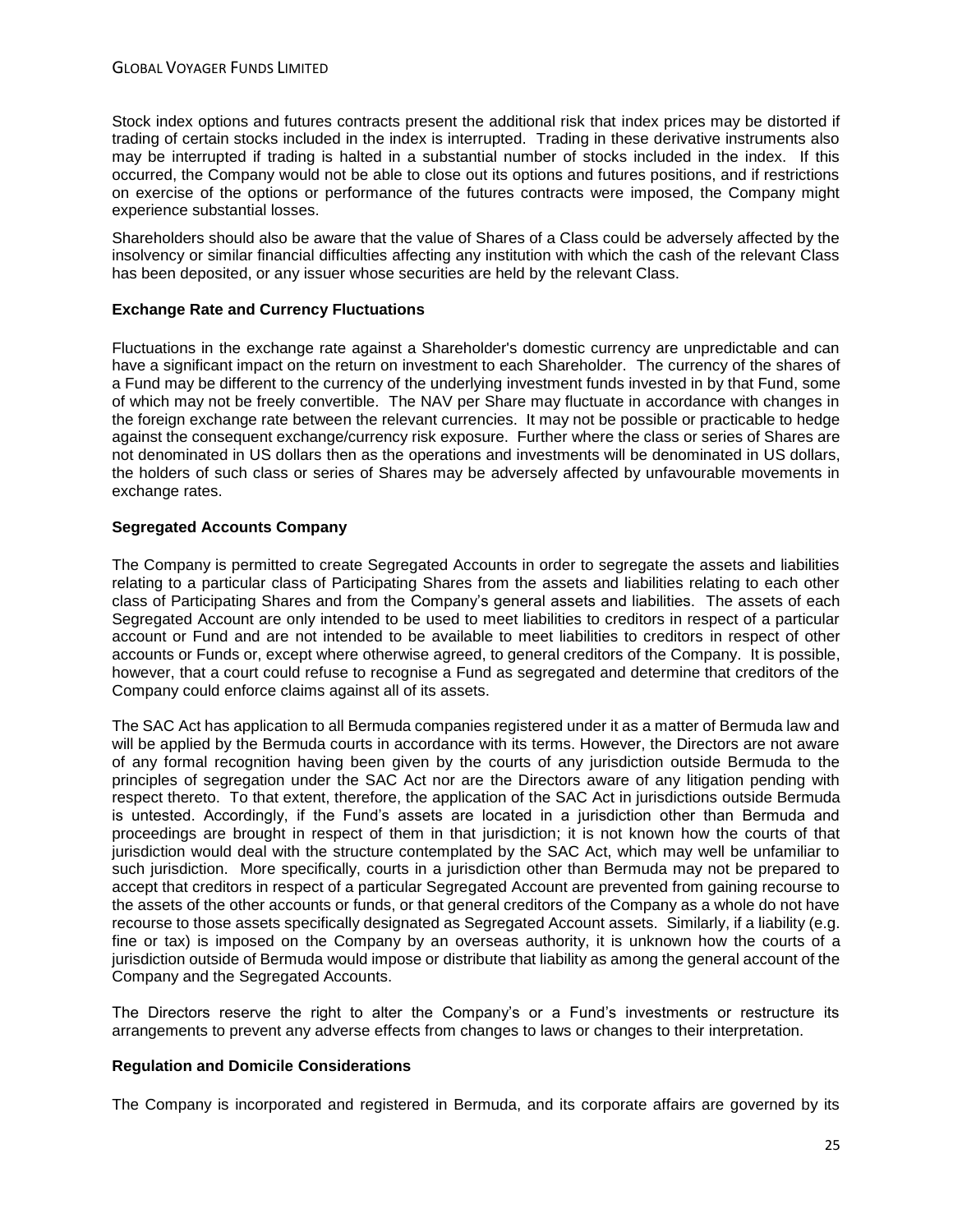Stock index options and futures contracts present the additional risk that index prices may be distorted if trading of certain stocks included in the index is interrupted. Trading in these derivative instruments also may be interrupted if trading is halted in a substantial number of stocks included in the index. If this occurred, the Company would not be able to close out its options and futures positions, and if restrictions on exercise of the options or performance of the futures contracts were imposed, the Company might experience substantial losses.

Shareholders should also be aware that the value of Shares of a Class could be adversely affected by the insolvency or similar financial difficulties affecting any institution with which the cash of the relevant Class has been deposited, or any issuer whose securities are held by the relevant Class.

## **Exchange Rate and Currency Fluctuations**

Fluctuations in the exchange rate against a Shareholder's domestic currency are unpredictable and can have a significant impact on the return on investment to each Shareholder. The currency of the shares of a Fund may be different to the currency of the underlying investment funds invested in by that Fund, some of which may not be freely convertible. The NAV per Share may fluctuate in accordance with changes in the foreign exchange rate between the relevant currencies. It may not be possible or practicable to hedge against the consequent exchange/currency risk exposure. Further where the class or series of Shares are not denominated in US dollars then as the operations and investments will be denominated in US dollars, the holders of such class or series of Shares may be adversely affected by unfavourable movements in exchange rates.

## **Segregated Accounts Company**

The Company is permitted to create Segregated Accounts in order to segregate the assets and liabilities relating to a particular class of Participating Shares from the assets and liabilities relating to each other class of Participating Shares and from the Company's general assets and liabilities. The assets of each Segregated Account are only intended to be used to meet liabilities to creditors in respect of a particular account or Fund and are not intended to be available to meet liabilities to creditors in respect of other accounts or Funds or, except where otherwise agreed, to general creditors of the Company. It is possible, however, that a court could refuse to recognise a Fund as segregated and determine that creditors of the Company could enforce claims against all of its assets.

The SAC Act has application to all Bermuda companies registered under it as a matter of Bermuda law and will be applied by the Bermuda courts in accordance with its terms. However, the Directors are not aware of any formal recognition having been given by the courts of any jurisdiction outside Bermuda to the principles of segregation under the SAC Act nor are the Directors aware of any litigation pending with respect thereto. To that extent, therefore, the application of the SAC Act in jurisdictions outside Bermuda is untested. Accordingly, if the Fund's assets are located in a jurisdiction other than Bermuda and proceedings are brought in respect of them in that jurisdiction; it is not known how the courts of that jurisdiction would deal with the structure contemplated by the SAC Act, which may well be unfamiliar to such jurisdiction. More specifically, courts in a jurisdiction other than Bermuda may not be prepared to accept that creditors in respect of a particular Segregated Account are prevented from gaining recourse to the assets of the other accounts or funds, or that general creditors of the Company as a whole do not have recourse to those assets specifically designated as Segregated Account assets. Similarly, if a liability (e.g. fine or tax) is imposed on the Company by an overseas authority, it is unknown how the courts of a jurisdiction outside of Bermuda would impose or distribute that liability as among the general account of the Company and the Segregated Accounts.

The Directors reserve the right to alter the Company's or a Fund's investments or restructure its arrangements to prevent any adverse effects from changes to laws or changes to their interpretation.

### **Regulation and Domicile Considerations**

The Company is incorporated and registered in Bermuda, and its corporate affairs are governed by its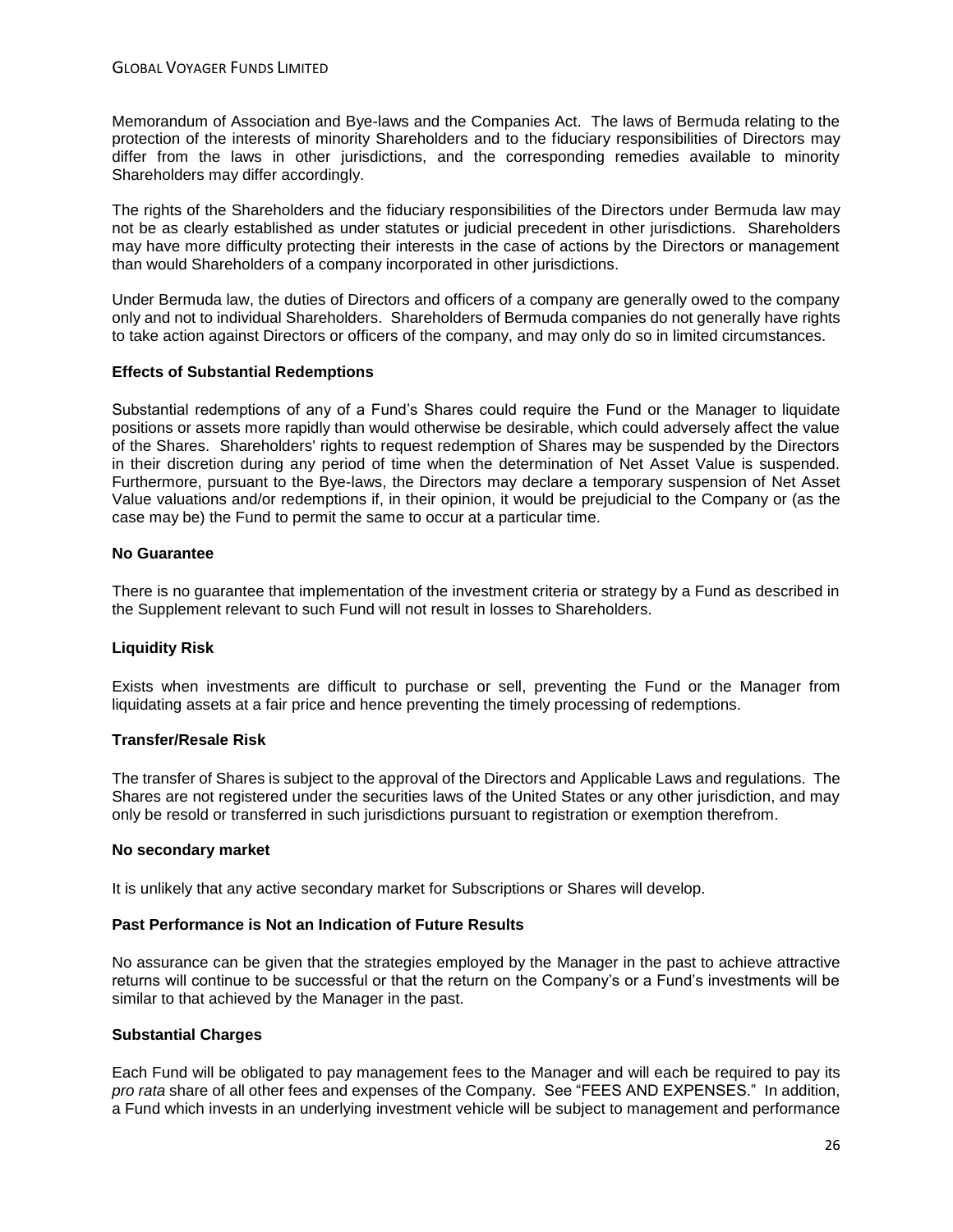Memorandum of Association and Bye-laws and the Companies Act. The laws of Bermuda relating to the protection of the interests of minority Shareholders and to the fiduciary responsibilities of Directors may differ from the laws in other jurisdictions, and the corresponding remedies available to minority Shareholders may differ accordingly.

The rights of the Shareholders and the fiduciary responsibilities of the Directors under Bermuda law may not be as clearly established as under statutes or judicial precedent in other jurisdictions. Shareholders may have more difficulty protecting their interests in the case of actions by the Directors or management than would Shareholders of a company incorporated in other jurisdictions.

Under Bermuda law, the duties of Directors and officers of a company are generally owed to the company only and not to individual Shareholders. Shareholders of Bermuda companies do not generally have rights to take action against Directors or officers of the company, and may only do so in limited circumstances.

## **Effects of Substantial Redemptions**

Substantial redemptions of any of a Fund's Shares could require the Fund or the Manager to liquidate positions or assets more rapidly than would otherwise be desirable, which could adversely affect the value of the Shares. Shareholders' rights to request redemption of Shares may be suspended by the Directors in their discretion during any period of time when the determination of Net Asset Value is suspended. Furthermore, pursuant to the Bye-laws, the Directors may declare a temporary suspension of Net Asset Value valuations and/or redemptions if, in their opinion, it would be prejudicial to the Company or (as the case may be) the Fund to permit the same to occur at a particular time.

## **No Guarantee**

There is no guarantee that implementation of the investment criteria or strategy by a Fund as described in the Supplement relevant to such Fund will not result in losses to Shareholders.

### **Liquidity Risk**

Exists when investments are difficult to purchase or sell, preventing the Fund or the Manager from liquidating assets at a fair price and hence preventing the timely processing of redemptions.

### **Transfer/Resale Risk**

The transfer of Shares is subject to the approval of the Directors and Applicable Laws and regulations. The Shares are not registered under the securities laws of the United States or any other jurisdiction, and may only be resold or transferred in such jurisdictions pursuant to registration or exemption therefrom.

### **No secondary market**

It is unlikely that any active secondary market for Subscriptions or Shares will develop.

### **Past Performance is Not an Indication of Future Results**

No assurance can be given that the strategies employed by the Manager in the past to achieve attractive returns will continue to be successful or that the return on the Company's or a Fund's investments will be similar to that achieved by the Manager in the past.

### **Substantial Charges**

Each Fund will be obligated to pay management fees to the Manager and will each be required to pay its *pro rata* share of all other fees and expenses of the Company. See "FEES AND EXPENSES." In addition, a Fund which invests in an underlying investment vehicle will be subject to management and performance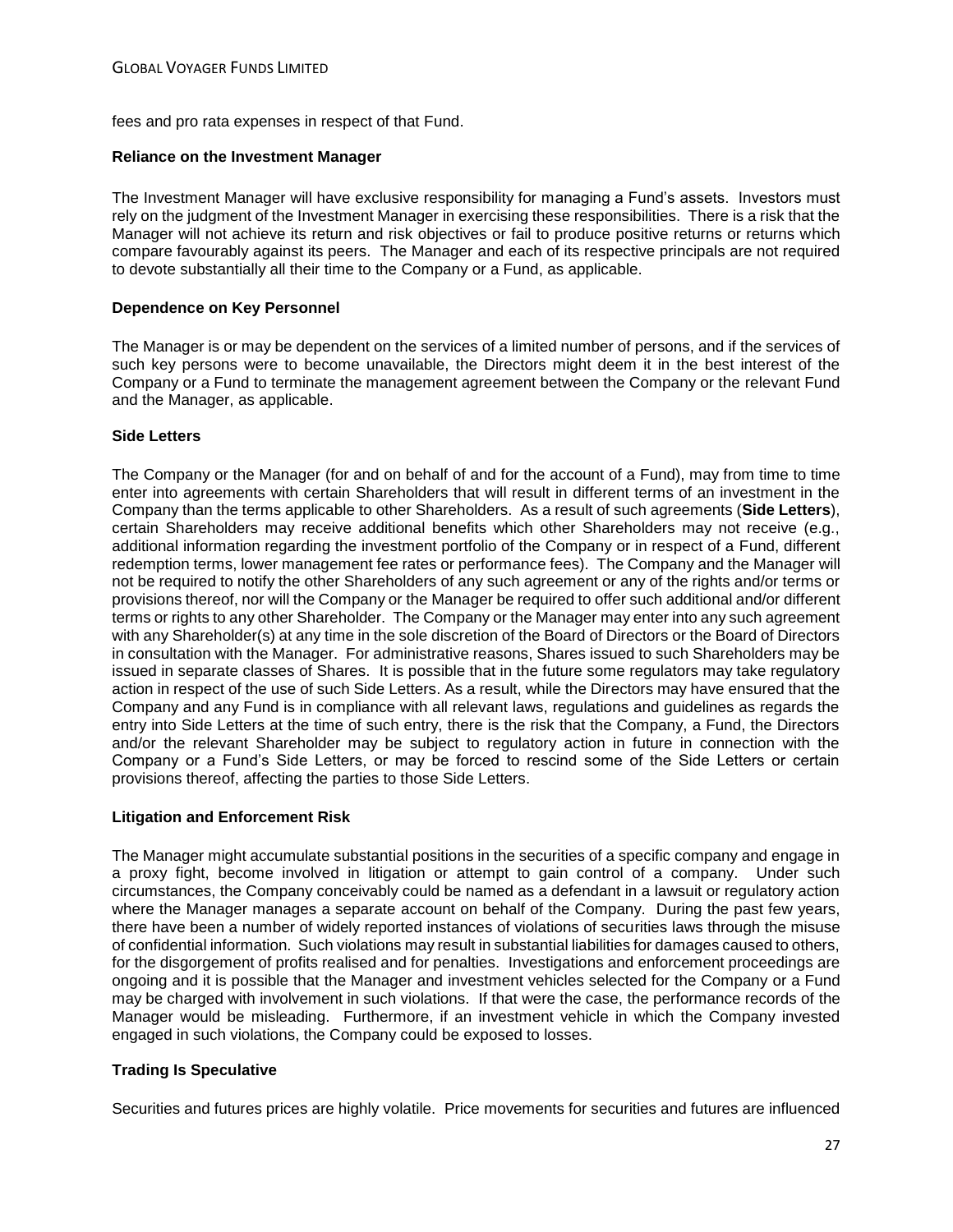fees and pro rata expenses in respect of that Fund.

### **Reliance on the Investment Manager**

The Investment Manager will have exclusive responsibility for managing a Fund's assets. Investors must rely on the judgment of the Investment Manager in exercising these responsibilities. There is a risk that the Manager will not achieve its return and risk objectives or fail to produce positive returns or returns which compare favourably against its peers. The Manager and each of its respective principals are not required to devote substantially all their time to the Company or a Fund, as applicable.

## **Dependence on Key Personnel**

The Manager is or may be dependent on the services of a limited number of persons, and if the services of such key persons were to become unavailable, the Directors might deem it in the best interest of the Company or a Fund to terminate the management agreement between the Company or the relevant Fund and the Manager, as applicable.

## **Side Letters**

The Company or the Manager (for and on behalf of and for the account of a Fund), may from time to time enter into agreements with certain Shareholders that will result in different terms of an investment in the Company than the terms applicable to other Shareholders. As a result of such agreements (**Side Letters**), certain Shareholders may receive additional benefits which other Shareholders may not receive (e.g., additional information regarding the investment portfolio of the Company or in respect of a Fund, different redemption terms, lower management fee rates or performance fees). The Company and the Manager will not be required to notify the other Shareholders of any such agreement or any of the rights and/or terms or provisions thereof, nor will the Company or the Manager be required to offer such additional and/or different terms or rights to any other Shareholder. The Company or the Manager may enter into any such agreement with any Shareholder(s) at any time in the sole discretion of the Board of Directors or the Board of Directors in consultation with the Manager. For administrative reasons, Shares issued to such Shareholders may be issued in separate classes of Shares. It is possible that in the future some regulators may take regulatory action in respect of the use of such Side Letters. As a result, while the Directors may have ensured that the Company and any Fund is in compliance with all relevant laws, regulations and guidelines as regards the entry into Side Letters at the time of such entry, there is the risk that the Company, a Fund, the Directors and/or the relevant Shareholder may be subject to regulatory action in future in connection with the Company or a Fund's Side Letters, or may be forced to rescind some of the Side Letters or certain provisions thereof, affecting the parties to those Side Letters.

# **Litigation and Enforcement Risk**

The Manager might accumulate substantial positions in the securities of a specific company and engage in a proxy fight, become involved in litigation or attempt to gain control of a company. Under such circumstances, the Company conceivably could be named as a defendant in a lawsuit or regulatory action where the Manager manages a separate account on behalf of the Company. During the past few years, there have been a number of widely reported instances of violations of securities laws through the misuse of confidential information. Such violations may result in substantial liabilities for damages caused to others, for the disgorgement of profits realised and for penalties. Investigations and enforcement proceedings are ongoing and it is possible that the Manager and investment vehicles selected for the Company or a Fund may be charged with involvement in such violations. If that were the case, the performance records of the Manager would be misleading. Furthermore, if an investment vehicle in which the Company invested engaged in such violations, the Company could be exposed to losses.

# **Trading Is Speculative**

Securities and futures prices are highly volatile. Price movements for securities and futures are influenced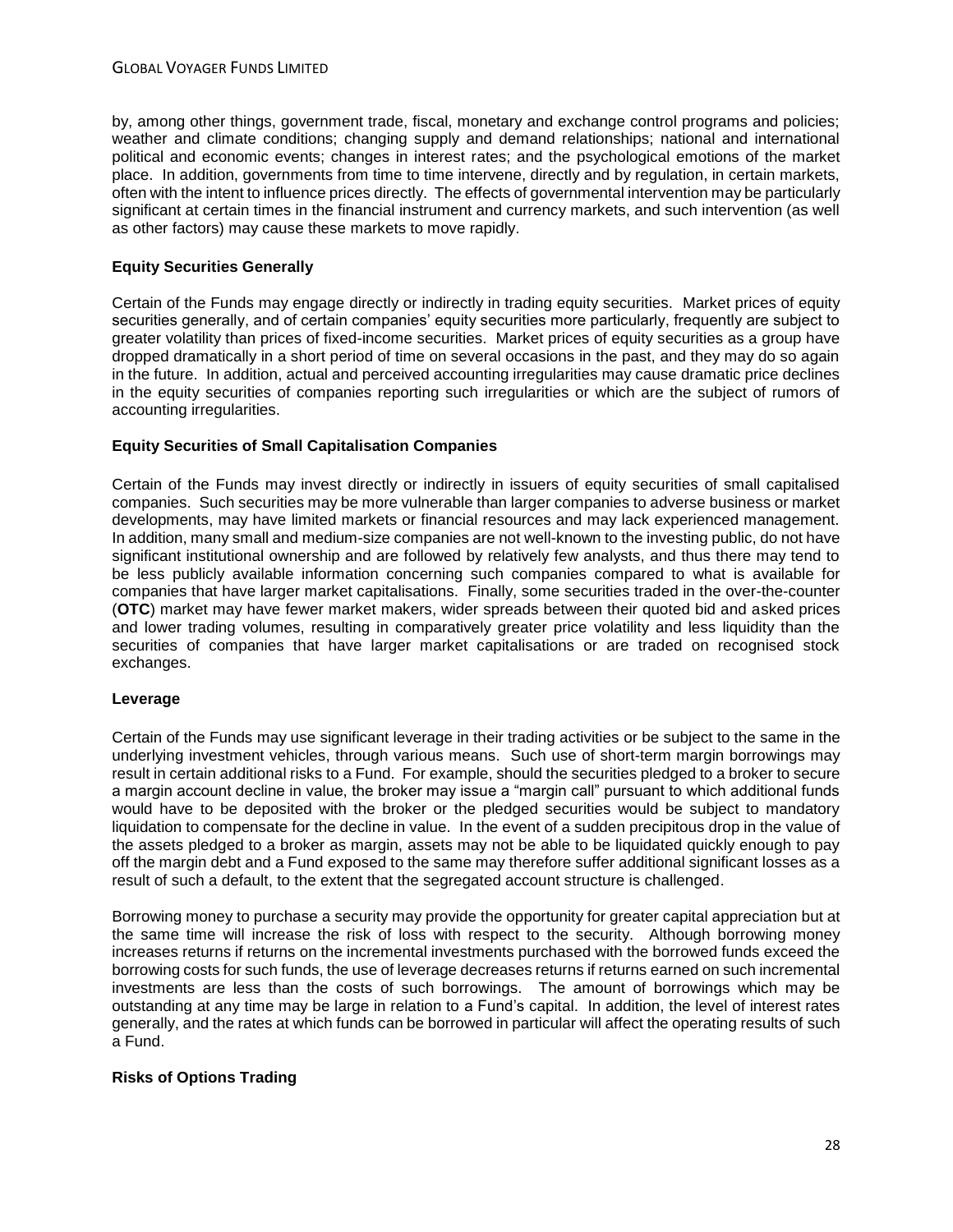by, among other things, government trade, fiscal, monetary and exchange control programs and policies; weather and climate conditions; changing supply and demand relationships; national and international political and economic events; changes in interest rates; and the psychological emotions of the market place. In addition, governments from time to time intervene, directly and by regulation, in certain markets, often with the intent to influence prices directly. The effects of governmental intervention may be particularly significant at certain times in the financial instrument and currency markets, and such intervention (as well as other factors) may cause these markets to move rapidly.

# **Equity Securities Generally**

Certain of the Funds may engage directly or indirectly in trading equity securities. Market prices of equity securities generally, and of certain companies' equity securities more particularly, frequently are subject to greater volatility than prices of fixed-income securities. Market prices of equity securities as a group have dropped dramatically in a short period of time on several occasions in the past, and they may do so again in the future. In addition, actual and perceived accounting irregularities may cause dramatic price declines in the equity securities of companies reporting such irregularities or which are the subject of rumors of accounting irregularities.

## **Equity Securities of Small Capitalisation Companies**

Certain of the Funds may invest directly or indirectly in issuers of equity securities of small capitalised companies. Such securities may be more vulnerable than larger companies to adverse business or market developments, may have limited markets or financial resources and may lack experienced management. In addition, many small and medium-size companies are not well-known to the investing public, do not have significant institutional ownership and are followed by relatively few analysts, and thus there may tend to be less publicly available information concerning such companies compared to what is available for companies that have larger market capitalisations. Finally, some securities traded in the over-the-counter (**OTC**) market may have fewer market makers, wider spreads between their quoted bid and asked prices and lower trading volumes, resulting in comparatively greater price volatility and less liquidity than the securities of companies that have larger market capitalisations or are traded on recognised stock exchanges.

### <span id="page-27-0"></span>**Leverage**

Certain of the Funds may use significant leverage in their trading activities or be subject to the same in the underlying investment vehicles, through various means. Such use of short-term margin borrowings may result in certain additional risks to a Fund. For example, should the securities pledged to a broker to secure a margin account decline in value, the broker may issue a "margin call" pursuant to which additional funds would have to be deposited with the broker or the pledged securities would be subject to mandatory liquidation to compensate for the decline in value. In the event of a sudden precipitous drop in the value of the assets pledged to a broker as margin, assets may not be able to be liquidated quickly enough to pay off the margin debt and a Fund exposed to the same may therefore suffer additional significant losses as a result of such a default, to the extent that the segregated account structure is challenged.

Borrowing money to purchase a security may provide the opportunity for greater capital appreciation but at the same time will increase the risk of loss with respect to the security. Although borrowing money increases returns if returns on the incremental investments purchased with the borrowed funds exceed the borrowing costs for such funds, the use of leverage decreases returns if returns earned on such incremental investments are less than the costs of such borrowings. The amount of borrowings which may be outstanding at any time may be large in relation to a Fund's capital. In addition, the level of interest rates generally, and the rates at which funds can be borrowed in particular will affect the operating results of such a Fund.

## **Risks of Options Trading**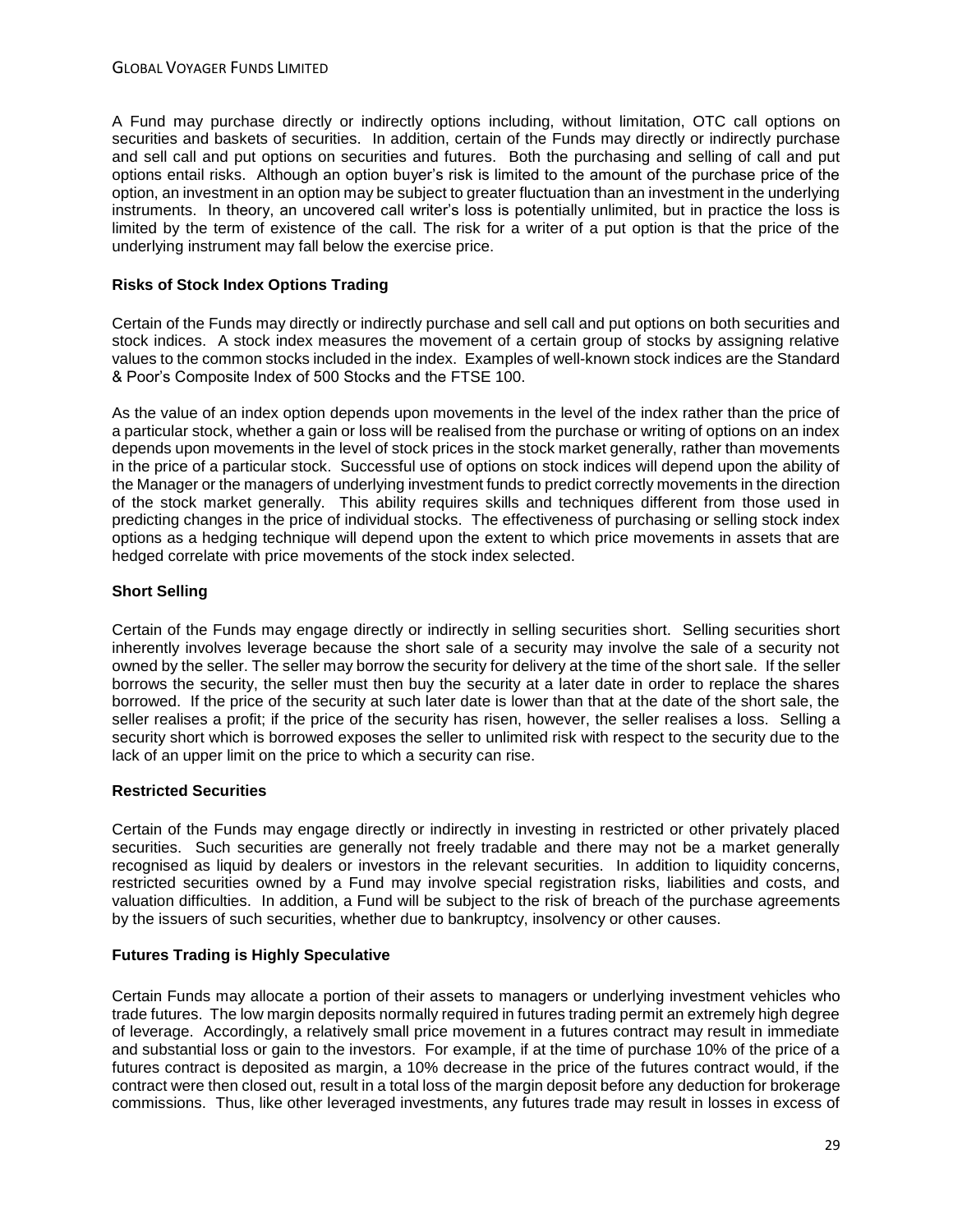A Fund may purchase directly or indirectly options including, without limitation, OTC call options on securities and baskets of securities. In addition, certain of the Funds may directly or indirectly purchase and sell call and put options on securities and futures. Both the purchasing and selling of call and put options entail risks. Although an option buyer's risk is limited to the amount of the purchase price of the option, an investment in an option may be subject to greater fluctuation than an investment in the underlying instruments. In theory, an uncovered call writer's loss is potentially unlimited, but in practice the loss is limited by the term of existence of the call. The risk for a writer of a put option is that the price of the underlying instrument may fall below the exercise price.

## **Risks of Stock Index Options Trading**

Certain of the Funds may directly or indirectly purchase and sell call and put options on both securities and stock indices. A stock index measures the movement of a certain group of stocks by assigning relative values to the common stocks included in the index. Examples of well-known stock indices are the Standard & Poor's Composite Index of 500 Stocks and the FTSE 100.

As the value of an index option depends upon movements in the level of the index rather than the price of a particular stock, whether a gain or loss will be realised from the purchase or writing of options on an index depends upon movements in the level of stock prices in the stock market generally, rather than movements in the price of a particular stock. Successful use of options on stock indices will depend upon the ability of the Manager or the managers of underlying investment funds to predict correctly movements in the direction of the stock market generally. This ability requires skills and techniques different from those used in predicting changes in the price of individual stocks. The effectiveness of purchasing or selling stock index options as a hedging technique will depend upon the extent to which price movements in assets that are hedged correlate with price movements of the stock index selected.

## **Short Selling**

Certain of the Funds may engage directly or indirectly in selling securities short. Selling securities short inherently involves leverage because the short sale of a security may involve the sale of a security not owned by the seller. The seller may borrow the security for delivery at the time of the short sale. If the seller borrows the security, the seller must then buy the security at a later date in order to replace the shares borrowed. If the price of the security at such later date is lower than that at the date of the short sale, the seller realises a profit; if the price of the security has risen, however, the seller realises a loss. Selling a security short which is borrowed exposes the seller to unlimited risk with respect to the security due to the lack of an upper limit on the price to which a security can rise.

### **Restricted Securities**

Certain of the Funds may engage directly or indirectly in investing in restricted or other privately placed securities. Such securities are generally not freely tradable and there may not be a market generally recognised as liquid by dealers or investors in the relevant securities. In addition to liquidity concerns, restricted securities owned by a Fund may involve special registration risks, liabilities and costs, and valuation difficulties. In addition, a Fund will be subject to the risk of breach of the purchase agreements by the issuers of such securities, whether due to bankruptcy, insolvency or other causes.

# **Futures Trading is Highly Speculative**

Certain Funds may allocate a portion of their assets to managers or underlying investment vehicles who trade futures. The low margin deposits normally required in futures trading permit an extremely high degree of leverage. Accordingly, a relatively small price movement in a futures contract may result in immediate and substantial loss or gain to the investors. For example, if at the time of purchase 10% of the price of a futures contract is deposited as margin, a 10% decrease in the price of the futures contract would, if the contract were then closed out, result in a total loss of the margin deposit before any deduction for brokerage commissions. Thus, like other leveraged investments, any futures trade may result in losses in excess of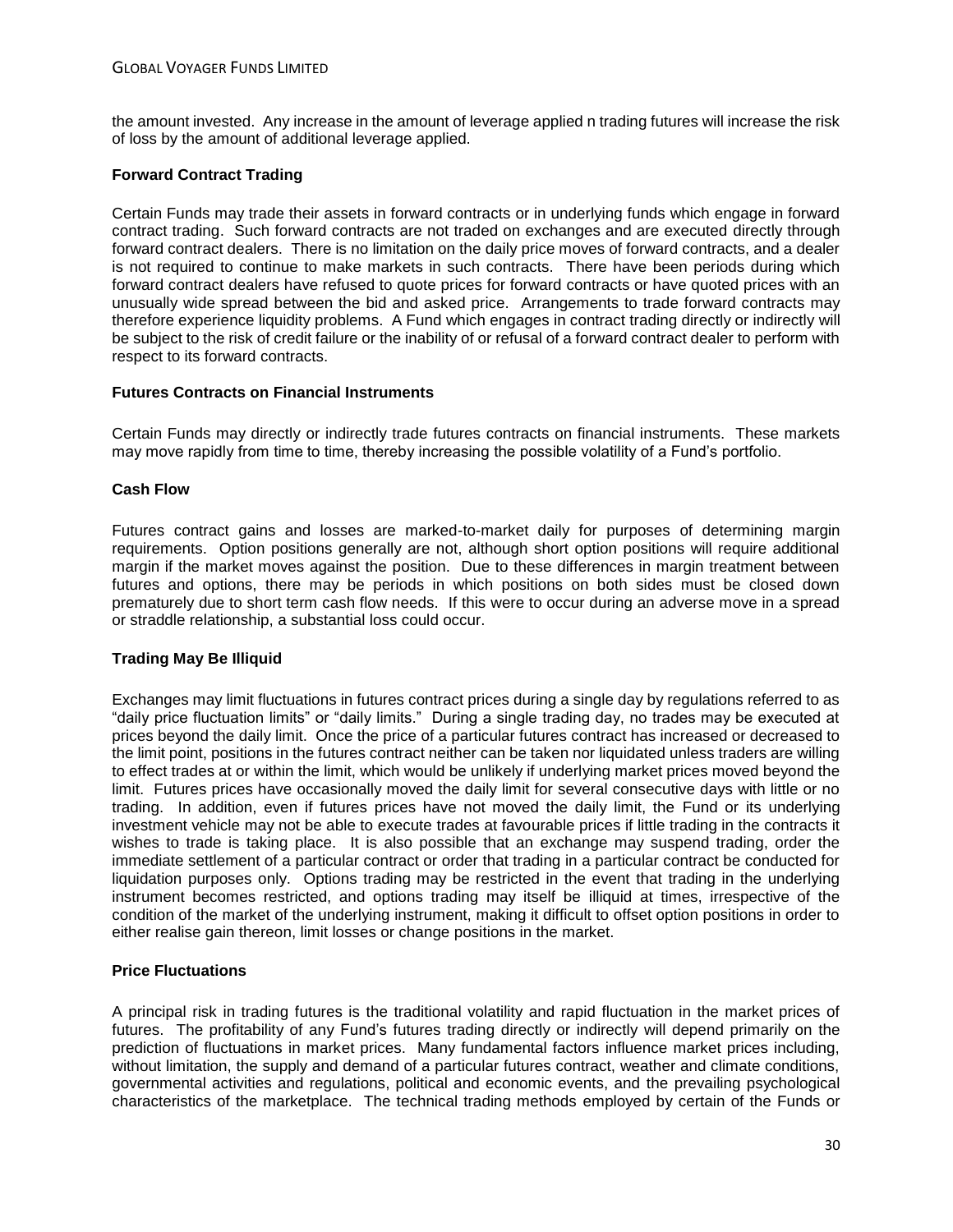the amount invested. Any increase in the amount of leverage applied n trading futures will increase the risk of loss by the amount of additional leverage applied.

## **Forward Contract Trading**

Certain Funds may trade their assets in forward contracts or in underlying funds which engage in forward contract trading. Such forward contracts are not traded on exchanges and are executed directly through forward contract dealers. There is no limitation on the daily price moves of forward contracts, and a dealer is not required to continue to make markets in such contracts. There have been periods during which forward contract dealers have refused to quote prices for forward contracts or have quoted prices with an unusually wide spread between the bid and asked price. Arrangements to trade forward contracts may therefore experience liquidity problems. A Fund which engages in contract trading directly or indirectly will be subject to the risk of credit failure or the inability of or refusal of a forward contract dealer to perform with respect to its forward contracts.

### **Futures Contracts on Financial Instruments**

Certain Funds may directly or indirectly trade futures contracts on financial instruments. These markets may move rapidly from time to time, thereby increasing the possible volatility of a Fund's portfolio.

## **Cash Flow**

Futures contract gains and losses are marked-to-market daily for purposes of determining margin requirements. Option positions generally are not, although short option positions will require additional margin if the market moves against the position. Due to these differences in margin treatment between futures and options, there may be periods in which positions on both sides must be closed down prematurely due to short term cash flow needs. If this were to occur during an adverse move in a spread or straddle relationship, a substantial loss could occur.

## **Trading May Be Illiquid**

Exchanges may limit fluctuations in futures contract prices during a single day by regulations referred to as "daily price fluctuation limits" or "daily limits." During a single trading day, no trades may be executed at prices beyond the daily limit. Once the price of a particular futures contract has increased or decreased to the limit point, positions in the futures contract neither can be taken nor liquidated unless traders are willing to effect trades at or within the limit, which would be unlikely if underlying market prices moved beyond the limit. Futures prices have occasionally moved the daily limit for several consecutive days with little or no trading. In addition, even if futures prices have not moved the daily limit, the Fund or its underlying investment vehicle may not be able to execute trades at favourable prices if little trading in the contracts it wishes to trade is taking place. It is also possible that an exchange may suspend trading, order the immediate settlement of a particular contract or order that trading in a particular contract be conducted for liquidation purposes only. Options trading may be restricted in the event that trading in the underlying instrument becomes restricted, and options trading may itself be illiquid at times, irrespective of the condition of the market of the underlying instrument, making it difficult to offset option positions in order to either realise gain thereon, limit losses or change positions in the market.

### **Price Fluctuations**

A principal risk in trading futures is the traditional volatility and rapid fluctuation in the market prices of futures. The profitability of any Fund's futures trading directly or indirectly will depend primarily on the prediction of fluctuations in market prices. Many fundamental factors influence market prices including, without limitation, the supply and demand of a particular futures contract, weather and climate conditions, governmental activities and regulations, political and economic events, and the prevailing psychological characteristics of the marketplace. The technical trading methods employed by certain of the Funds or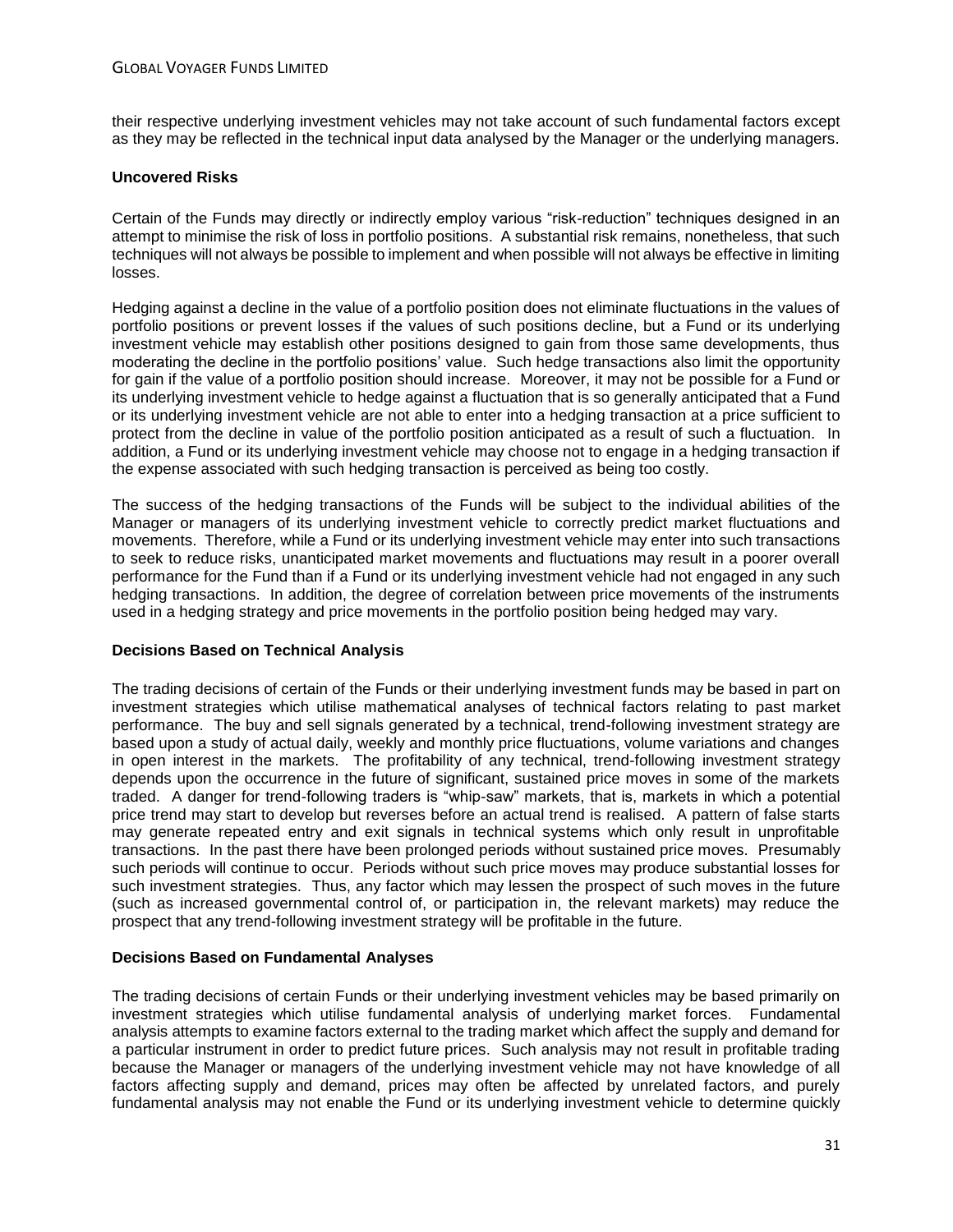their respective underlying investment vehicles may not take account of such fundamental factors except as they may be reflected in the technical input data analysed by the Manager or the underlying managers.

## **Uncovered Risks**

Certain of the Funds may directly or indirectly employ various "risk-reduction" techniques designed in an attempt to minimise the risk of loss in portfolio positions. A substantial risk remains, nonetheless, that such techniques will not always be possible to implement and when possible will not always be effective in limiting losses.

Hedging against a decline in the value of a portfolio position does not eliminate fluctuations in the values of portfolio positions or prevent losses if the values of such positions decline, but a Fund or its underlying investment vehicle may establish other positions designed to gain from those same developments, thus moderating the decline in the portfolio positions' value. Such hedge transactions also limit the opportunity for gain if the value of a portfolio position should increase. Moreover, it may not be possible for a Fund or its underlying investment vehicle to hedge against a fluctuation that is so generally anticipated that a Fund or its underlying investment vehicle are not able to enter into a hedging transaction at a price sufficient to protect from the decline in value of the portfolio position anticipated as a result of such a fluctuation. In addition, a Fund or its underlying investment vehicle may choose not to engage in a hedging transaction if the expense associated with such hedging transaction is perceived as being too costly.

The success of the hedging transactions of the Funds will be subject to the individual abilities of the Manager or managers of its underlying investment vehicle to correctly predict market fluctuations and movements. Therefore, while a Fund or its underlying investment vehicle may enter into such transactions to seek to reduce risks, unanticipated market movements and fluctuations may result in a poorer overall performance for the Fund than if a Fund or its underlying investment vehicle had not engaged in any such hedging transactions. In addition, the degree of correlation between price movements of the instruments used in a hedging strategy and price movements in the portfolio position being hedged may vary.

# **Decisions Based on Technical Analysis**

The trading decisions of certain of the Funds or their underlying investment funds may be based in part on investment strategies which utilise mathematical analyses of technical factors relating to past market performance. The buy and sell signals generated by a technical, trend-following investment strategy are based upon a study of actual daily, weekly and monthly price fluctuations, volume variations and changes in open interest in the markets. The profitability of any technical, trend-following investment strategy depends upon the occurrence in the future of significant, sustained price moves in some of the markets traded. A danger for trend-following traders is "whip-saw" markets, that is, markets in which a potential price trend may start to develop but reverses before an actual trend is realised. A pattern of false starts may generate repeated entry and exit signals in technical systems which only result in unprofitable transactions. In the past there have been prolonged periods without sustained price moves. Presumably such periods will continue to occur. Periods without such price moves may produce substantial losses for such investment strategies. Thus, any factor which may lessen the prospect of such moves in the future (such as increased governmental control of, or participation in, the relevant markets) may reduce the prospect that any trend-following investment strategy will be profitable in the future.

### **Decisions Based on Fundamental Analyses**

The trading decisions of certain Funds or their underlying investment vehicles may be based primarily on investment strategies which utilise fundamental analysis of underlying market forces. Fundamental analysis attempts to examine factors external to the trading market which affect the supply and demand for a particular instrument in order to predict future prices. Such analysis may not result in profitable trading because the Manager or managers of the underlying investment vehicle may not have knowledge of all factors affecting supply and demand, prices may often be affected by unrelated factors, and purely fundamental analysis may not enable the Fund or its underlying investment vehicle to determine quickly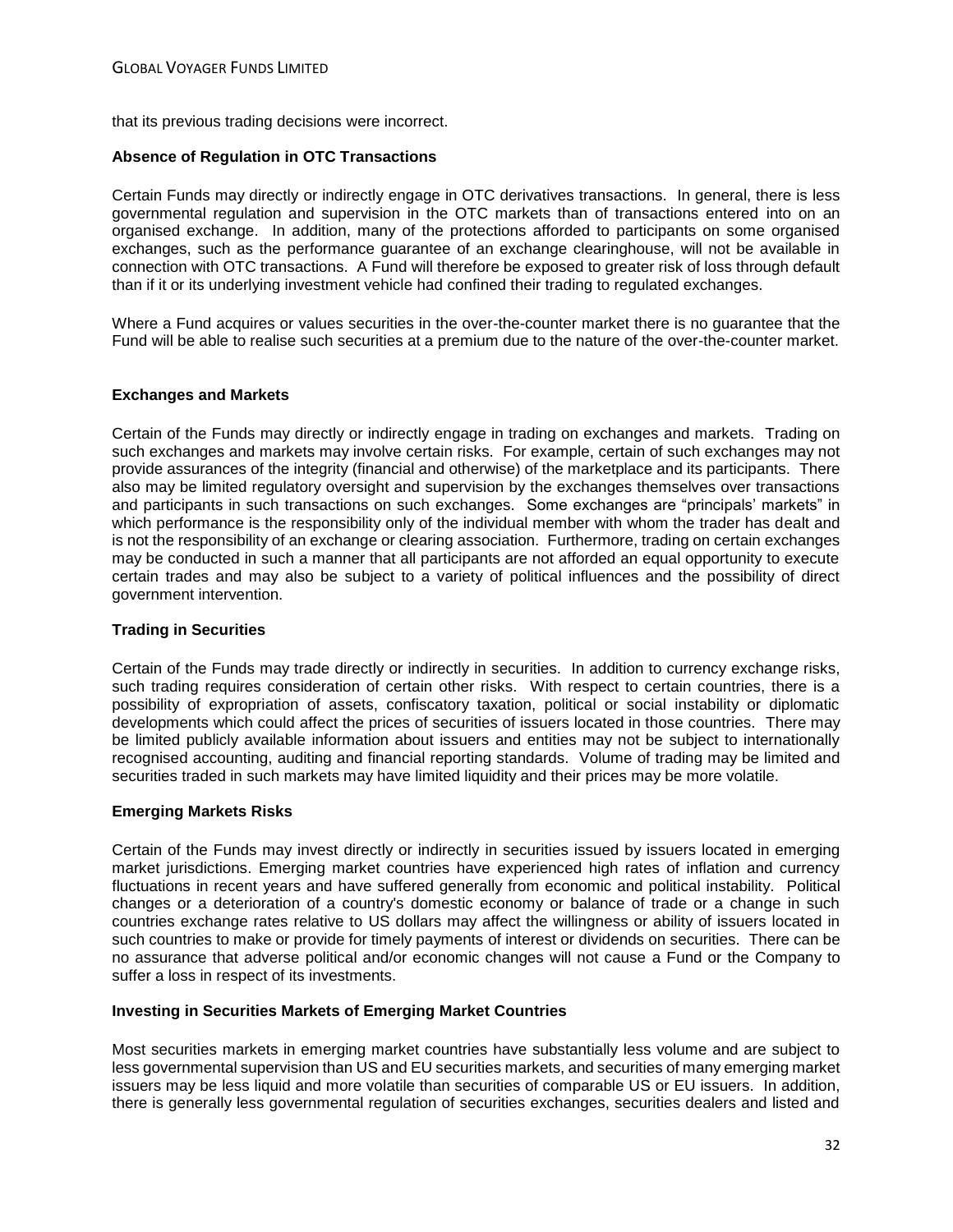that its previous trading decisions were incorrect.

## **Absence of Regulation in OTC Transactions**

Certain Funds may directly or indirectly engage in OTC derivatives transactions. In general, there is less governmental regulation and supervision in the OTC markets than of transactions entered into on an organised exchange. In addition, many of the protections afforded to participants on some organised exchanges, such as the performance guarantee of an exchange clearinghouse, will not be available in connection with OTC transactions. A Fund will therefore be exposed to greater risk of loss through default than if it or its underlying investment vehicle had confined their trading to regulated exchanges.

Where a Fund acquires or values securities in the over-the-counter market there is no guarantee that the Fund will be able to realise such securities at a premium due to the nature of the over-the-counter market.

## **Exchanges and Markets**

Certain of the Funds may directly or indirectly engage in trading on exchanges and markets. Trading on such exchanges and markets may involve certain risks. For example, certain of such exchanges may not provide assurances of the integrity (financial and otherwise) of the marketplace and its participants. There also may be limited regulatory oversight and supervision by the exchanges themselves over transactions and participants in such transactions on such exchanges. Some exchanges are "principals' markets" in which performance is the responsibility only of the individual member with whom the trader has dealt and is not the responsibility of an exchange or clearing association. Furthermore, trading on certain exchanges may be conducted in such a manner that all participants are not afforded an equal opportunity to execute certain trades and may also be subject to a variety of political influences and the possibility of direct government intervention.

### **Trading in Securities**

Certain of the Funds may trade directly or indirectly in securities. In addition to currency exchange risks, such trading requires consideration of certain other risks. With respect to certain countries, there is a possibility of expropriation of assets, confiscatory taxation, political or social instability or diplomatic developments which could affect the prices of securities of issuers located in those countries. There may be limited publicly available information about issuers and entities may not be subject to internationally recognised accounting, auditing and financial reporting standards. Volume of trading may be limited and securities traded in such markets may have limited liquidity and their prices may be more volatile.

### **Emerging Markets Risks**

Certain of the Funds may invest directly or indirectly in securities issued by issuers located in emerging market jurisdictions. Emerging market countries have experienced high rates of inflation and currency fluctuations in recent years and have suffered generally from economic and political instability. Political changes or a deterioration of a country's domestic economy or balance of trade or a change in such countries exchange rates relative to US dollars may affect the willingness or ability of issuers located in such countries to make or provide for timely payments of interest or dividends on securities. There can be no assurance that adverse political and/or economic changes will not cause a Fund or the Company to suffer a loss in respect of its investments.

### **Investing in Securities Markets of Emerging Market Countries**

Most securities markets in emerging market countries have substantially less volume and are subject to less governmental supervision than US and EU securities markets, and securities of many emerging market issuers may be less liquid and more volatile than securities of comparable US or EU issuers. In addition, there is generally less governmental regulation of securities exchanges, securities dealers and listed and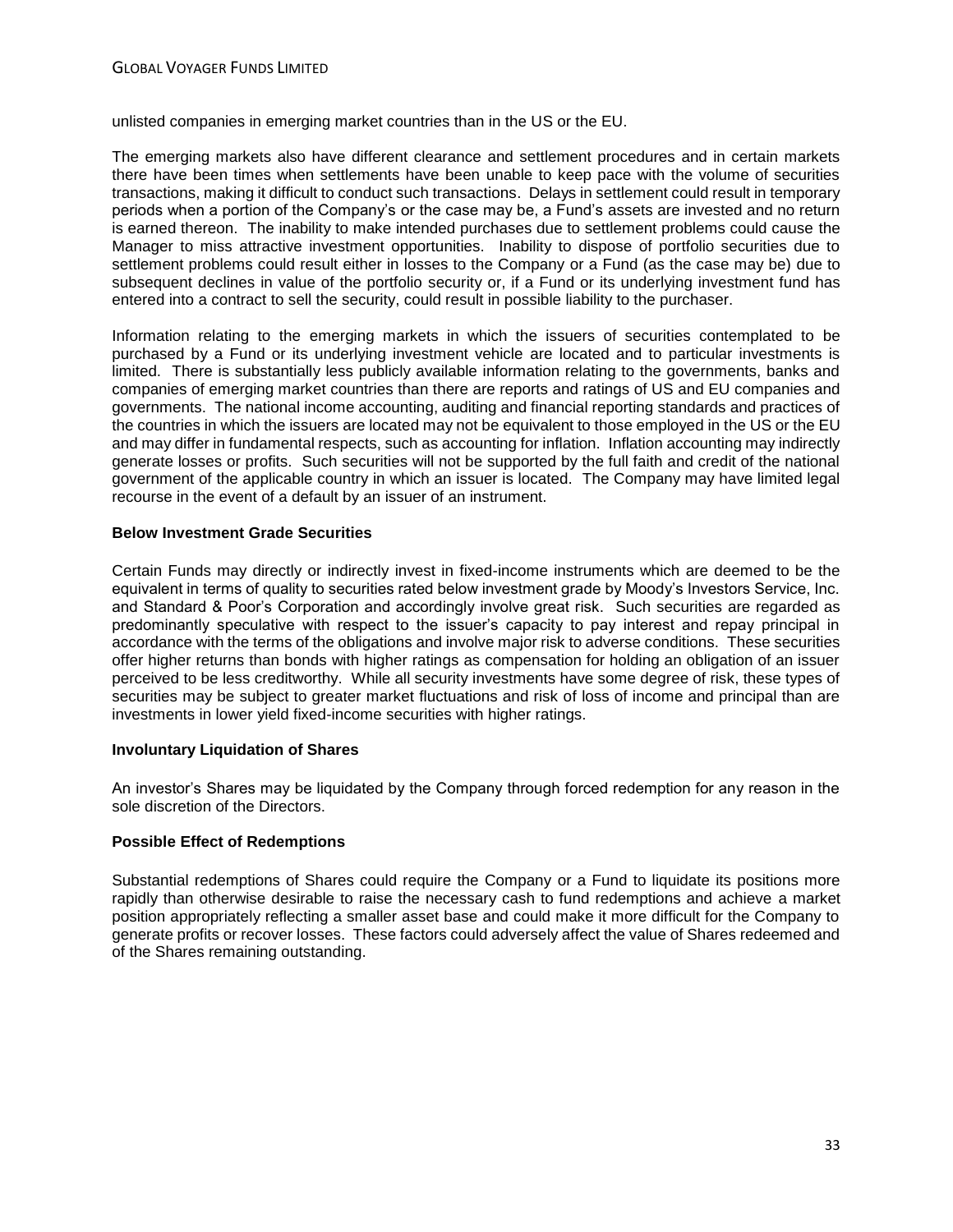unlisted companies in emerging market countries than in the US or the EU.

The emerging markets also have different clearance and settlement procedures and in certain markets there have been times when settlements have been unable to keep pace with the volume of securities transactions, making it difficult to conduct such transactions. Delays in settlement could result in temporary periods when a portion of the Company's or the case may be, a Fund's assets are invested and no return is earned thereon. The inability to make intended purchases due to settlement problems could cause the Manager to miss attractive investment opportunities. Inability to dispose of portfolio securities due to settlement problems could result either in losses to the Company or a Fund (as the case may be) due to subsequent declines in value of the portfolio security or, if a Fund or its underlying investment fund has entered into a contract to sell the security, could result in possible liability to the purchaser.

Information relating to the emerging markets in which the issuers of securities contemplated to be purchased by a Fund or its underlying investment vehicle are located and to particular investments is limited. There is substantially less publicly available information relating to the governments, banks and companies of emerging market countries than there are reports and ratings of US and EU companies and governments. The national income accounting, auditing and financial reporting standards and practices of the countries in which the issuers are located may not be equivalent to those employed in the US or the EU and may differ in fundamental respects, such as accounting for inflation. Inflation accounting may indirectly generate losses or profits. Such securities will not be supported by the full faith and credit of the national government of the applicable country in which an issuer is located. The Company may have limited legal recourse in the event of a default by an issuer of an instrument.

## **Below Investment Grade Securities**

Certain Funds may directly or indirectly invest in fixed-income instruments which are deemed to be the equivalent in terms of quality to securities rated below investment grade by Moody's Investors Service, Inc. and Standard & Poor's Corporation and accordingly involve great risk. Such securities are regarded as predominantly speculative with respect to the issuer's capacity to pay interest and repay principal in accordance with the terms of the obligations and involve major risk to adverse conditions. These securities offer higher returns than bonds with higher ratings as compensation for holding an obligation of an issuer perceived to be less creditworthy. While all security investments have some degree of risk, these types of securities may be subject to greater market fluctuations and risk of loss of income and principal than are investments in lower yield fixed-income securities with higher ratings.

# **Involuntary Liquidation of Shares**

An investor's Shares may be liquidated by the Company through forced redemption for any reason in the sole discretion of the Directors.

### **Possible Effect of Redemptions**

Substantial redemptions of Shares could require the Company or a Fund to liquidate its positions more rapidly than otherwise desirable to raise the necessary cash to fund redemptions and achieve a market position appropriately reflecting a smaller asset base and could make it more difficult for the Company to generate profits or recover losses. These factors could adversely affect the value of Shares redeemed and of the Shares remaining outstanding.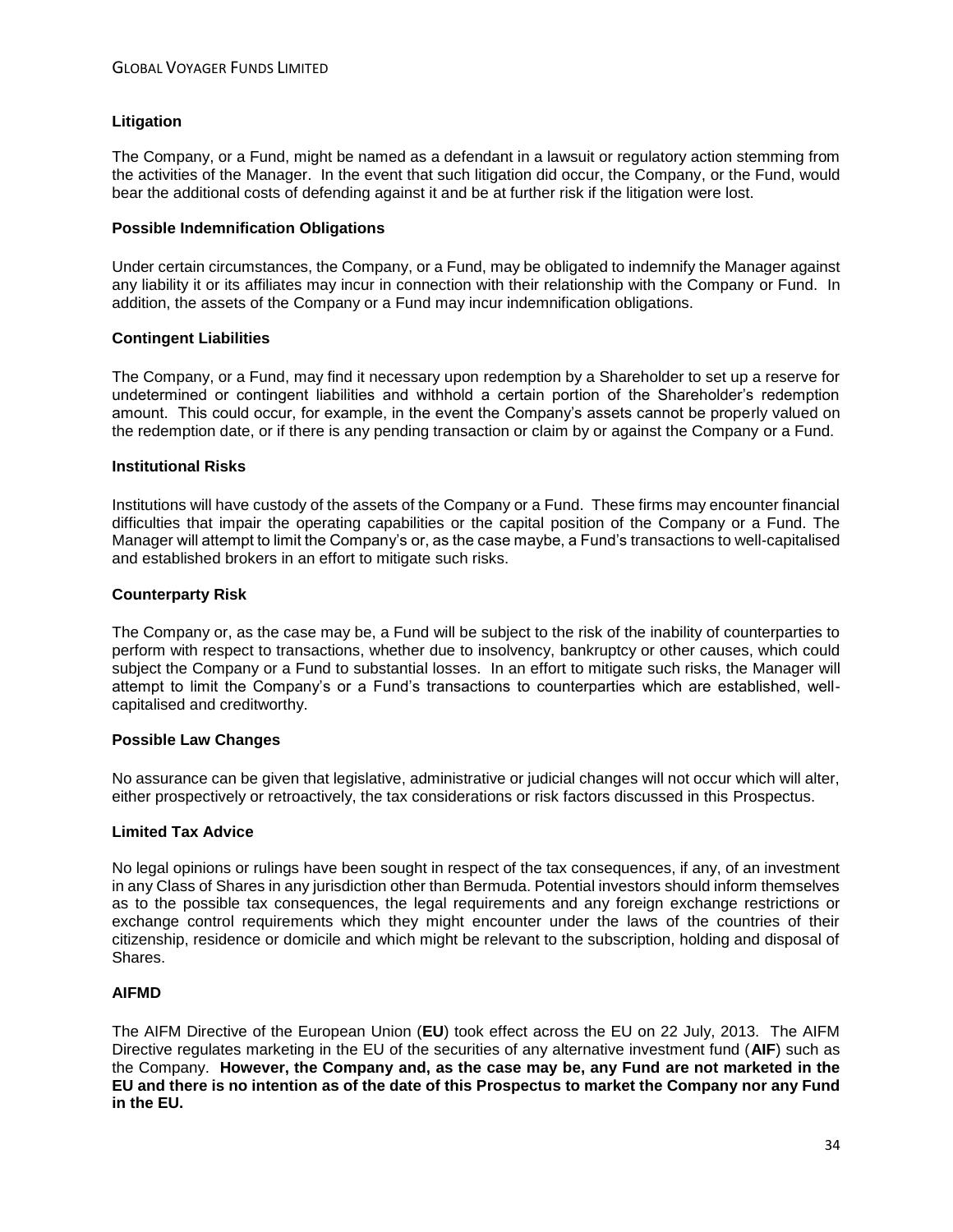# **Litigation**

The Company, or a Fund, might be named as a defendant in a lawsuit or regulatory action stemming from the activities of the Manager. In the event that such litigation did occur, the Company, or the Fund, would bear the additional costs of defending against it and be at further risk if the litigation were lost.

### **Possible Indemnification Obligations**

Under certain circumstances, the Company, or a Fund, may be obligated to indemnify the Manager against any liability it or its affiliates may incur in connection with their relationship with the Company or Fund. In addition, the assets of the Company or a Fund may incur indemnification obligations.

## **Contingent Liabilities**

The Company, or a Fund, may find it necessary upon redemption by a Shareholder to set up a reserve for undetermined or contingent liabilities and withhold a certain portion of the Shareholder's redemption amount. This could occur, for example, in the event the Company's assets cannot be properly valued on the redemption date, or if there is any pending transaction or claim by or against the Company or a Fund.

### **Institutional Risks**

Institutions will have custody of the assets of the Company or a Fund. These firms may encounter financial difficulties that impair the operating capabilities or the capital position of the Company or a Fund. The Manager will attempt to limit the Company's or, as the case maybe, a Fund's transactions to well-capitalised and established brokers in an effort to mitigate such risks.

## **Counterparty Risk**

The Company or, as the case may be, a Fund will be subject to the risk of the inability of counterparties to perform with respect to transactions, whether due to insolvency, bankruptcy or other causes, which could subject the Company or a Fund to substantial losses. In an effort to mitigate such risks, the Manager will attempt to limit the Company's or a Fund's transactions to counterparties which are established, wellcapitalised and creditworthy.

### **Possible Law Changes**

No assurance can be given that legislative, administrative or judicial changes will not occur which will alter, either prospectively or retroactively, the tax considerations or risk factors discussed in this Prospectus.

### **Limited Tax Advice**

No legal opinions or rulings have been sought in respect of the tax consequences, if any, of an investment in any Class of Shares in any jurisdiction other than Bermuda. Potential investors should inform themselves as to the possible tax consequences, the legal requirements and any foreign exchange restrictions or exchange control requirements which they might encounter under the laws of the countries of their citizenship, residence or domicile and which might be relevant to the subscription, holding and disposal of Shares.

## **AIFMD**

The AIFM Directive of the European Union (**EU**) took effect across the EU on 22 July, 2013. The AIFM Directive regulates marketing in the EU of the securities of any alternative investment fund (**AIF**) such as the Company. **However, the Company and, as the case may be, any Fund are not marketed in the EU and there is no intention as of the date of this Prospectus to market the Company nor any Fund in the EU.**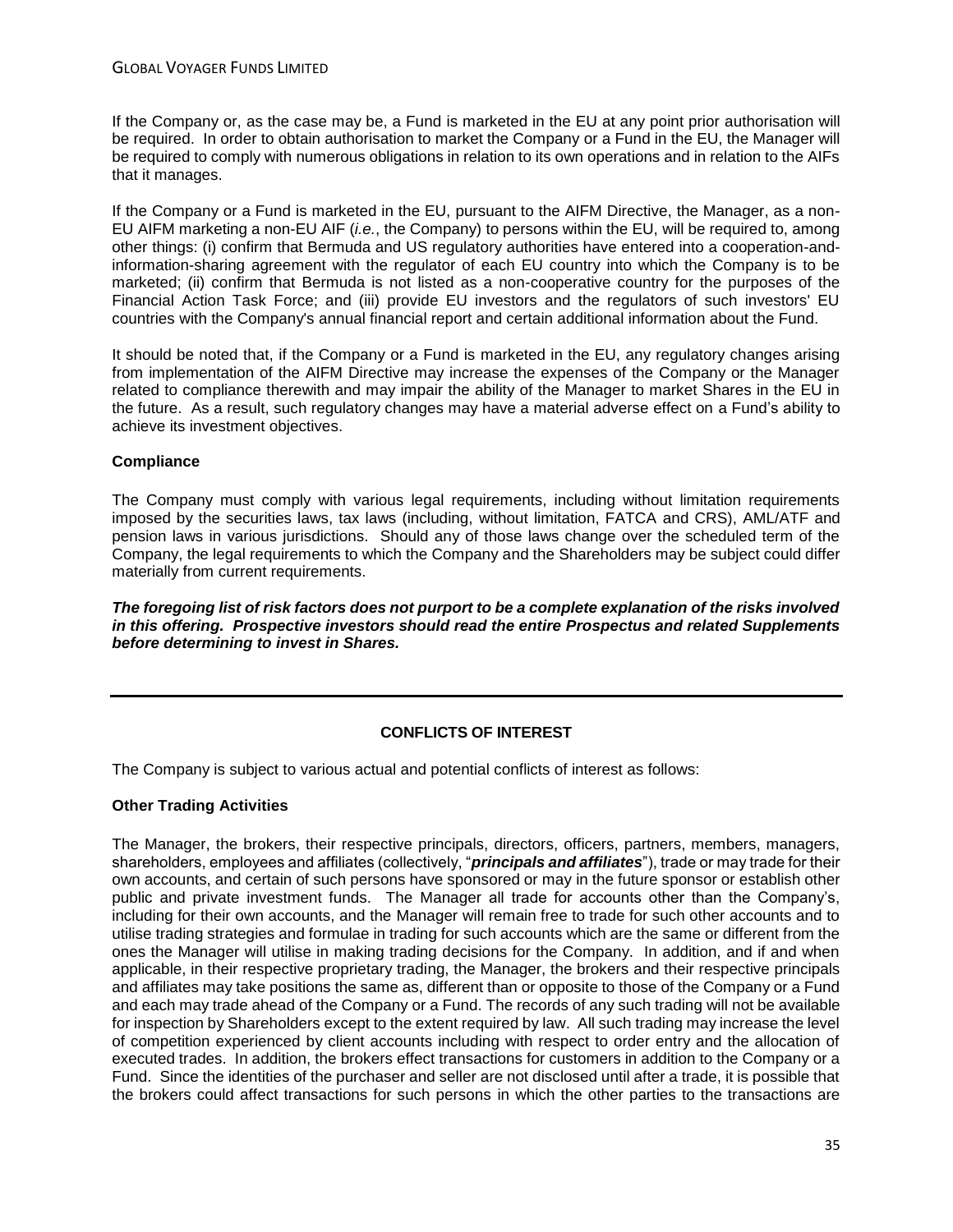If the Company or, as the case may be, a Fund is marketed in the EU at any point prior authorisation will be required. In order to obtain authorisation to market the Company or a Fund in the EU, the Manager will be required to comply with numerous obligations in relation to its own operations and in relation to the AIFs that it manages.

If the Company or a Fund is marketed in the EU, pursuant to the AIFM Directive, the Manager, as a non-EU AIFM marketing a non-EU AIF (*i.e.*, the Company) to persons within the EU, will be required to, among other things: (i) confirm that Bermuda and US regulatory authorities have entered into a cooperation-andinformation-sharing agreement with the regulator of each EU country into which the Company is to be marketed; (ii) confirm that Bermuda is not listed as a non-cooperative country for the purposes of the Financial Action Task Force; and (iii) provide EU investors and the regulators of such investors' EU countries with the Company's annual financial report and certain additional information about the Fund.

It should be noted that, if the Company or a Fund is marketed in the EU, any regulatory changes arising from implementation of the AIFM Directive may increase the expenses of the Company or the Manager related to compliance therewith and may impair the ability of the Manager to market Shares in the EU in the future. As a result, such regulatory changes may have a material adverse effect on a Fund's ability to achieve its investment objectives.

## **Compliance**

The Company must comply with various legal requirements, including without limitation requirements imposed by the securities laws, tax laws (including, without limitation, FATCA and CRS), AML/ATF and pension laws in various jurisdictions. Should any of those laws change over the scheduled term of the Company, the legal requirements to which the Company and the Shareholders may be subject could differ materially from current requirements.

*The foregoing list of risk factors does not purport to be a complete explanation of the risks involved in this offering. Prospective investors should read the entire Prospectus and related Supplements before determining to invest in Shares.*

# **CONFLICTS OF INTEREST**

The Company is subject to various actual and potential conflicts of interest as follows:

# **Other Trading Activities**

The Manager, the brokers, their respective principals, directors, officers, partners, members, managers, shareholders, employees and affiliates (collectively, "*principals and affiliates*"), trade or may trade for their own accounts, and certain of such persons have sponsored or may in the future sponsor or establish other public and private investment funds. The Manager all trade for accounts other than the Company's, including for their own accounts, and the Manager will remain free to trade for such other accounts and to utilise trading strategies and formulae in trading for such accounts which are the same or different from the ones the Manager will utilise in making trading decisions for the Company. In addition, and if and when applicable, in their respective proprietary trading, the Manager, the brokers and their respective principals and affiliates may take positions the same as, different than or opposite to those of the Company or a Fund and each may trade ahead of the Company or a Fund. The records of any such trading will not be available for inspection by Shareholders except to the extent required by law. All such trading may increase the level of competition experienced by client accounts including with respect to order entry and the allocation of executed trades. In addition, the brokers effect transactions for customers in addition to the Company or a Fund. Since the identities of the purchaser and seller are not disclosed until after a trade, it is possible that the brokers could affect transactions for such persons in which the other parties to the transactions are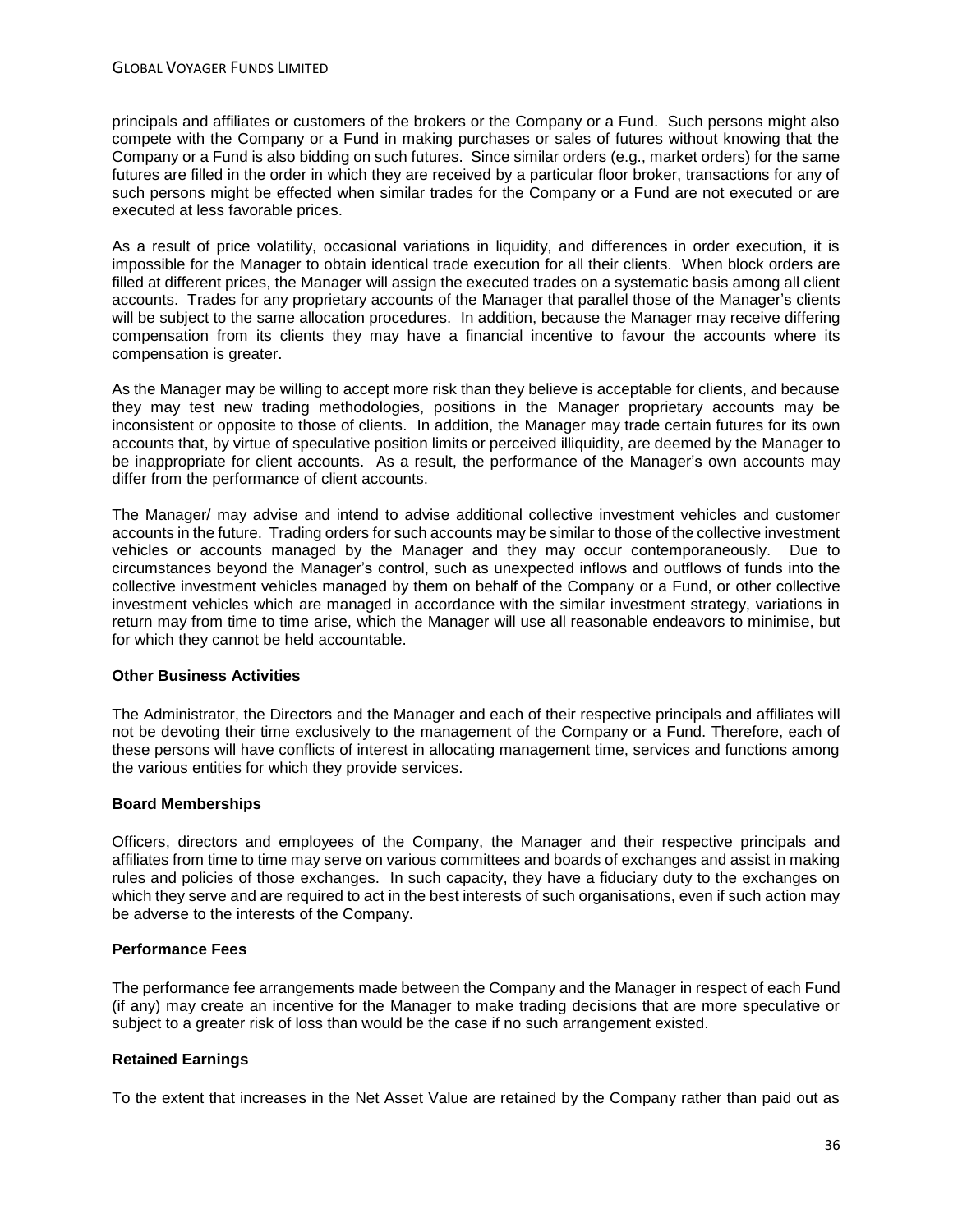## GLOBAL VOYAGER FUNDS LIMITED

principals and affiliates or customers of the brokers or the Company or a Fund. Such persons might also compete with the Company or a Fund in making purchases or sales of futures without knowing that the Company or a Fund is also bidding on such futures. Since similar orders (e.g., market orders) for the same futures are filled in the order in which they are received by a particular floor broker, transactions for any of such persons might be effected when similar trades for the Company or a Fund are not executed or are executed at less favorable prices.

As a result of price volatility, occasional variations in liquidity, and differences in order execution, it is impossible for the Manager to obtain identical trade execution for all their clients. When block orders are filled at different prices, the Manager will assign the executed trades on a systematic basis among all client accounts. Trades for any proprietary accounts of the Manager that parallel those of the Manager's clients will be subject to the same allocation procedures. In addition, because the Manager may receive differing compensation from its clients they may have a financial incentive to favour the accounts where its compensation is greater.

As the Manager may be willing to accept more risk than they believe is acceptable for clients, and because they may test new trading methodologies, positions in the Manager proprietary accounts may be inconsistent or opposite to those of clients. In addition, the Manager may trade certain futures for its own accounts that, by virtue of speculative position limits or perceived illiquidity, are deemed by the Manager to be inappropriate for client accounts. As a result, the performance of the Manager's own accounts may differ from the performance of client accounts.

The Manager/ may advise and intend to advise additional collective investment vehicles and customer accounts in the future. Trading orders for such accounts may be similar to those of the collective investment vehicles or accounts managed by the Manager and they may occur contemporaneously. Due to circumstances beyond the Manager's control, such as unexpected inflows and outflows of funds into the collective investment vehicles managed by them on behalf of the Company or a Fund, or other collective investment vehicles which are managed in accordance with the similar investment strategy, variations in return may from time to time arise, which the Manager will use all reasonable endeavors to minimise, but for which they cannot be held accountable.

### **Other Business Activities**

The Administrator, the Directors and the Manager and each of their respective principals and affiliates will not be devoting their time exclusively to the management of the Company or a Fund. Therefore, each of these persons will have conflicts of interest in allocating management time, services and functions among the various entities for which they provide services.

### **Board Memberships**

Officers, directors and employees of the Company, the Manager and their respective principals and affiliates from time to time may serve on various committees and boards of exchanges and assist in making rules and policies of those exchanges. In such capacity, they have a fiduciary duty to the exchanges on which they serve and are required to act in the best interests of such organisations, even if such action may be adverse to the interests of the Company.

# **Performance Fees**

The performance fee arrangements made between the Company and the Manager in respect of each Fund (if any) may create an incentive for the Manager to make trading decisions that are more speculative or subject to a greater risk of loss than would be the case if no such arrangement existed.

### **Retained Earnings**

To the extent that increases in the Net Asset Value are retained by the Company rather than paid out as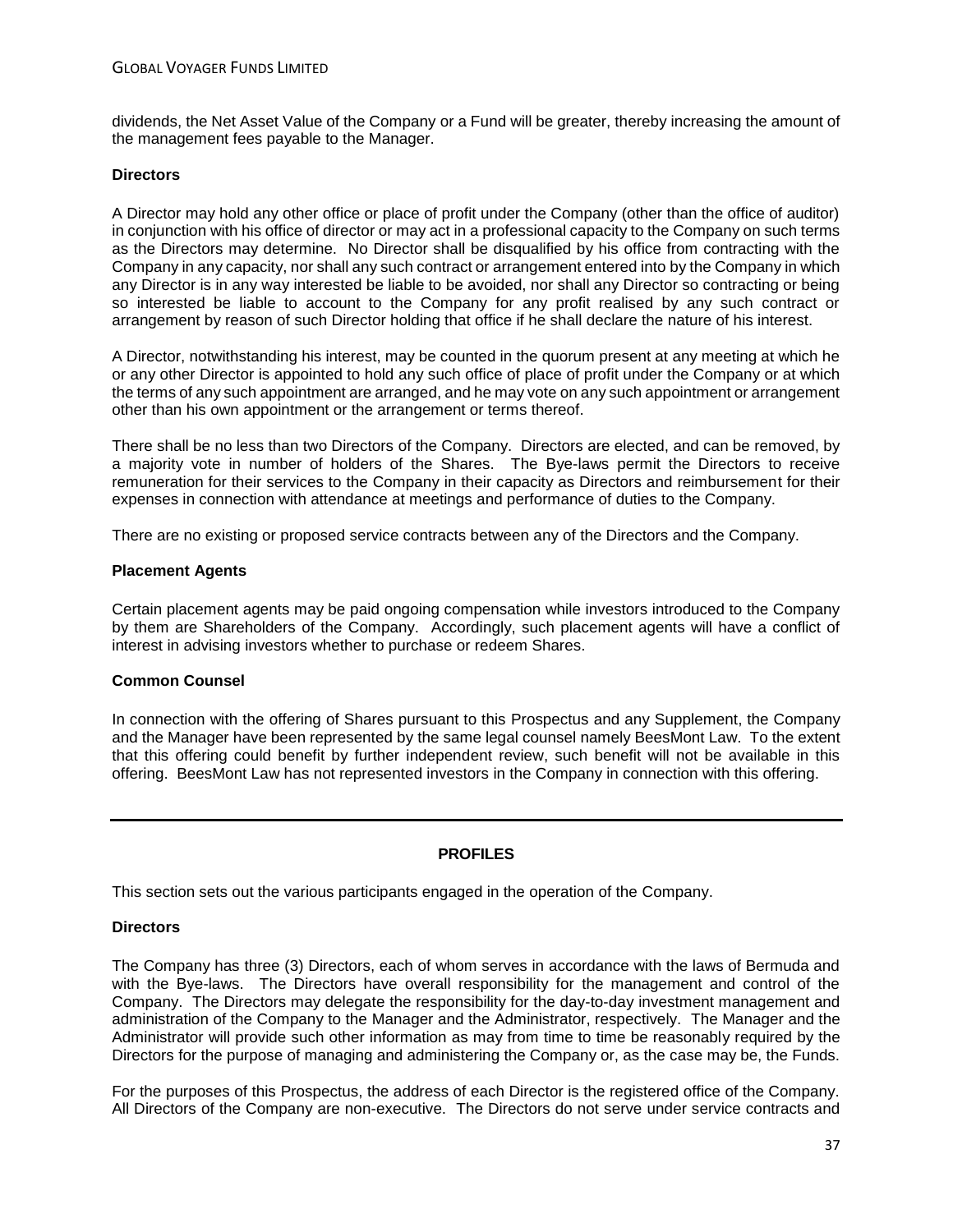dividends, the Net Asset Value of the Company or a Fund will be greater, thereby increasing the amount of the management fees payable to the Manager.

### **Directors**

A Director may hold any other office or place of profit under the Company (other than the office of auditor) in conjunction with his office of director or may act in a professional capacity to the Company on such terms as the Directors may determine. No Director shall be disqualified by his office from contracting with the Company in any capacity, nor shall any such contract or arrangement entered into by the Company in which any Director is in any way interested be liable to be avoided, nor shall any Director so contracting or being so interested be liable to account to the Company for any profit realised by any such contract or arrangement by reason of such Director holding that office if he shall declare the nature of his interest.

A Director, notwithstanding his interest, may be counted in the quorum present at any meeting at which he or any other Director is appointed to hold any such office of place of profit under the Company or at which the terms of any such appointment are arranged, and he may vote on any such appointment or arrangement other than his own appointment or the arrangement or terms thereof.

There shall be no less than two Directors of the Company. Directors are elected, and can be removed, by a majority vote in number of holders of the Shares. The Bye-laws permit the Directors to receive remuneration for their services to the Company in their capacity as Directors and reimbursement for their expenses in connection with attendance at meetings and performance of duties to the Company.

There are no existing or proposed service contracts between any of the Directors and the Company.

## **Placement Agents**

Certain placement agents may be paid ongoing compensation while investors introduced to the Company by them are Shareholders of the Company. Accordingly, such placement agents will have a conflict of interest in advising investors whether to purchase or redeem Shares.

# **Common Counsel**

In connection with the offering of Shares pursuant to this Prospectus and any Supplement, the Company and the Manager have been represented by the same legal counsel namely BeesMont Law. To the extent that this offering could benefit by further independent review, such benefit will not be available in this offering. BeesMont Law has not represented investors in the Company in connection with this offering.

# **PROFILES**

This section sets out the various participants engaged in the operation of the Company.

# **Directors**

The Company has three (3) Directors, each of whom serves in accordance with the laws of Bermuda and with the Bye-laws. The Directors have overall responsibility for the management and control of the Company. The Directors may delegate the responsibility for the day-to-day investment management and administration of the Company to the Manager and the Administrator, respectively. The Manager and the Administrator will provide such other information as may from time to time be reasonably required by the Directors for the purpose of managing and administering the Company or, as the case may be, the Funds.

For the purposes of this Prospectus, the address of each Director is the registered office of the Company. All Directors of the Company are non-executive. The Directors do not serve under service contracts and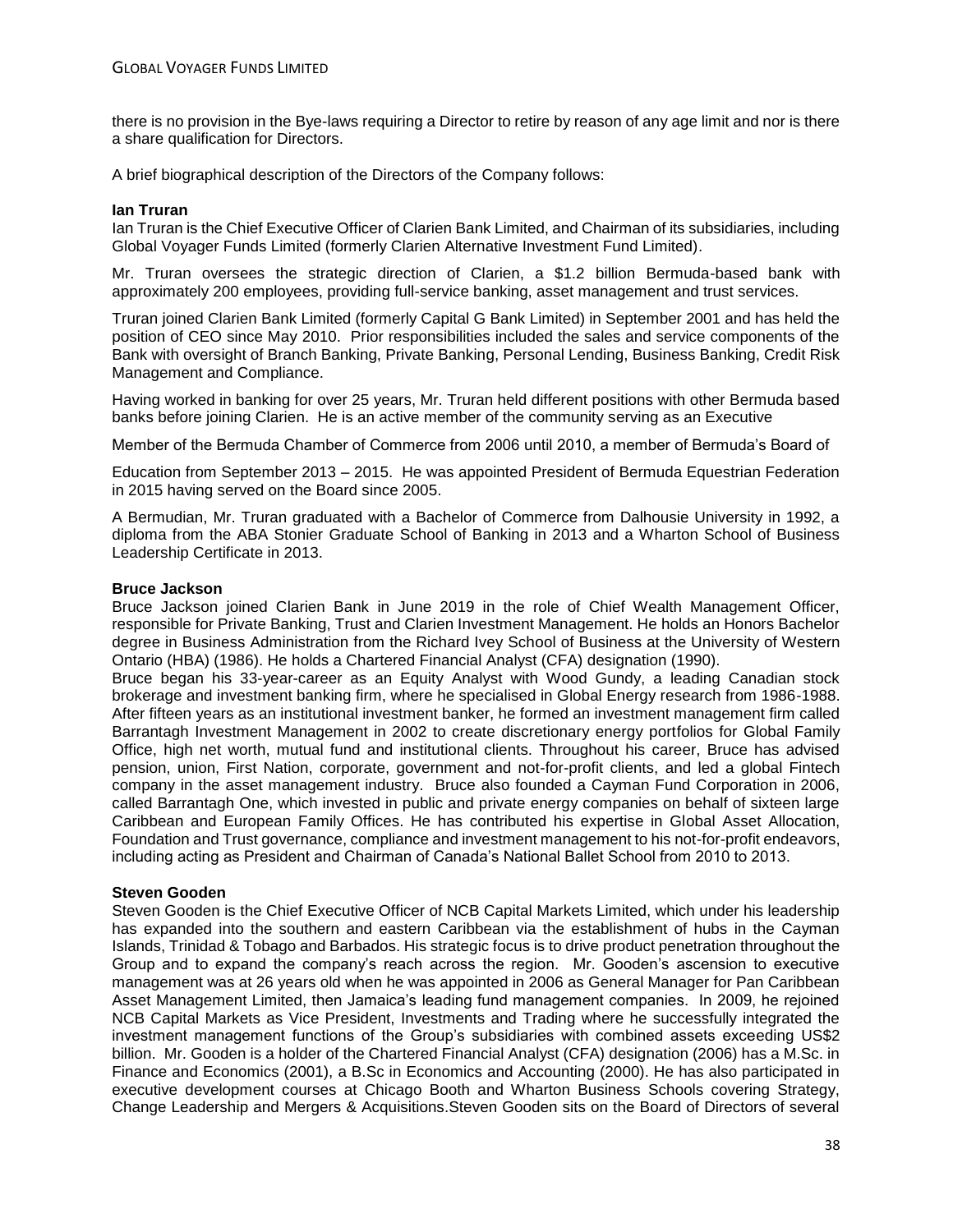there is no provision in the Bye-laws requiring a Director to retire by reason of any age limit and nor is there a share qualification for Directors.

A brief biographical description of the Directors of the Company follows:

### **Ian Truran**

Ian Truran is the Chief Executive Officer of Clarien Bank Limited, and Chairman of its subsidiaries, including Global Voyager Funds Limited (formerly Clarien Alternative Investment Fund Limited).

Mr. Truran oversees the strategic direction of Clarien, a \$1.2 billion Bermuda-based bank with approximately 200 employees, providing full-service banking, asset management and trust services.

Truran joined Clarien Bank Limited (formerly Capital G Bank Limited) in September 2001 and has held the position of CEO since May 2010. Prior responsibilities included the sales and service components of the Bank with oversight of Branch Banking, Private Banking, Personal Lending, Business Banking, Credit Risk Management and Compliance.

Having worked in banking for over 25 years, Mr. Truran held different positions with other Bermuda based banks before joining Clarien. He is an active member of the community serving as an Executive

Member of the Bermuda Chamber of Commerce from 2006 until 2010, a member of Bermuda's Board of

Education from September 2013 – 2015. He was appointed President of Bermuda Equestrian Federation in 2015 having served on the Board since 2005.

A Bermudian, Mr. Truran graduated with a Bachelor of Commerce from Dalhousie University in 1992, a diploma from the ABA Stonier Graduate School of Banking in 2013 and a Wharton School of Business Leadership Certificate in 2013.

### **Bruce Jackson**

Bruce Jackson joined Clarien Bank in June 2019 in the role of Chief Wealth Management Officer, responsible for Private Banking, Trust and Clarien Investment Management. He holds an Honors Bachelor degree in Business Administration from the Richard Ivey School of Business at the University of Western Ontario (HBA) (1986). He holds a Chartered Financial Analyst (CFA) designation (1990).

Bruce began his 33-year-career as an Equity Analyst with Wood Gundy, a leading Canadian stock brokerage and investment banking firm, where he specialised in Global Energy research from 1986-1988. After fifteen years as an institutional investment banker, he formed an investment management firm called Barrantagh Investment Management in 2002 to create discretionary energy portfolios for Global Family Office, high net worth, mutual fund and institutional clients. Throughout his career, Bruce has advised pension, union, First Nation, corporate, government and not-for-profit clients, and led a global Fintech company in the asset management industry. Bruce also founded a Cayman Fund Corporation in 2006, called Barrantagh One, which invested in public and private energy companies on behalf of sixteen large Caribbean and European Family Offices. He has contributed his expertise in Global Asset Allocation, Foundation and Trust governance, compliance and investment management to his not-for-profit endeavors, including acting as President and Chairman of Canada's National Ballet School from 2010 to 2013.

### **Steven Gooden**

Steven Gooden is the Chief Executive Officer of NCB Capital Markets Limited, which under his leadership has expanded into the southern and eastern Caribbean via the establishment of hubs in the Cayman Islands, Trinidad & Tobago and Barbados. His strategic focus is to drive product penetration throughout the Group and to expand the company's reach across the region. Mr. Gooden's ascension to executive management was at 26 years old when he was appointed in 2006 as General Manager for Pan Caribbean Asset Management Limited, then Jamaica's leading fund management companies. In 2009, he rejoined NCB Capital Markets as Vice President, Investments and Trading where he successfully integrated the investment management functions of the Group's subsidiaries with combined assets exceeding US\$2 billion. Mr. Gooden is a holder of the Chartered Financial Analyst (CFA) designation (2006) has a M.Sc. in Finance and Economics (2001), a B.Sc in Economics and Accounting (2000). He has also participated in executive development courses at Chicago Booth and Wharton Business Schools covering Strategy, Change Leadership and Mergers & Acquisitions.Steven Gooden sits on the Board of Directors of several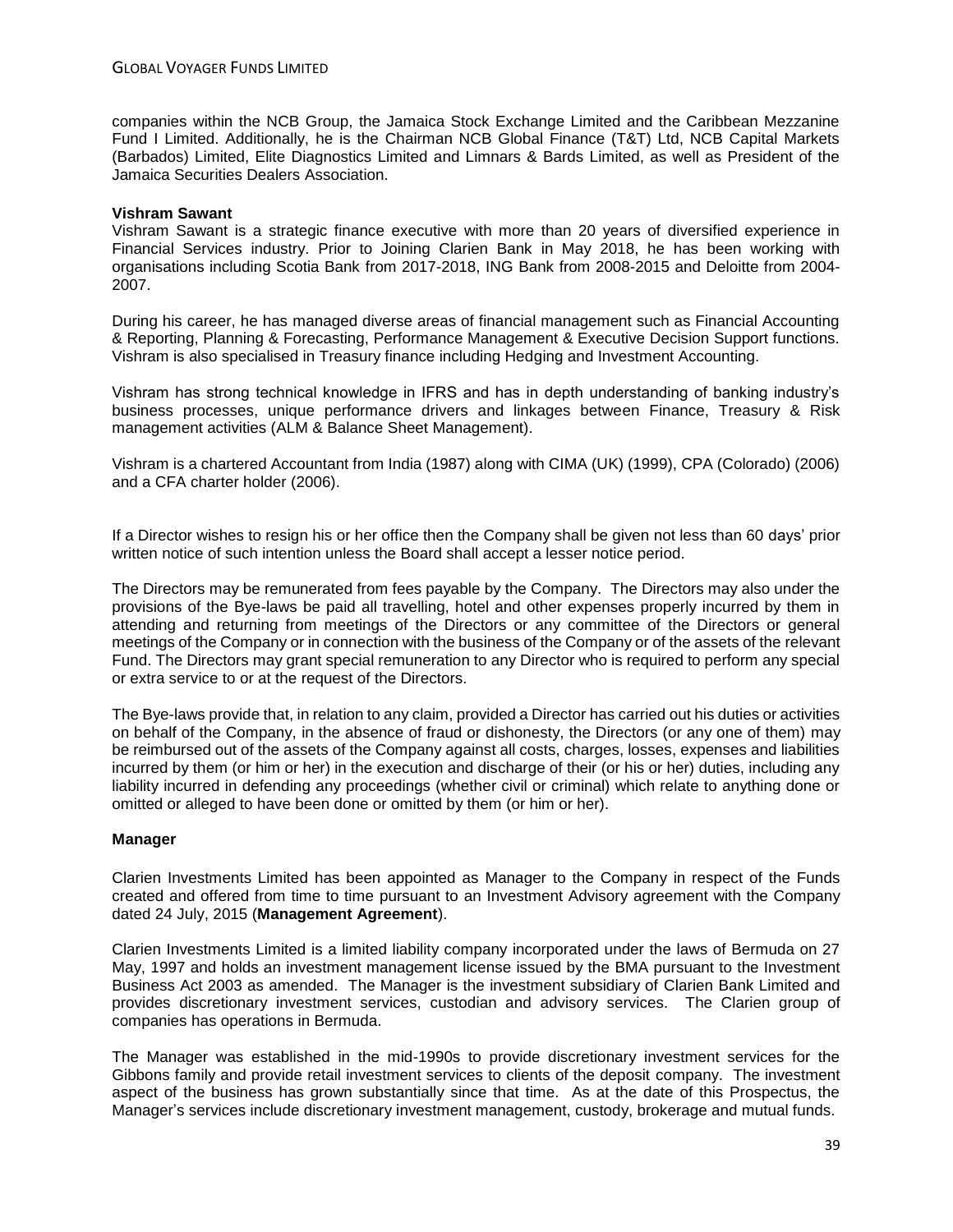companies within the NCB Group, the Jamaica Stock Exchange Limited and the Caribbean Mezzanine Fund I Limited. Additionally, he is the Chairman NCB Global Finance (T&T) Ltd, NCB Capital Markets (Barbados) Limited, Elite Diagnostics Limited and Limnars & Bards Limited, as well as President of the Jamaica Securities Dealers Association.

### **Vishram Sawant**

Vishram Sawant is a strategic finance executive with more than 20 years of diversified experience in Financial Services industry. Prior to Joining Clarien Bank in May 2018, he has been working with organisations including Scotia Bank from 2017-2018, ING Bank from 2008-2015 and Deloitte from 2004- 2007.

During his career, he has managed diverse areas of financial management such as Financial Accounting & Reporting, Planning & Forecasting, Performance Management & Executive Decision Support functions. Vishram is also specialised in Treasury finance including Hedging and Investment Accounting.

Vishram has strong technical knowledge in IFRS and has in depth understanding of banking industry's business processes, unique performance drivers and linkages between Finance, Treasury & Risk management activities (ALM & Balance Sheet Management).

Vishram is a chartered Accountant from India (1987) along with CIMA (UK) (1999), CPA (Colorado) (2006) and a CFA charter holder (2006).

If a Director wishes to resign his or her office then the Company shall be given not less than 60 days' prior written notice of such intention unless the Board shall accept a lesser notice period.

The Directors may be remunerated from fees payable by the Company. The Directors may also under the provisions of the Bye-laws be paid all travelling, hotel and other expenses properly incurred by them in attending and returning from meetings of the Directors or any committee of the Directors or general meetings of the Company or in connection with the business of the Company or of the assets of the relevant Fund. The Directors may grant special remuneration to any Director who is required to perform any special or extra service to or at the request of the Directors.

The Bye-laws provide that, in relation to any claim, provided a Director has carried out his duties or activities on behalf of the Company, in the absence of fraud or dishonesty, the Directors (or any one of them) may be reimbursed out of the assets of the Company against all costs, charges, losses, expenses and liabilities incurred by them (or him or her) in the execution and discharge of their (or his or her) duties, including any liability incurred in defending any proceedings (whether civil or criminal) which relate to anything done or omitted or alleged to have been done or omitted by them (or him or her).

### **Manager**

Clarien Investments Limited has been appointed as Manager to the Company in respect of the Funds created and offered from time to time pursuant to an Investment Advisory agreement with the Company dated 24 July, 2015 (**Management Agreement**).

Clarien Investments Limited is a limited liability company incorporated under the laws of Bermuda on 27 May, 1997 and holds an investment management license issued by the BMA pursuant to the Investment Business Act 2003 as amended. The Manager is the investment subsidiary of Clarien Bank Limited and provides discretionary investment services, custodian and advisory services. The Clarien group of companies has operations in Bermuda.

The Manager was established in the mid-1990s to provide discretionary investment services for the Gibbons family and provide retail investment services to clients of the deposit company. The investment aspect of the business has grown substantially since that time. As at the date of this Prospectus, the Manager's services include discretionary investment management, custody, brokerage and mutual funds.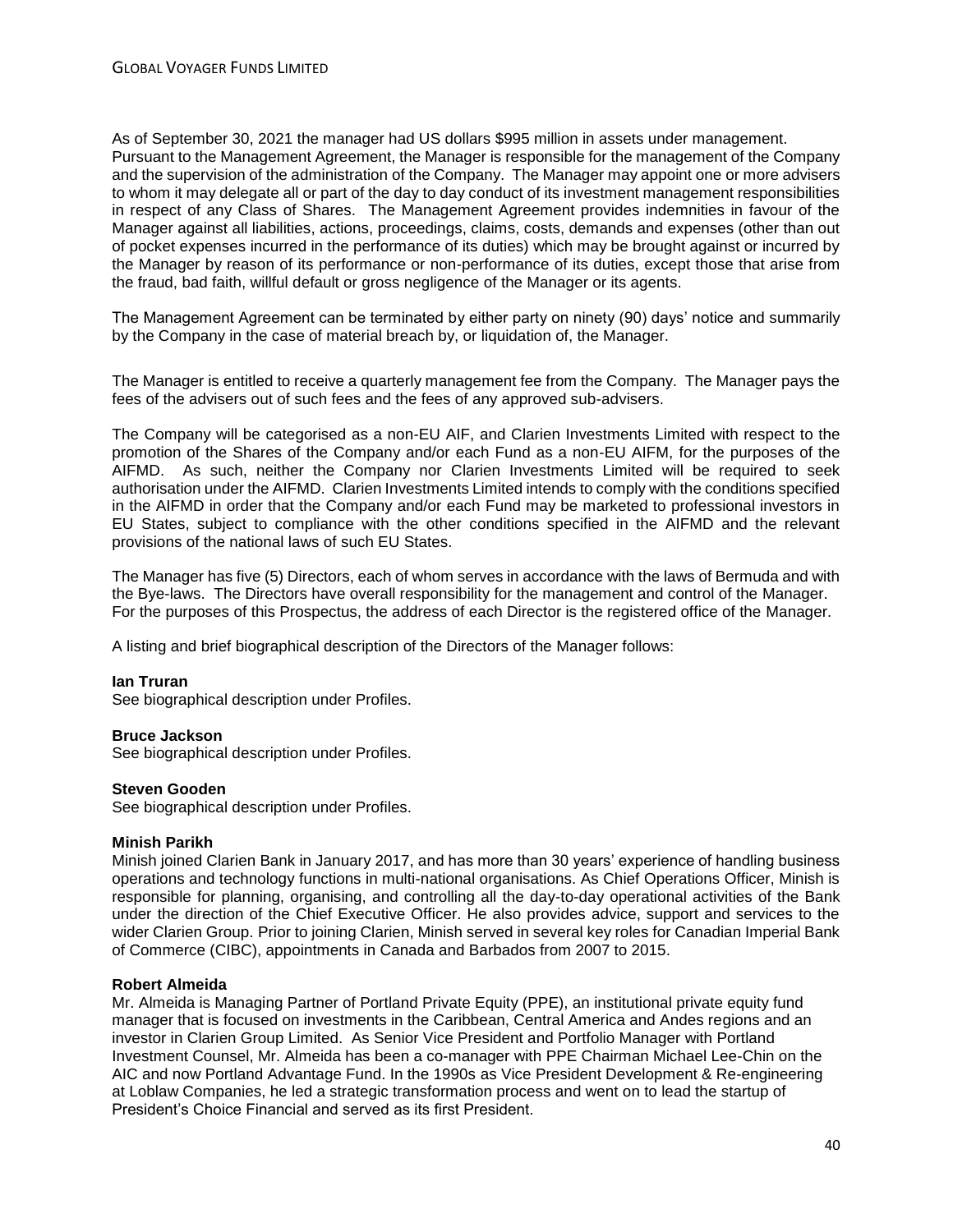As of September 30, 2021 the manager had US dollars \$995 million in assets under management. Pursuant to the Management Agreement, the Manager is responsible for the management of the Company and the supervision of the administration of the Company. The Manager may appoint one or more advisers to whom it may delegate all or part of the day to day conduct of its investment management responsibilities in respect of any Class of Shares. The Management Agreement provides indemnities in favour of the Manager against all liabilities, actions, proceedings, claims, costs, demands and expenses (other than out of pocket expenses incurred in the performance of its duties) which may be brought against or incurred by the Manager by reason of its performance or non-performance of its duties, except those that arise from the fraud, bad faith, willful default or gross negligence of the Manager or its agents.

The Management Agreement can be terminated by either party on ninety (90) days' notice and summarily by the Company in the case of material breach by, or liquidation of, the Manager.

The Manager is entitled to receive a quarterly management fee from the Company. The Manager pays the fees of the advisers out of such fees and the fees of any approved sub-advisers.

The Company will be categorised as a non-EU AIF, and Clarien Investments Limited with respect to the promotion of the Shares of the Company and/or each Fund as a non-EU AIFM, for the purposes of the AIFMD. As such, neither the Company nor Clarien Investments Limited will be required to seek authorisation under the AIFMD. Clarien Investments Limited intends to comply with the conditions specified in the AIFMD in order that the Company and/or each Fund may be marketed to professional investors in EU States, subject to compliance with the other conditions specified in the AIFMD and the relevant provisions of the national laws of such EU States.

The Manager has five (5) Directors, each of whom serves in accordance with the laws of Bermuda and with the Bye-laws. The Directors have overall responsibility for the management and control of the Manager. For the purposes of this Prospectus, the address of each Director is the registered office of the Manager.

A listing and brief biographical description of the Directors of the Manager follows:

### **Ian Truran**

See biographical description under Profiles.

#### **Bruce Jackson**

See biographical description under Profiles.

#### **Steven Gooden**

See biographical description under Profiles.

#### **Minish Parikh**

Minish joined Clarien Bank in January 2017, and has more than 30 years' experience of handling business operations and technology functions in multi-national organisations. As Chief Operations Officer, Minish is responsible for planning, organising, and controlling all the day-to-day operational activities of the Bank under the direction of the Chief Executive Officer. He also provides advice, support and services to the wider Clarien Group. Prior to joining Clarien, Minish served in several key roles for Canadian Imperial Bank of Commerce (CIBC), appointments in Canada and Barbados from 2007 to 2015.

### **Robert Almeida**

Mr. Almeida is Managing Partner of Portland Private Equity (PPE), an institutional private equity fund manager that is focused on investments in the Caribbean, Central America and Andes regions and an investor in Clarien Group Limited. As Senior Vice President and Portfolio Manager with Portland Investment Counsel, Mr. Almeida has been a co-manager with PPE Chairman Michael Lee-Chin on the AIC and now Portland Advantage Fund. In the 1990s as Vice President Development & Re-engineering at Loblaw Companies, he led a strategic transformation process and went on to lead the startup of President's Choice Financial and served as its first President.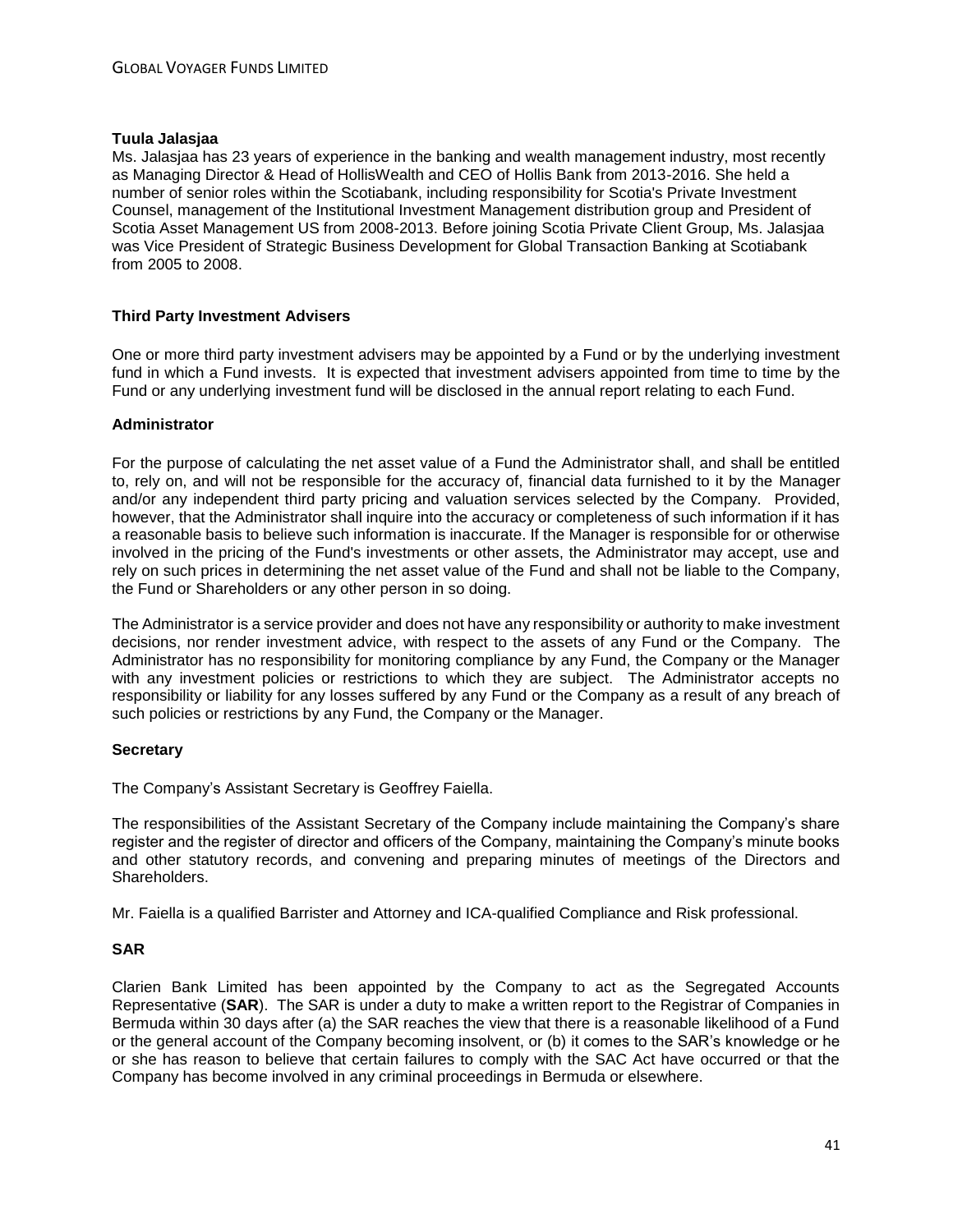### **Tuula Jalasjaa**

Ms. Jalasjaa has 23 years of experience in the banking and wealth management industry, most recently as Managing Director & Head of HollisWealth and CEO of Hollis Bank from 2013-2016. She held a number of senior roles within the Scotiabank, including responsibility for Scotia's Private Investment Counsel, management of the Institutional Investment Management distribution group and President of Scotia Asset Management US from 2008-2013. Before joining Scotia Private Client Group, Ms. Jalasjaa was Vice President of Strategic Business Development for Global Transaction Banking at Scotiabank from 2005 to 2008.

## **Third Party Investment Advisers**

One or more third party investment advisers may be appointed by a Fund or by the underlying investment fund in which a Fund invests. It is expected that investment advisers appointed from time to time by the Fund or any underlying investment fund will be disclosed in the annual report relating to each Fund.

## **Administrator**

For the purpose of calculating the net asset value of a Fund the Administrator shall, and shall be entitled to, rely on, and will not be responsible for the accuracy of, financial data furnished to it by the Manager and/or any independent third party pricing and valuation services selected by the Company. Provided, however, that the Administrator shall inquire into the accuracy or completeness of such information if it has a reasonable basis to believe such information is inaccurate. If the Manager is responsible for or otherwise involved in the pricing of the Fund's investments or other assets, the Administrator may accept, use and rely on such prices in determining the net asset value of the Fund and shall not be liable to the Company, the Fund or Shareholders or any other person in so doing.

The Administrator is a service provider and does not have any responsibility or authority to make investment decisions, nor render investment advice, with respect to the assets of any Fund or the Company. The Administrator has no responsibility for monitoring compliance by any Fund, the Company or the Manager with any investment policies or restrictions to which they are subject. The Administrator accepts no responsibility or liability for any losses suffered by any Fund or the Company as a result of any breach of such policies or restrictions by any Fund, the Company or the Manager.

### **Secretary**

The Company's Assistant Secretary is Geoffrey Faiella.

The responsibilities of the Assistant Secretary of the Company include maintaining the Company's share register and the register of director and officers of the Company, maintaining the Company's minute books and other statutory records, and convening and preparing minutes of meetings of the Directors and Shareholders.

Mr. Faiella is a qualified Barrister and Attorney and ICA-qualified Compliance and Risk professional.

# **SAR**

<span id="page-40-0"></span>Clarien Bank Limited has been appointed by the Company to act as the Segregated Accounts Representative (**SAR**). The SAR is under a duty to make a written report to the Registrar of Companies in Bermuda within 30 days after (a) the SAR reaches the view that there is a reasonable likelihood of a Fund or the general account of the Company becoming insolvent, or (b) it comes to the SAR's knowledge or he or she has reason to believe that certain failures to comply with the SAC Act have occurred or that the Company has become involved in any criminal proceedings in Bermuda or elsewhere.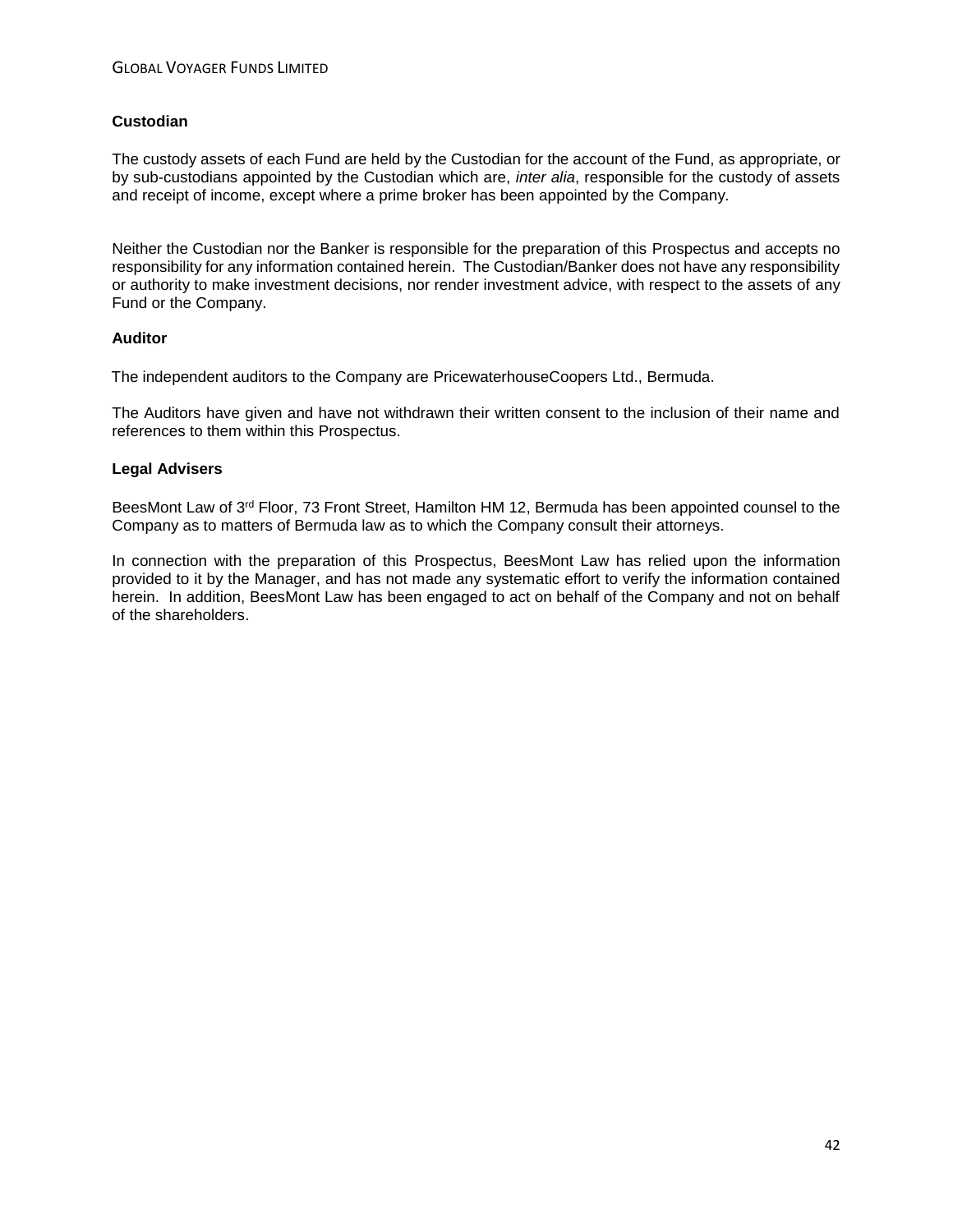# **Custodian**

The custody assets of each Fund are held by the Custodian for the account of the Fund, as appropriate, or by sub-custodians appointed by the Custodian which are, *inter alia*, responsible for the custody of assets and receipt of income, except where a prime broker has been appointed by the Company.

Neither the Custodian nor the Banker is responsible for the preparation of this Prospectus and accepts no responsibility for any information contained herein. The Custodian/Banker does not have any responsibility or authority to make investment decisions, nor render investment advice, with respect to the assets of any Fund or the Company.

## **Auditor**

The independent auditors to the Company are PricewaterhouseCoopers Ltd., Bermuda.

The Auditors have given and have not withdrawn their written consent to the inclusion of their name and references to them within this Prospectus.

## **Legal Advisers**

BeesMont Law of 3<sup>rd</sup> Floor, 73 Front Street, Hamilton HM 12, Bermuda has been appointed counsel to the Company as to matters of Bermuda law as to which the Company consult their attorneys.

In connection with the preparation of this Prospectus, BeesMont Law has relied upon the information provided to it by the Manager, and has not made any systematic effort to verify the information contained herein. In addition, BeesMont Law has been engaged to act on behalf of the Company and not on behalf of the shareholders.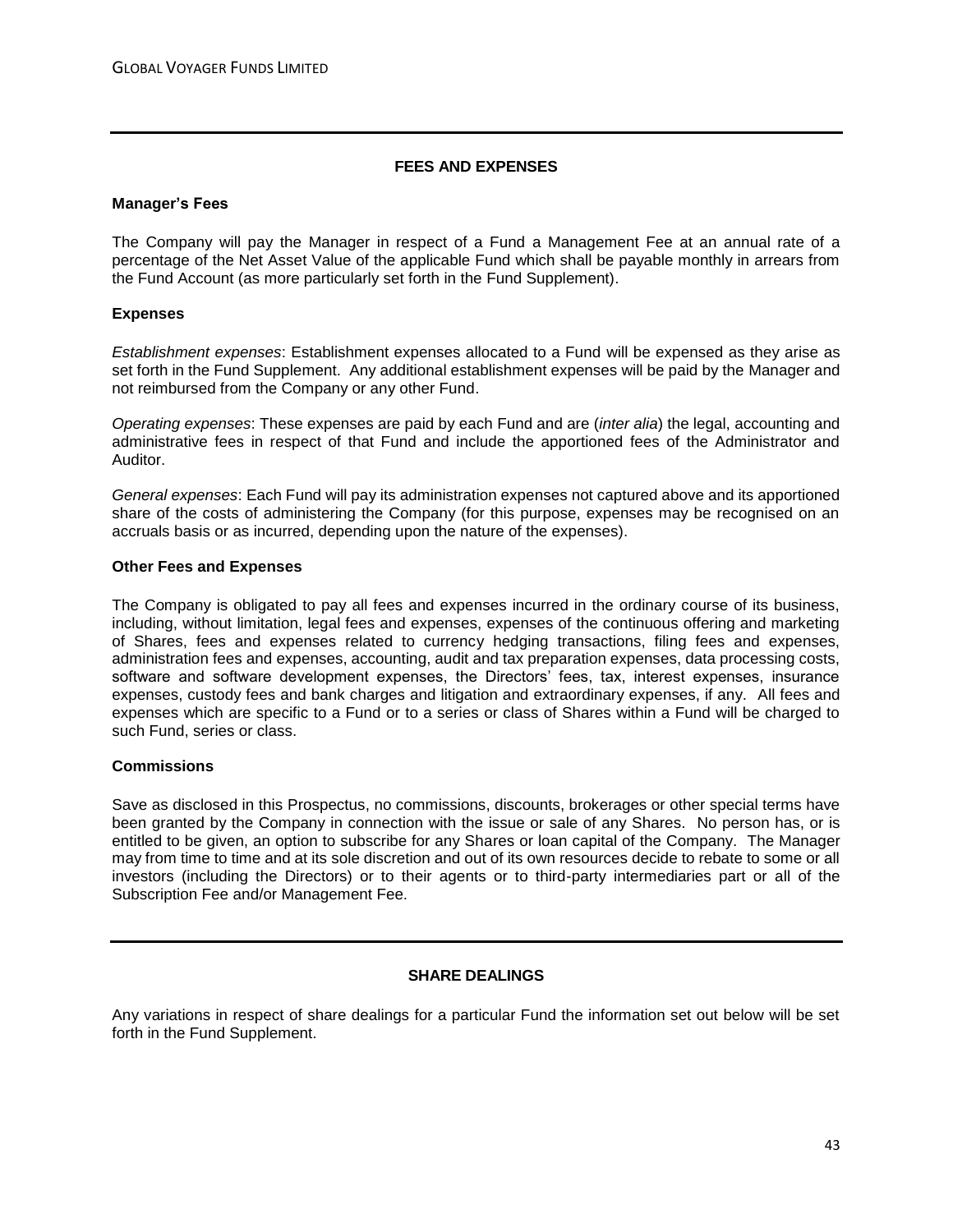### **FEES AND EXPENSES**

#### **Manager's Fees**

The Company will pay the Manager in respect of a Fund a Management Fee at an annual rate of a percentage of the Net Asset Value of the applicable Fund which shall be payable monthly in arrears from the Fund Account (as more particularly set forth in the Fund Supplement).

#### **Expenses**

*Establishment expenses*: Establishment expenses allocated to a Fund will be expensed as they arise as set forth in the Fund Supplement. Any additional establishment expenses will be paid by the Manager and not reimbursed from the Company or any other Fund.

*Operating expenses*: These expenses are paid by each Fund and are (*inter alia*) the legal, accounting and administrative fees in respect of that Fund and include the apportioned fees of the Administrator and Auditor.

*General expenses*: Each Fund will pay its administration expenses not captured above and its apportioned share of the costs of administering the Company (for this purpose, expenses may be recognised on an accruals basis or as incurred, depending upon the nature of the expenses).

#### **Other Fees and Expenses**

The Company is obligated to pay all fees and expenses incurred in the ordinary course of its business, including, without limitation, legal fees and expenses, expenses of the continuous offering and marketing of Shares, fees and expenses related to currency hedging transactions, filing fees and expenses, administration fees and expenses, accounting, audit and tax preparation expenses, data processing costs, software and software development expenses, the Directors' fees, tax, interest expenses, insurance expenses, custody fees and bank charges and litigation and extraordinary expenses, if any. All fees and expenses which are specific to a Fund or to a series or class of Shares within a Fund will be charged to such Fund, series or class.

### **Commissions**

Save as disclosed in this Prospectus, no commissions, discounts, brokerages or other special terms have been granted by the Company in connection with the issue or sale of any Shares. No person has, or is entitled to be given, an option to subscribe for any Shares or loan capital of the Company. The Manager may from time to time and at its sole discretion and out of its own resources decide to rebate to some or all investors (including the Directors) or to their agents or to third-party intermediaries part or all of the Subscription Fee and/or Management Fee.

## **SHARE DEALINGS**

Any variations in respect of share dealings for a particular Fund the information set out below will be set forth in the Fund Supplement.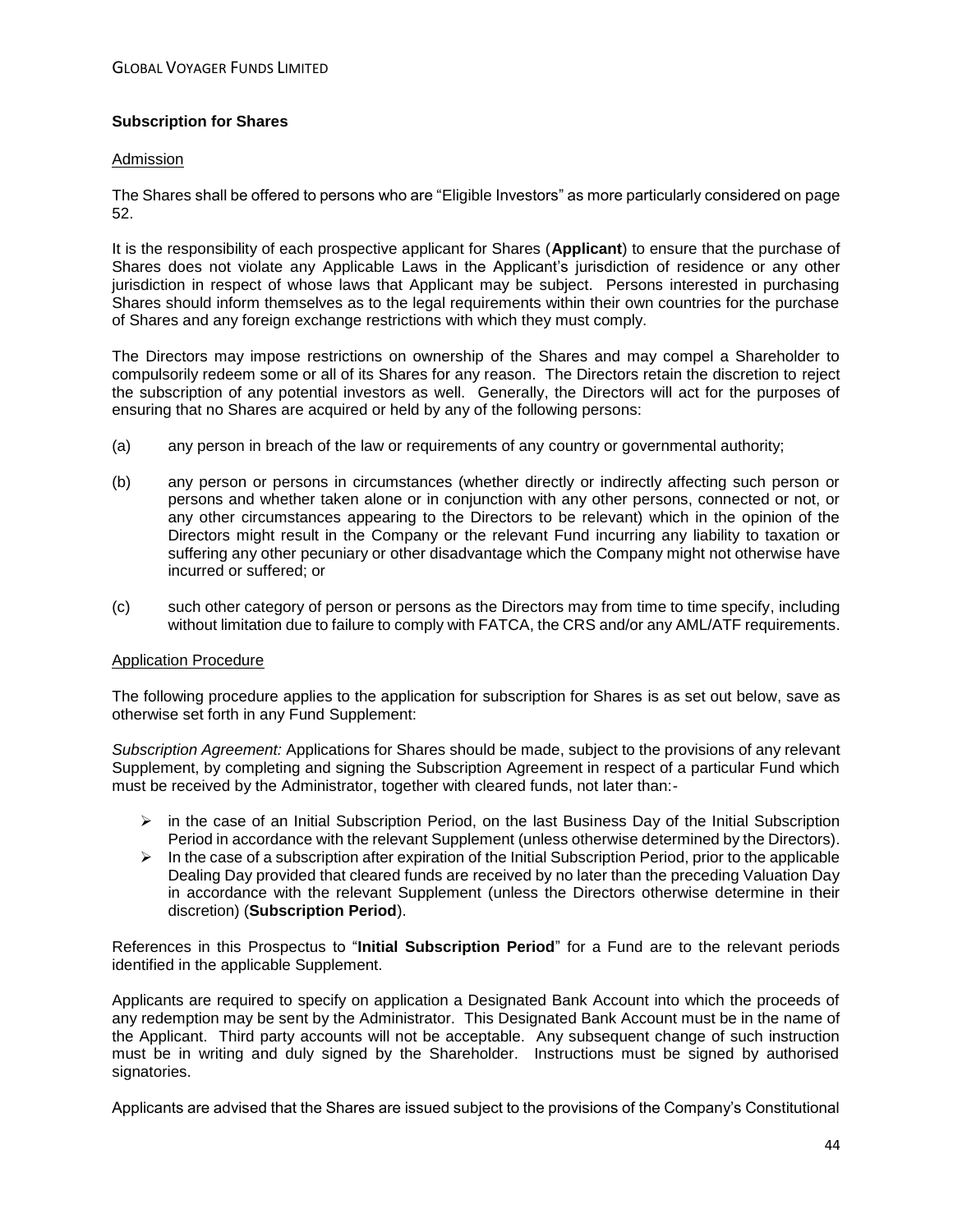# **Subscription for Shares**

### Admission

The Shares shall be offered to persons who are "Eligible Investors" as more particularly considered on page [52.](#page-51-0)

<span id="page-43-0"></span>It is the responsibility of each prospective applicant for Shares (**Applicant**) to ensure that the purchase of Shares does not violate any Applicable Laws in the Applicant's jurisdiction of residence or any other jurisdiction in respect of whose laws that Applicant may be subject. Persons interested in purchasing Shares should inform themselves as to the legal requirements within their own countries for the purchase of Shares and any foreign exchange restrictions with which they must comply.

The Directors may impose restrictions on ownership of the Shares and may compel a Shareholder to compulsorily redeem some or all of its Shares for any reason. The Directors retain the discretion to reject the subscription of any potential investors as well. Generally, the Directors will act for the purposes of ensuring that no Shares are acquired or held by any of the following persons:

- (a) any person in breach of the law or requirements of any country or governmental authority;
- (b) any person or persons in circumstances (whether directly or indirectly affecting such person or persons and whether taken alone or in conjunction with any other persons, connected or not, or any other circumstances appearing to the Directors to be relevant) which in the opinion of the Directors might result in the Company or the relevant Fund incurring any liability to taxation or suffering any other pecuniary or other disadvantage which the Company might not otherwise have incurred or suffered; or
- (c) such other category of person or persons as the Directors may from time to time specify, including without limitation due to failure to comply with FATCA, the CRS and/or any AML/ATF requirements.

### Application Procedure

The following procedure applies to the application for subscription for Shares is as set out below, save as otherwise set forth in any Fund Supplement:

*Subscription Agreement:* Applications for Shares should be made, subject to the provisions of any relevant Supplement, by completing and signing the Subscription Agreement in respect of a particular Fund which must be received by the Administrator, together with cleared funds, not later than:-

- $\triangleright$  in the case of an Initial Subscription Period, on the last Business Day of the Initial Subscription Period in accordance with the relevant Supplement (unless otherwise determined by the Directors).
- <span id="page-43-2"></span><span id="page-43-1"></span> $\triangleright$  In the case of a subscription after expiration of the Initial Subscription Period, prior to the applicable Dealing Day provided that cleared funds are received by no later than the preceding Valuation Day in accordance with the relevant Supplement (unless the Directors otherwise determine in their discretion) (**Subscription Period**).

References in this Prospectus to "**Initial Subscription Period**" for a Fund are to the relevant periods identified in the applicable Supplement.

Applicants are required to specify on application a Designated Bank Account into which the proceeds of any redemption may be sent by the Administrator. This Designated Bank Account must be in the name of the Applicant. Third party accounts will not be acceptable. Any subsequent change of such instruction must be in writing and duly signed by the Shareholder. Instructions must be signed by authorised signatories.

Applicants are advised that the Shares are issued subject to the provisions of the Company's Constitutional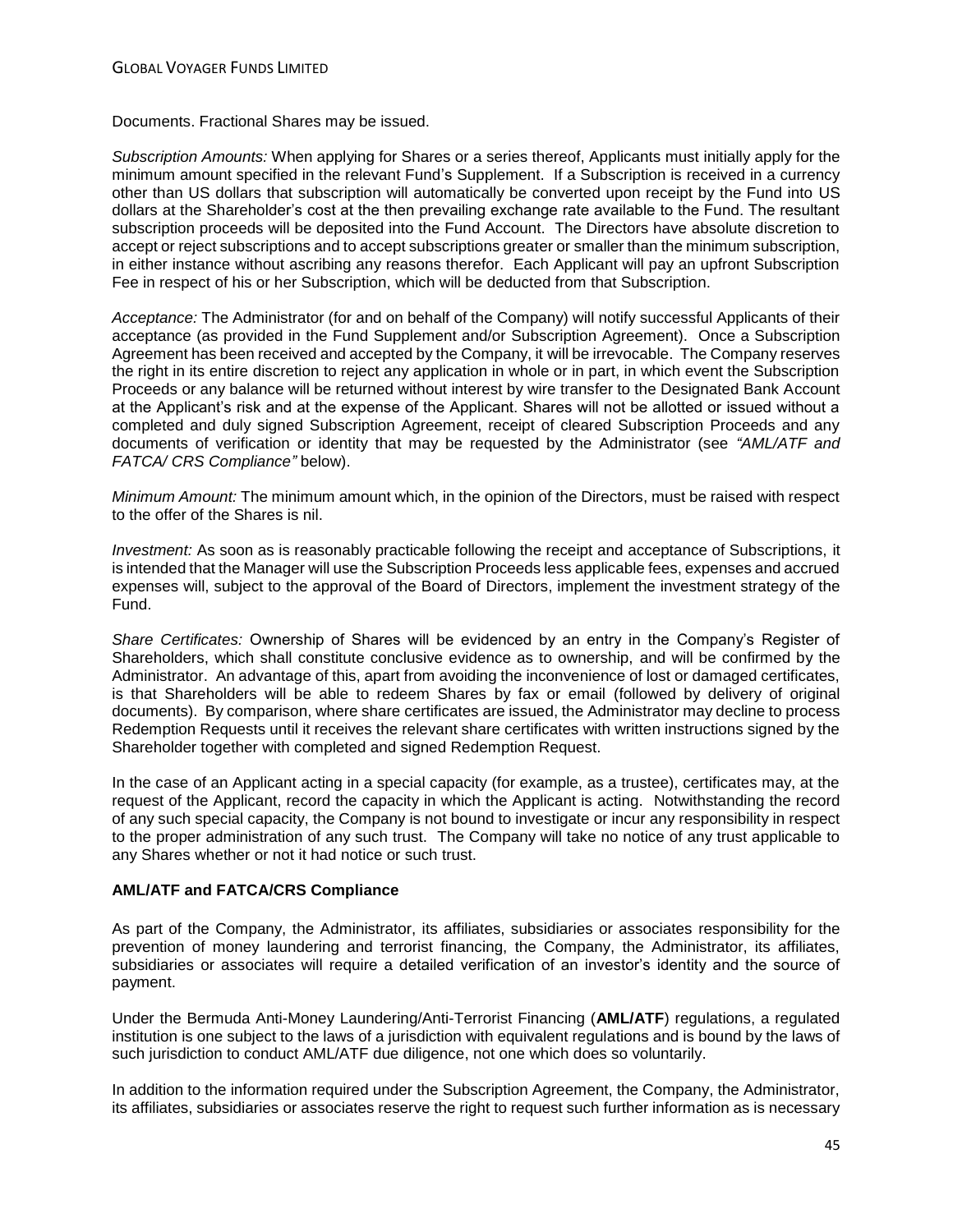Documents. Fractional Shares may be issued.

*Subscription Amounts:* When applying for Shares or a series thereof, Applicants must initially apply for the minimum amount specified in the relevant Fund's Supplement. If a Subscription is received in a currency other than US dollars that subscription will automatically be converted upon receipt by the Fund into US dollars at the Shareholder's cost at the then prevailing exchange rate available to the Fund. The resultant subscription proceeds will be deposited into the Fund Account. The Directors have absolute discretion to accept or reject subscriptions and to accept subscriptions greater or smaller than the minimum subscription, in either instance without ascribing any reasons therefor. Each Applicant will pay an upfront Subscription Fee in respect of his or her Subscription, which will be deducted from that Subscription.

*Acceptance:* The Administrator (for and on behalf of the Company) will notify successful Applicants of their acceptance (as provided in the Fund Supplement and/or Subscription Agreement). Once a Subscription Agreement has been received and accepted by the Company, it will be irrevocable. The Company reserves the right in its entire discretion to reject any application in whole or in part, in which event the Subscription Proceeds or any balance will be returned without interest by wire transfer to the Designated Bank Account at the Applicant's risk and at the expense of the Applicant. Shares will not be allotted or issued without a completed and duly signed Subscription Agreement, receipt of cleared Subscription Proceeds and any documents of verification or identity that may be requested by the Administrator (see *"AML/ATF and FATCA/ CRS Compliance"* below).

*Minimum Amount:* The minimum amount which, in the opinion of the Directors, must be raised with respect to the offer of the Shares is nil.

*Investment:* As soon as is reasonably practicable following the receipt and acceptance of Subscriptions, it is intended that the Manager will use the Subscription Proceeds less applicable fees, expenses and accrued expenses will, subject to the approval of the Board of Directors, implement the investment strategy of the Fund.

*Share Certificates:* Ownership of Shares will be evidenced by an entry in the Company's Register of Shareholders, which shall constitute conclusive evidence as to ownership, and will be confirmed by the Administrator. An advantage of this, apart from avoiding the inconvenience of lost or damaged certificates, is that Shareholders will be able to redeem Shares by fax or email (followed by delivery of original documents). By comparison, where share certificates are issued, the Administrator may decline to process Redemption Requests until it receives the relevant share certificates with written instructions signed by the Shareholder together with completed and signed Redemption Request.

In the case of an Applicant acting in a special capacity (for example, as a trustee), certificates may, at the request of the Applicant, record the capacity in which the Applicant is acting. Notwithstanding the record of any such special capacity, the Company is not bound to investigate or incur any responsibility in respect to the proper administration of any such trust. The Company will take no notice of any trust applicable to any Shares whether or not it had notice or such trust.

### **AML/ATF and FATCA/CRS Compliance**

As part of the Company, the Administrator, its affiliates, subsidiaries or associates responsibility for the prevention of money laundering and terrorist financing, the Company, the Administrator, its affiliates, subsidiaries or associates will require a detailed verification of an investor's identity and the source of payment.

<span id="page-44-0"></span>Under the Bermuda Anti-Money Laundering/Anti-Terrorist Financing (**AML/ATF**) regulations, a regulated institution is one subject to the laws of a jurisdiction with equivalent regulations and is bound by the laws of such jurisdiction to conduct AML/ATF due diligence, not one which does so voluntarily.

In addition to the information required under the Subscription Agreement, the Company, the Administrator, its affiliates, subsidiaries or associates reserve the right to request such further information as is necessary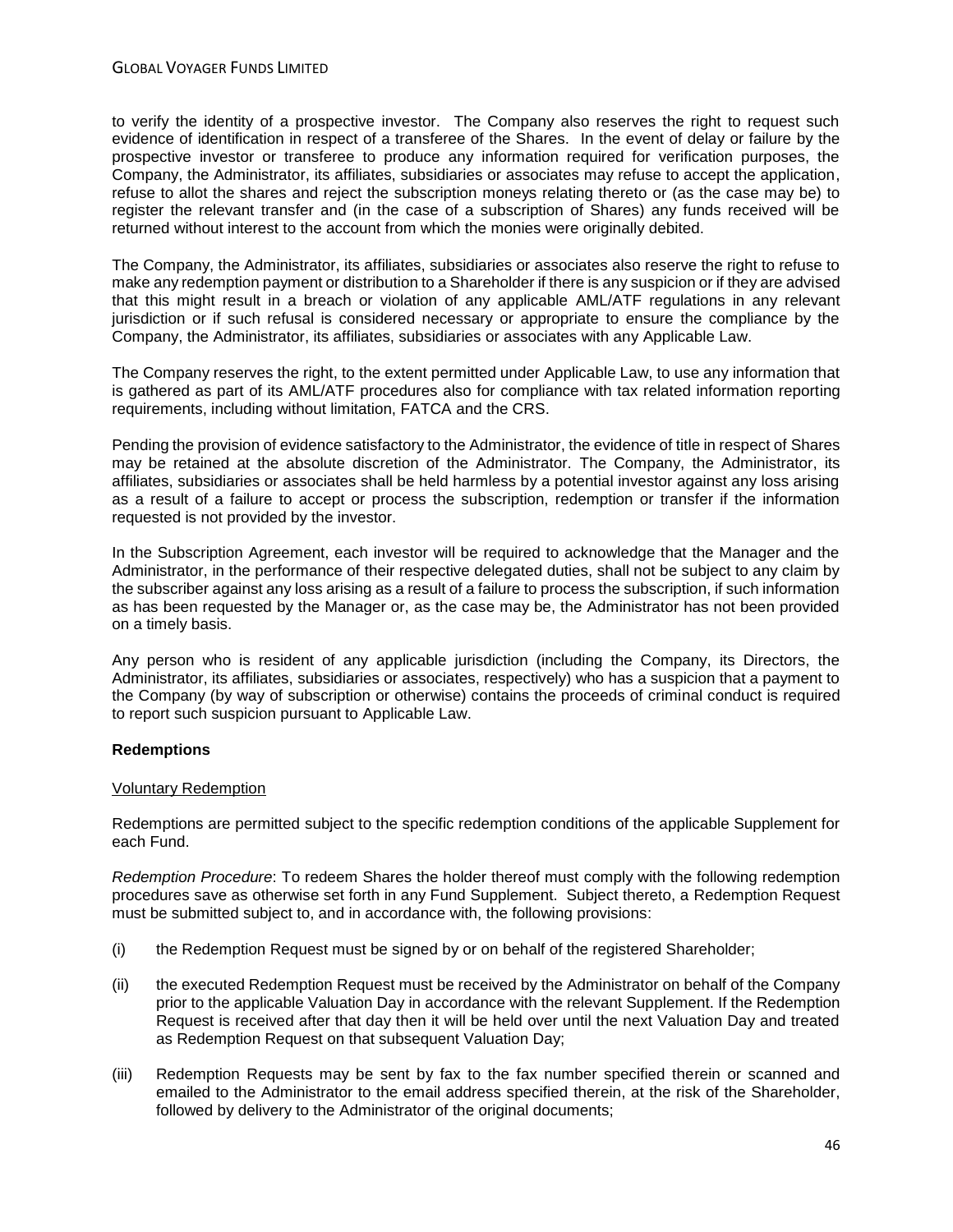to verify the identity of a prospective investor. The Company also reserves the right to request such evidence of identification in respect of a transferee of the Shares. In the event of delay or failure by the prospective investor or transferee to produce any information required for verification purposes, the Company, the Administrator, its affiliates, subsidiaries or associates may refuse to accept the application, refuse to allot the shares and reject the subscription moneys relating thereto or (as the case may be) to register the relevant transfer and (in the case of a subscription of Shares) any funds received will be returned without interest to the account from which the monies were originally debited.

The Company, the Administrator, its affiliates, subsidiaries or associates also reserve the right to refuse to make any redemption payment or distribution to a Shareholder if there is any suspicion or if they are advised that this might result in a breach or violation of any applicable AML/ATF regulations in any relevant jurisdiction or if such refusal is considered necessary or appropriate to ensure the compliance by the Company, the Administrator, its affiliates, subsidiaries or associates with any Applicable Law.

The Company reserves the right, to the extent permitted under Applicable Law, to use any information that is gathered as part of its AML/ATF procedures also for compliance with tax related information reporting requirements, including without limitation, FATCA and the CRS.

Pending the provision of evidence satisfactory to the Administrator, the evidence of title in respect of Shares may be retained at the absolute discretion of the Administrator. The Company, the Administrator, its affiliates, subsidiaries or associates shall be held harmless by a potential investor against any loss arising as a result of a failure to accept or process the subscription, redemption or transfer if the information requested is not provided by the investor.

In the Subscription Agreement, each investor will be required to acknowledge that the Manager and the Administrator, in the performance of their respective delegated duties, shall not be subject to any claim by the subscriber against any loss arising as a result of a failure to process the subscription, if such information as has been requested by the Manager or, as the case may be, the Administrator has not been provided on a timely basis.

Any person who is resident of any applicable jurisdiction (including the Company, its Directors, the Administrator, its affiliates, subsidiaries or associates, respectively) who has a suspicion that a payment to the Company (by way of subscription or otherwise) contains the proceeds of criminal conduct is required to report such suspicion pursuant to Applicable Law.

# **Redemptions**

### Voluntary Redemption

Redemptions are permitted subject to the specific redemption conditions of the applicable Supplement for each Fund.

*Redemption Procedure*: To redeem Shares the holder thereof must comply with the following redemption procedures save as otherwise set forth in any Fund Supplement. Subject thereto, a Redemption Request must be submitted subject to, and in accordance with, the following provisions:

- (i) the Redemption Request must be signed by or on behalf of the registered Shareholder;
- (ii) the executed Redemption Request must be received by the Administrator on behalf of the Company prior to the applicable Valuation Day in accordance with the relevant Supplement. If the Redemption Request is received after that day then it will be held over until the next Valuation Day and treated as Redemption Request on that subsequent Valuation Day;
- (iii) Redemption Requests may be sent by fax to the fax number specified therein or scanned and emailed to the Administrator to the email address specified therein, at the risk of the Shareholder, followed by delivery to the Administrator of the original documents;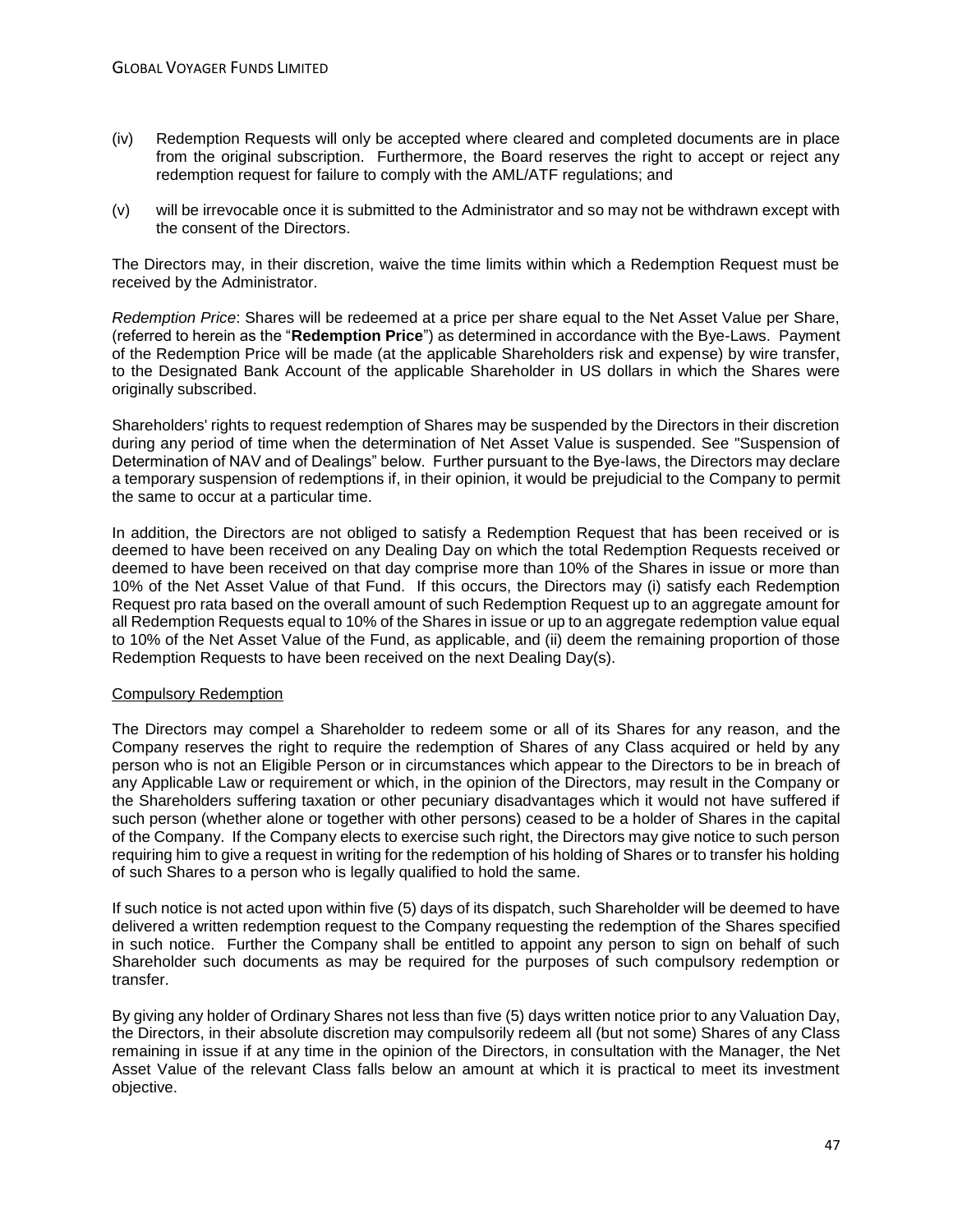- (iv) Redemption Requests will only be accepted where cleared and completed documents are in place from the original subscription. Furthermore, the Board reserves the right to accept or reject any redemption request for failure to comply with the AML/ATF regulations; and
- (v) will be irrevocable once it is submitted to the Administrator and so may not be withdrawn except with the consent of the Directors.

The Directors may, in their discretion, waive the time limits within which a Redemption Request must be received by the Administrator.

<span id="page-46-0"></span>*Redemption Price*: Shares will be redeemed at a price per share equal to the Net Asset Value per Share, (referred to herein as the "**Redemption Price**") as determined in accordance with the Bye-Laws. Payment of the Redemption Price will be made (at the applicable Shareholders risk and expense) by wire transfer, to the Designated Bank Account of the applicable Shareholder in US dollars in which the Shares were originally subscribed.

Shareholders' rights to request redemption of Shares may be suspended by the Directors in their discretion during any period of time when the determination of Net Asset Value is suspended. See "Suspension of Determination of NAV and of Dealings" below. Further pursuant to the Bye-laws, the Directors may declare a temporary suspension of redemptions if, in their opinion, it would be prejudicial to the Company to permit the same to occur at a particular time.

In addition, the Directors are not obliged to satisfy a Redemption Request that has been received or is deemed to have been received on any Dealing Day on which the total Redemption Requests received or deemed to have been received on that day comprise more than 10% of the Shares in issue or more than 10% of the Net Asset Value of that Fund. If this occurs, the Directors may (i) satisfy each Redemption Request pro rata based on the overall amount of such Redemption Request up to an aggregate amount for all Redemption Requests equal to 10% of the Shares in issue or up to an aggregate redemption value equal to 10% of the Net Asset Value of the Fund, as applicable, and (ii) deem the remaining proportion of those Redemption Requests to have been received on the next Dealing Day(s).

### Compulsory Redemption

The Directors may compel a Shareholder to redeem some or all of its Shares for any reason, and the Company reserves the right to require the redemption of Shares of any Class acquired or held by any person who is not an Eligible Person or in circumstances which appear to the Directors to be in breach of any Applicable Law or requirement or which, in the opinion of the Directors, may result in the Company or the Shareholders suffering taxation or other pecuniary disadvantages which it would not have suffered if such person (whether alone or together with other persons) ceased to be a holder of Shares in the capital of the Company. If the Company elects to exercise such right, the Directors may give notice to such person requiring him to give a request in writing for the redemption of his holding of Shares or to transfer his holding of such Shares to a person who is legally qualified to hold the same.

If such notice is not acted upon within five (5) days of its dispatch, such Shareholder will be deemed to have delivered a written redemption request to the Company requesting the redemption of the Shares specified in such notice. Further the Company shall be entitled to appoint any person to sign on behalf of such Shareholder such documents as may be required for the purposes of such compulsory redemption or transfer.

By giving any holder of Ordinary Shares not less than five (5) days written notice prior to any Valuation Day, the Directors, in their absolute discretion may compulsorily redeem all (but not some) Shares of any Class remaining in issue if at any time in the opinion of the Directors, in consultation with the Manager, the Net Asset Value of the relevant Class falls below an amount at which it is practical to meet its investment objective.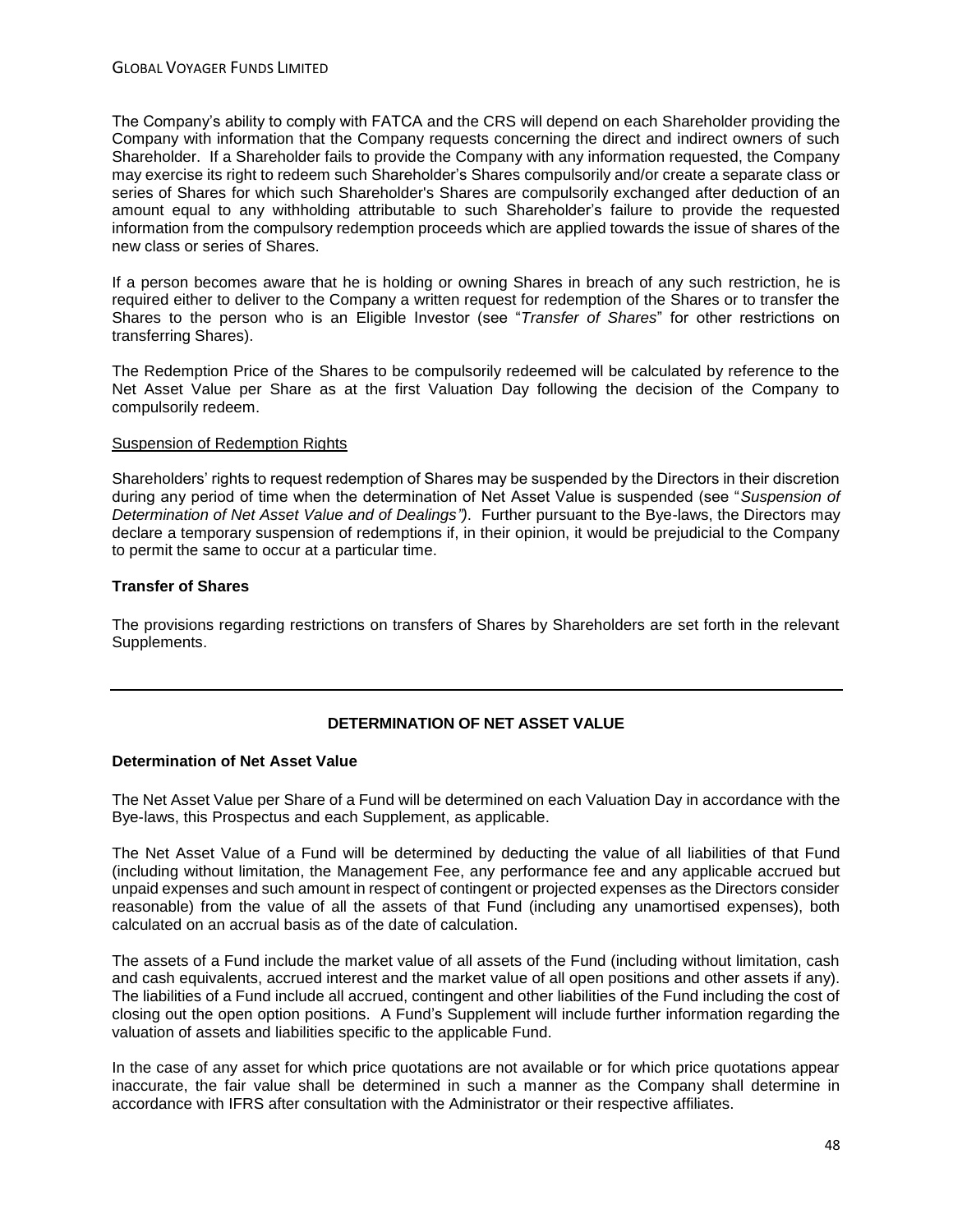The Company's ability to comply with FATCA and the CRS will depend on each Shareholder providing the Company with information that the Company requests concerning the direct and indirect owners of such Shareholder. If a Shareholder fails to provide the Company with any information requested, the Company may exercise its right to redeem such Shareholder's Shares compulsorily and/or create a separate class or series of Shares for which such Shareholder's Shares are compulsorily exchanged after deduction of an amount equal to any withholding attributable to such Shareholder's failure to provide the requested information from the compulsory redemption proceeds which are applied towards the issue of shares of the new class or series of Shares.

If a person becomes aware that he is holding or owning Shares in breach of any such restriction, he is required either to deliver to the Company a written request for redemption of the Shares or to transfer the Shares to the person who is an Eligible Investor (see "*Transfer of Shares*" for other restrictions on transferring Shares).

The Redemption Price of the Shares to be compulsorily redeemed will be calculated by reference to the Net Asset Value per Share as at the first Valuation Day following the decision of the Company to compulsorily redeem.

### Suspension of Redemption Rights

Shareholders' rights to request redemption of Shares may be suspended by the Directors in their discretion during any period of time when the determination of Net Asset Value is suspended (see "*Suspension of Determination of Net Asset Value and of Dealings")*. Further pursuant to the Bye-laws, the Directors may declare a temporary suspension of redemptions if, in their opinion, it would be prejudicial to the Company to permit the same to occur at a particular time.

## **Transfer of Shares**

The provisions regarding restrictions on transfers of Shares by Shareholders are set forth in the relevant Supplements.

# **DETERMINATION OF NET ASSET VALUE**

# **Determination of Net Asset Value**

The Net Asset Value per Share of a Fund will be determined on each Valuation Day in accordance with the Bye-laws, this Prospectus and each Supplement, as applicable.

The Net Asset Value of a Fund will be determined by deducting the value of all liabilities of that Fund (including without limitation, the Management Fee, any performance fee and any applicable accrued but unpaid expenses and such amount in respect of contingent or projected expenses as the Directors consider reasonable) from the value of all the assets of that Fund (including any unamortised expenses), both calculated on an accrual basis as of the date of calculation.

The assets of a Fund include the market value of all assets of the Fund (including without limitation, cash and cash equivalents, accrued interest and the market value of all open positions and other assets if any). The liabilities of a Fund include all accrued, contingent and other liabilities of the Fund including the cost of closing out the open option positions. A Fund's Supplement will include further information regarding the valuation of assets and liabilities specific to the applicable Fund.

In the case of any asset for which price quotations are not available or for which price quotations appear inaccurate, the fair value shall be determined in such a manner as the Company shall determine in accordance with IFRS after consultation with the Administrator or their respective affiliates.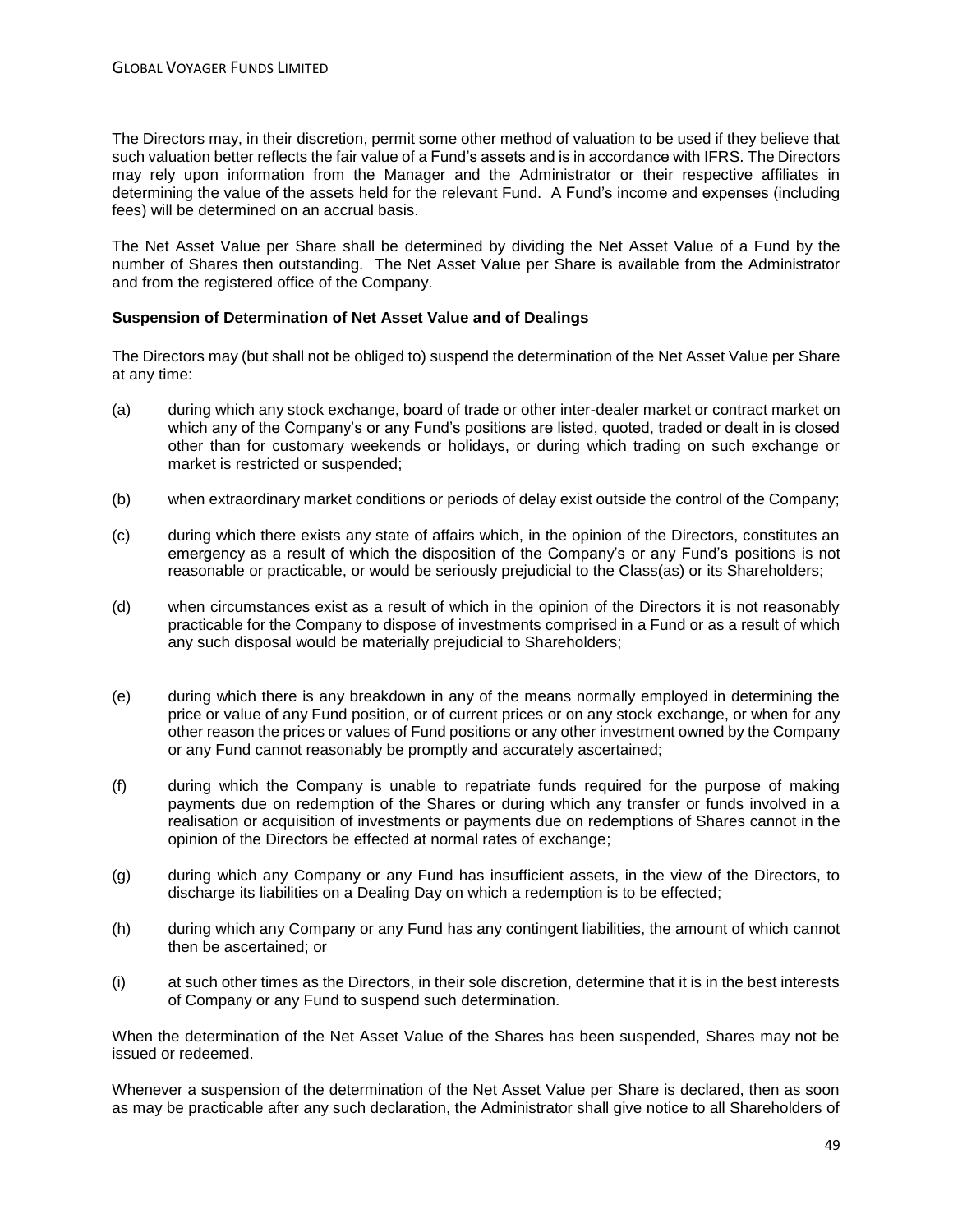The Directors may, in their discretion, permit some other method of valuation to be used if they believe that such valuation better reflects the fair value of a Fund's assets and is in accordance with IFRS. The Directors may rely upon information from the Manager and the Administrator or their respective affiliates in determining the value of the assets held for the relevant Fund. A Fund's income and expenses (including fees) will be determined on an accrual basis.

The Net Asset Value per Share shall be determined by dividing the Net Asset Value of a Fund by the number of Shares then outstanding. The Net Asset Value per Share is available from the Administrator and from the registered office of the Company.

## **Suspension of Determination of Net Asset Value and of Dealings**

The Directors may (but shall not be obliged to) suspend the determination of the Net Asset Value per Share at any time:

- (a) during which any stock exchange, board of trade or other inter-dealer market or contract market on which any of the Company's or any Fund's positions are listed, quoted, traded or dealt in is closed other than for customary weekends or holidays, or during which trading on such exchange or market is restricted or suspended;
- (b) when extraordinary market conditions or periods of delay exist outside the control of the Company;
- (c) during which there exists any state of affairs which, in the opinion of the Directors, constitutes an emergency as a result of which the disposition of the Company's or any Fund's positions is not reasonable or practicable, or would be seriously prejudicial to the Class(as) or its Shareholders;
- (d) when circumstances exist as a result of which in the opinion of the Directors it is not reasonably practicable for the Company to dispose of investments comprised in a Fund or as a result of which any such disposal would be materially prejudicial to Shareholders;
- (e) during which there is any breakdown in any of the means normally employed in determining the price or value of any Fund position, or of current prices or on any stock exchange, or when for any other reason the prices or values of Fund positions or any other investment owned by the Company or any Fund cannot reasonably be promptly and accurately ascertained;
- (f) during which the Company is unable to repatriate funds required for the purpose of making payments due on redemption of the Shares or during which any transfer or funds involved in a realisation or acquisition of investments or payments due on redemptions of Shares cannot in the opinion of the Directors be effected at normal rates of exchange;
- (g) during which any Company or any Fund has insufficient assets, in the view of the Directors, to discharge its liabilities on a Dealing Day on which a redemption is to be effected;
- (h) during which any Company or any Fund has any contingent liabilities, the amount of which cannot then be ascertained; or
- (i) at such other times as the Directors, in their sole discretion, determine that it is in the best interests of Company or any Fund to suspend such determination.

When the determination of the Net Asset Value of the Shares has been suspended, Shares may not be issued or redeemed.

Whenever a suspension of the determination of the Net Asset Value per Share is declared, then as soon as may be practicable after any such declaration, the Administrator shall give notice to all Shareholders of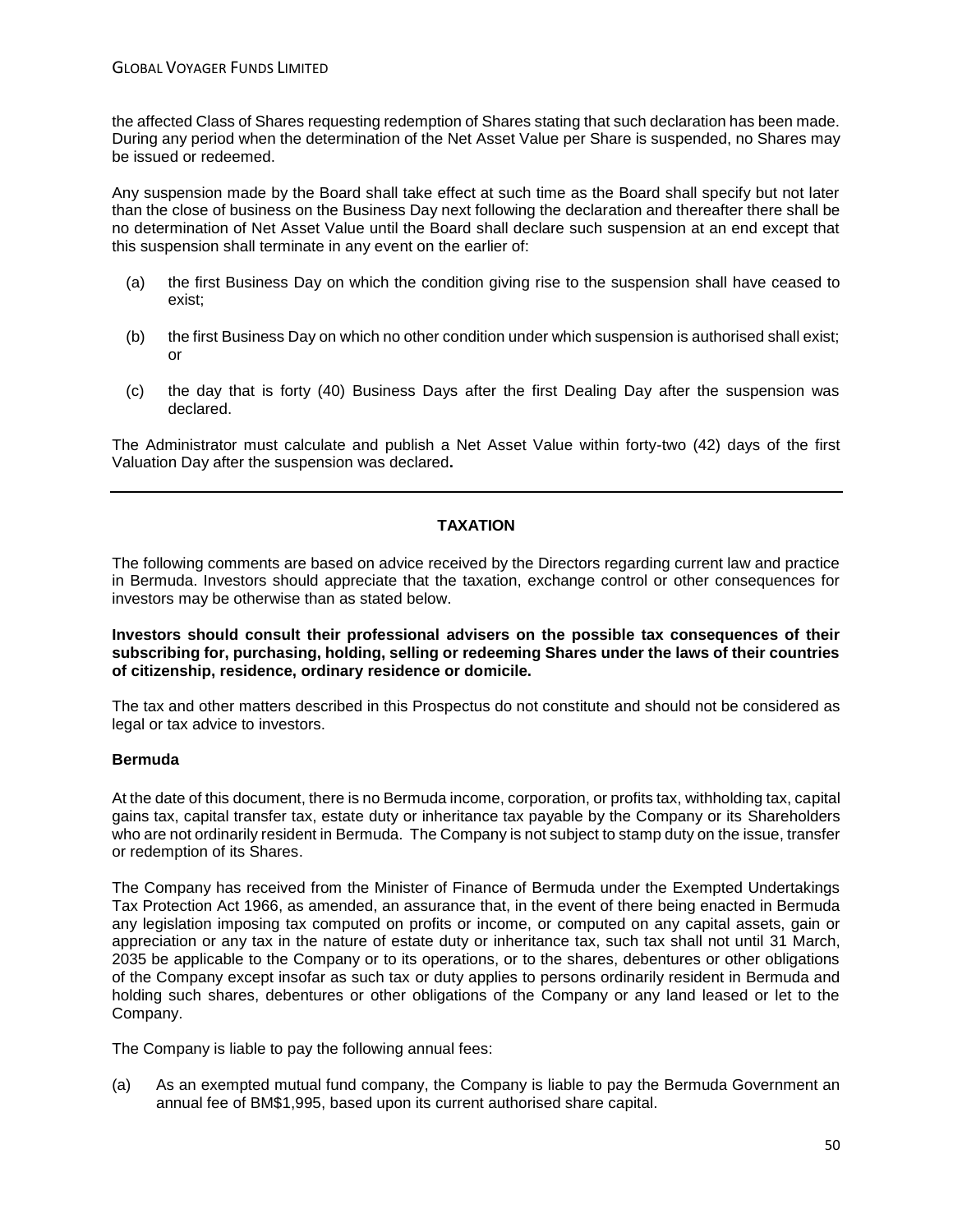the affected Class of Shares requesting redemption of Shares stating that such declaration has been made. During any period when the determination of the Net Asset Value per Share is suspended, no Shares may be issued or redeemed.

Any suspension made by the Board shall take effect at such time as the Board shall specify but not later than the close of business on the Business Day next following the declaration and thereafter there shall be no determination of Net Asset Value until the Board shall declare such suspension at an end except that this suspension shall terminate in any event on the earlier of:

- (a) the first Business Day on which the condition giving rise to the suspension shall have ceased to exist;
- (b) the first Business Day on which no other condition under which suspension is authorised shall exist; or
- (c) the day that is forty (40) Business Days after the first Dealing Day after the suspension was declared.

The Administrator must calculate and publish a Net Asset Value within forty-two (42) days of the first Valuation Day after the suspension was declared**.**

## **TAXATION**

The following comments are based on advice received by the Directors regarding current law and practice in Bermuda. Investors should appreciate that the taxation, exchange control or other consequences for investors may be otherwise than as stated below.

**Investors should consult their professional advisers on the possible tax consequences of their subscribing for, purchasing, holding, selling or redeeming Shares under the laws of their countries of citizenship, residence, ordinary residence or domicile.**

The tax and other matters described in this Prospectus do not constitute and should not be considered as legal or tax advice to investors.

### **Bermuda**

At the date of this document, there is no Bermuda income, corporation, or profits tax, withholding tax, capital gains tax, capital transfer tax, estate duty or inheritance tax payable by the Company or its Shareholders who are not ordinarily resident in Bermuda. The Company is not subject to stamp duty on the issue, transfer or redemption of its Shares.

The Company has received from the Minister of Finance of Bermuda under the Exempted Undertakings Tax Protection Act 1966, as amended, an assurance that, in the event of there being enacted in Bermuda any legislation imposing tax computed on profits or income, or computed on any capital assets, gain or appreciation or any tax in the nature of estate duty or inheritance tax, such tax shall not until 31 March, 2035 be applicable to the Company or to its operations, or to the shares, debentures or other obligations of the Company except insofar as such tax or duty applies to persons ordinarily resident in Bermuda and holding such shares, debentures or other obligations of the Company or any land leased or let to the Company.

The Company is liable to pay the following annual fees:

(a) As an exempted mutual fund company, the Company is liable to pay the Bermuda Government an annual fee of BM\$1,995, based upon its current authorised share capital.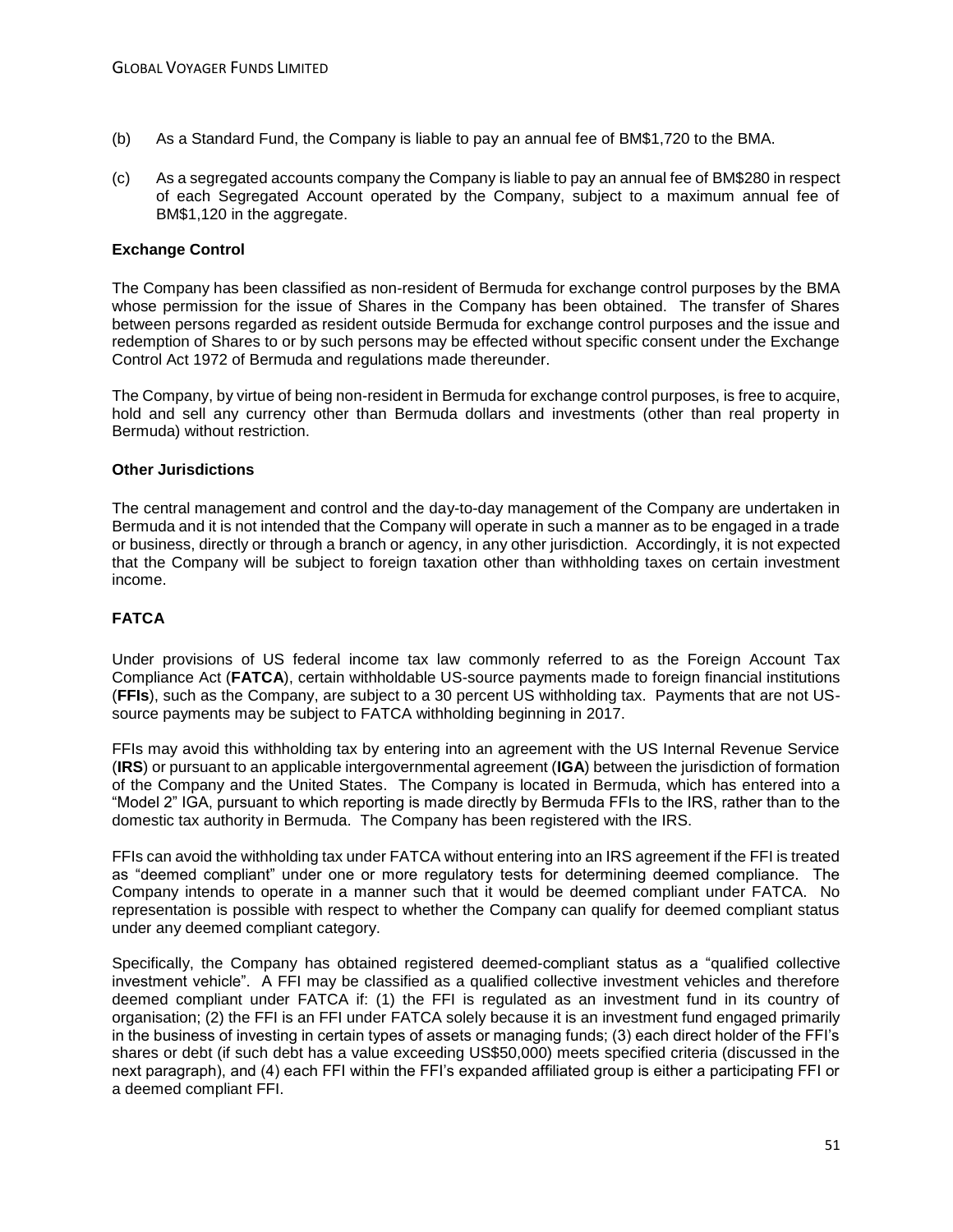- (b) As a Standard Fund, the Company is liable to pay an annual fee of BM\$1,720 to the BMA.
- (c) As a segregated accounts company the Company is liable to pay an annual fee of BM\$280 in respect of each Segregated Account operated by the Company, subject to a maximum annual fee of BM\$1,120 in the aggregate.

### **Exchange Control**

The Company has been classified as non-resident of Bermuda for exchange control purposes by the BMA whose permission for the issue of Shares in the Company has been obtained. The transfer of Shares between persons regarded as resident outside Bermuda for exchange control purposes and the issue and redemption of Shares to or by such persons may be effected without specific consent under the Exchange Control Act 1972 of Bermuda and regulations made thereunder.

The Company, by virtue of being non-resident in Bermuda for exchange control purposes, is free to acquire, hold and sell any currency other than Bermuda dollars and investments (other than real property in Bermuda) without restriction.

### **Other Jurisdictions**

The central management and control and the day-to-day management of the Company are undertaken in Bermuda and it is not intended that the Company will operate in such a manner as to be engaged in a trade or business, directly or through a branch or agency, in any other jurisdiction. Accordingly, it is not expected that the Company will be subject to foreign taxation other than withholding taxes on certain investment income.

# **FATCA**

Under provisions of US federal income tax law commonly referred to as the Foreign Account Tax Compliance Act (**FATCA**), certain withholdable US-source payments made to foreign financial institutions (**FFIs**), such as the Company, are subject to a 30 percent US withholding tax. Payments that are not USsource payments may be subject to FATCA withholding beginning in 2017.

FFIs may avoid this withholding tax by entering into an agreement with the US Internal Revenue Service (**IRS**) or pursuant to an applicable intergovernmental agreement (**IGA**) between the jurisdiction of formation of the Company and the United States. The Company is located in Bermuda, which has entered into a "Model 2" IGA, pursuant to which reporting is made directly by Bermuda FFIs to the IRS, rather than to the domestic tax authority in Bermuda. The Company has been registered with the IRS.

FFIs can avoid the withholding tax under FATCA without entering into an IRS agreement if the FFI is treated as "deemed compliant" under one or more regulatory tests for determining deemed compliance. The Company intends to operate in a manner such that it would be deemed compliant under FATCA. No representation is possible with respect to whether the Company can qualify for deemed compliant status under any deemed compliant category.

Specifically, the Company has obtained registered deemed-compliant status as a "qualified collective investment vehicle". A FFI may be classified as a qualified collective investment vehicles and therefore deemed compliant under FATCA if: (1) the FFI is regulated as an investment fund in its country of organisation; (2) the FFI is an FFI under FATCA solely because it is an investment fund engaged primarily in the business of investing in certain types of assets or managing funds; (3) each direct holder of the FFI's shares or debt (if such debt has a value exceeding US\$50,000) meets specified criteria (discussed in the next paragraph), and (4) each FFI within the FFI's expanded affiliated group is either a participating FFI or a deemed compliant FFI.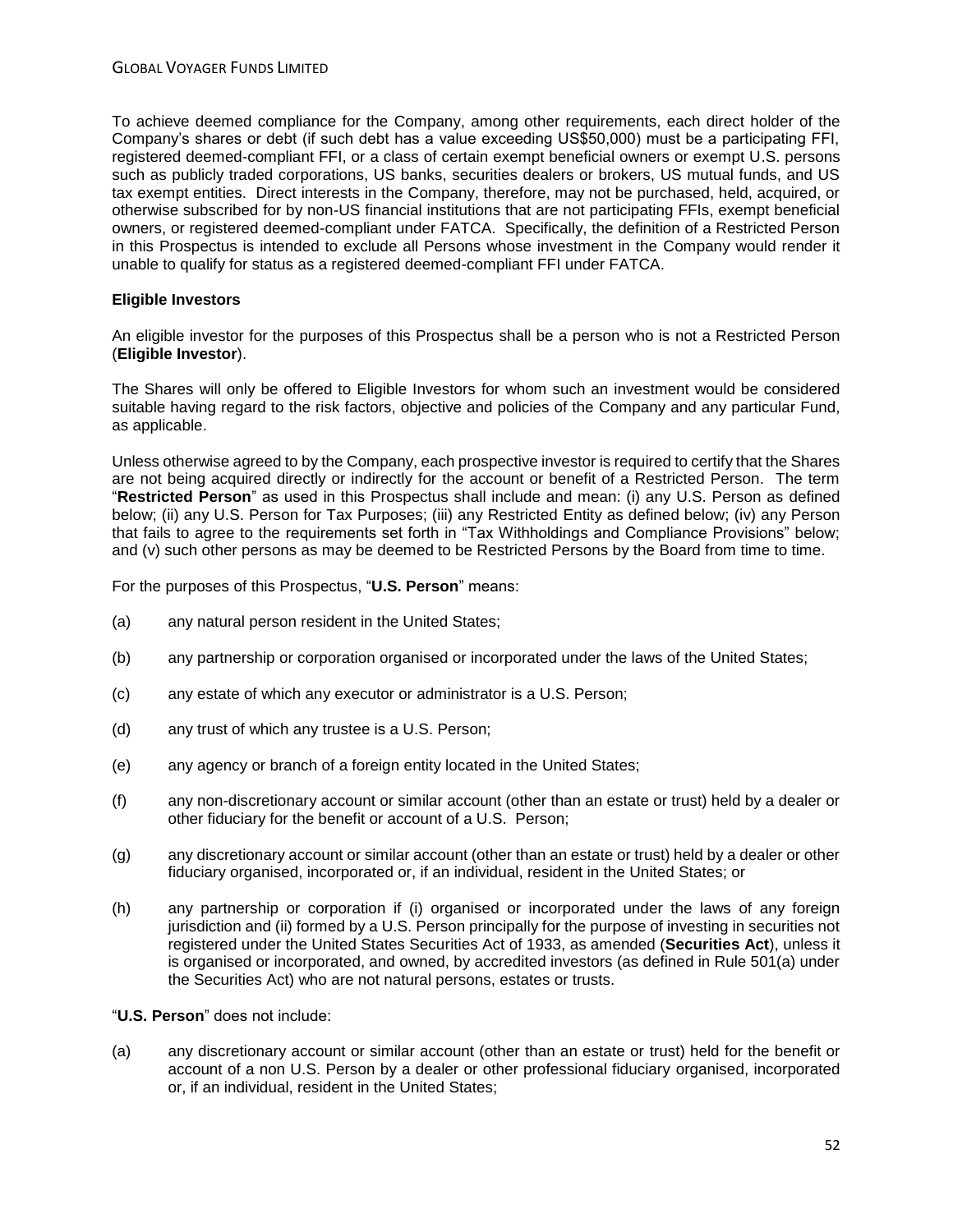To achieve deemed compliance for the Company, among other requirements, each direct holder of the Company's shares or debt (if such debt has a value exceeding US\$50,000) must be a participating FFI, registered deemed-compliant FFI, or a class of certain exempt beneficial owners or exempt U.S. persons such as publicly traded corporations, US banks, securities dealers or brokers, US mutual funds, and US tax exempt entities. Direct interests in the Company, therefore, may not be purchased, held, acquired, or otherwise subscribed for by non-US financial institutions that are not participating FFIs, exempt beneficial owners, or registered deemed-compliant under FATCA. Specifically, the definition of a Restricted Person in this Prospectus is intended to exclude all Persons whose investment in the Company would render it unable to qualify for status as a registered deemed-compliant FFI under FATCA.

## <span id="page-51-0"></span>**Eligible Investors**

An eligible investor for the purposes of this Prospectus shall be a person who is not a Restricted Person (**Eligible Investor**).

The Shares will only be offered to Eligible Investors for whom such an investment would be considered suitable having regard to the risk factors, objective and policies of the Company and any particular Fund, as applicable.

<span id="page-51-1"></span>Unless otherwise agreed to by the Company, each prospective investor is required to certify that the Shares are not being acquired directly or indirectly for the account or benefit of a Restricted Person. The term "**Restricted Person**" as used in this Prospectus shall include and mean: (i) any U.S. Person as defined below; (ii) any U.S. Person for Tax Purposes; (iii) any Restricted Entity as defined below; (iv) any Person that fails to agree to the requirements set forth in "Tax Withholdings and Compliance Provisions" below; and (v) such other persons as may be deemed to be Restricted Persons by the Board from time to time.

For the purposes of this Prospectus, "**U.S. Person**" means:

- (a) any natural person resident in the United States;
- (b) any partnership or corporation organised or incorporated under the laws of the United States;
- (c) any estate of which any executor or administrator is a U.S. Person;
- (d) any trust of which any trustee is a U.S. Person;
- (e) any agency or branch of a foreign entity located in the United States;
- (f) any non-discretionary account or similar account (other than an estate or trust) held by a dealer or other fiduciary for the benefit or account of a U.S. Person;
- (g) any discretionary account or similar account (other than an estate or trust) held by a dealer or other fiduciary organised, incorporated or, if an individual, resident in the United States; or
- (h) any partnership or corporation if (i) organised or incorporated under the laws of any foreign jurisdiction and (ii) formed by a U.S. Person principally for the purpose of investing in securities not registered under the United States Securities Act of 1933, as amended (**Securities Act**), unless it is organised or incorporated, and owned, by accredited investors (as defined in Rule 501(a) under the Securities Act) who are not natural persons, estates or trusts.
- "**U.S. Person**" does not include:
- (a) any discretionary account or similar account (other than an estate or trust) held for the benefit or account of a non U.S. Person by a dealer or other professional fiduciary organised, incorporated or, if an individual, resident in the United States;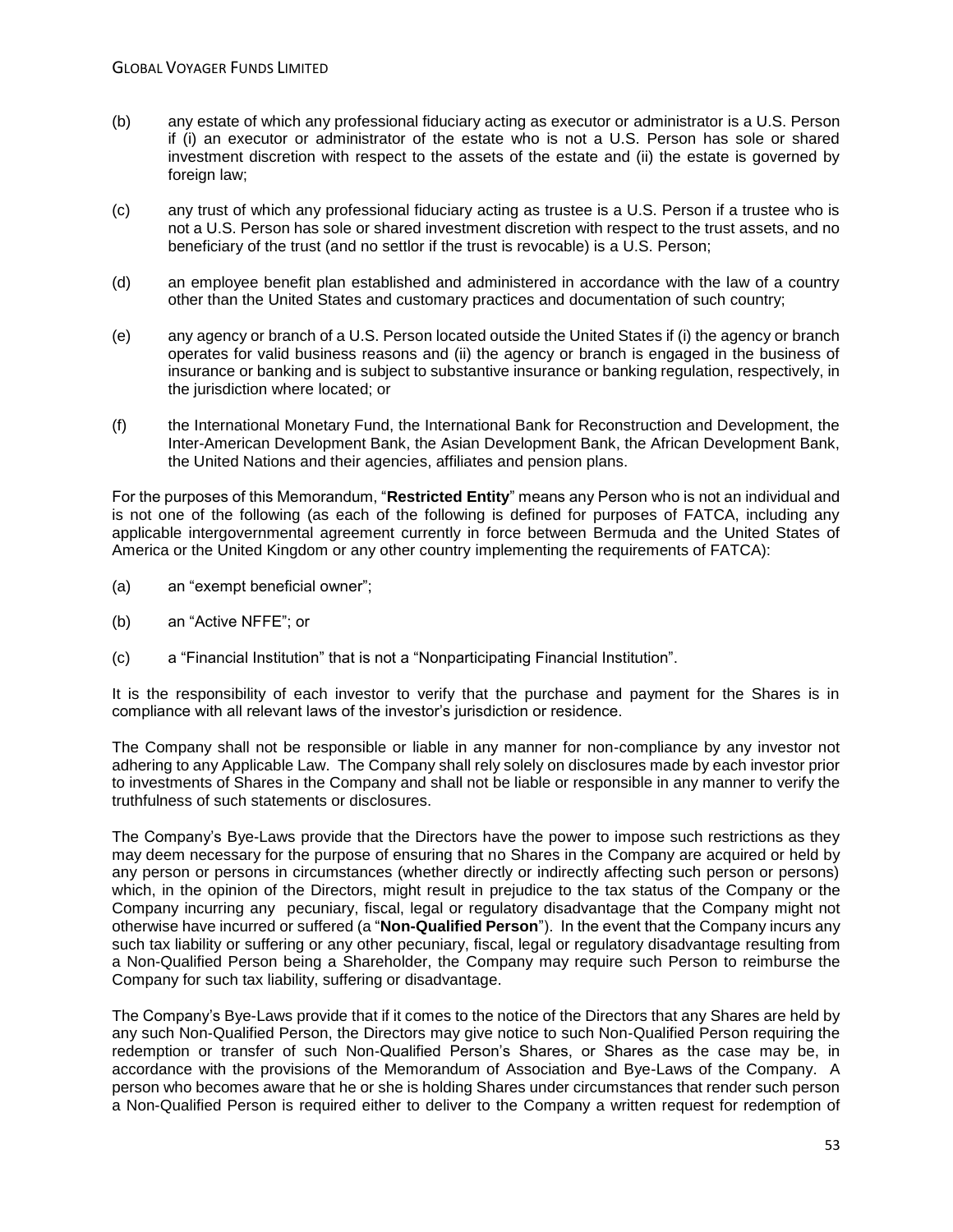- (b) any estate of which any professional fiduciary acting as executor or administrator is a U.S. Person if (i) an executor or administrator of the estate who is not a U.S. Person has sole or shared investment discretion with respect to the assets of the estate and (ii) the estate is governed by foreign law;
- (c) any trust of which any professional fiduciary acting as trustee is a U.S. Person if a trustee who is not a U.S. Person has sole or shared investment discretion with respect to the trust assets, and no beneficiary of the trust (and no settlor if the trust is revocable) is a U.S. Person;
- (d) an employee benefit plan established and administered in accordance with the law of a country other than the United States and customary practices and documentation of such country;
- (e) any agency or branch of a U.S. Person located outside the United States if (i) the agency or branch operates for valid business reasons and (ii) the agency or branch is engaged in the business of insurance or banking and is subject to substantive insurance or banking regulation, respectively, in the jurisdiction where located; or
- (f) the International Monetary Fund, the International Bank for Reconstruction and Development, the Inter-American Development Bank, the Asian Development Bank, the African Development Bank, the United Nations and their agencies, affiliates and pension plans.

For the purposes of this Memorandum, "**Restricted Entity**" means any Person who is not an individual and is not one of the following (as each of the following is defined for purposes of FATCA, including any applicable intergovernmental agreement currently in force between Bermuda and the United States of America or the United Kingdom or any other country implementing the requirements of FATCA):

- (a) an "exempt beneficial owner";
- (b) an "Active NFFE"; or
- (c) a "Financial Institution" that is not a "Nonparticipating Financial Institution".

It is the responsibility of each investor to verify that the purchase and payment for the Shares is in compliance with all relevant laws of the investor's jurisdiction or residence.

The Company shall not be responsible or liable in any manner for non-compliance by any investor not adhering to any Applicable Law. The Company shall rely solely on disclosures made by each investor prior to investments of Shares in the Company and shall not be liable or responsible in any manner to verify the truthfulness of such statements or disclosures.

<span id="page-52-0"></span>The Company's Bye-Laws provide that the Directors have the power to impose such restrictions as they may deem necessary for the purpose of ensuring that no Shares in the Company are acquired or held by any person or persons in circumstances (whether directly or indirectly affecting such person or persons) which, in the opinion of the Directors, might result in prejudice to the tax status of the Company or the Company incurring any pecuniary, fiscal, legal or regulatory disadvantage that the Company might not otherwise have incurred or suffered (a "**Non-Qualified Person**"). In the event that the Company incurs any such tax liability or suffering or any other pecuniary, fiscal, legal or regulatory disadvantage resulting from a Non-Qualified Person being a Shareholder, the Company may require such Person to reimburse the Company for such tax liability, suffering or disadvantage.

The Company's Bye-Laws provide that if it comes to the notice of the Directors that any Shares are held by any such Non-Qualified Person, the Directors may give notice to such Non-Qualified Person requiring the redemption or transfer of such Non-Qualified Person's Shares, or Shares as the case may be, in accordance with the provisions of the Memorandum of Association and Bye-Laws of the Company. A person who becomes aware that he or she is holding Shares under circumstances that render such person a Non-Qualified Person is required either to deliver to the Company a written request for redemption of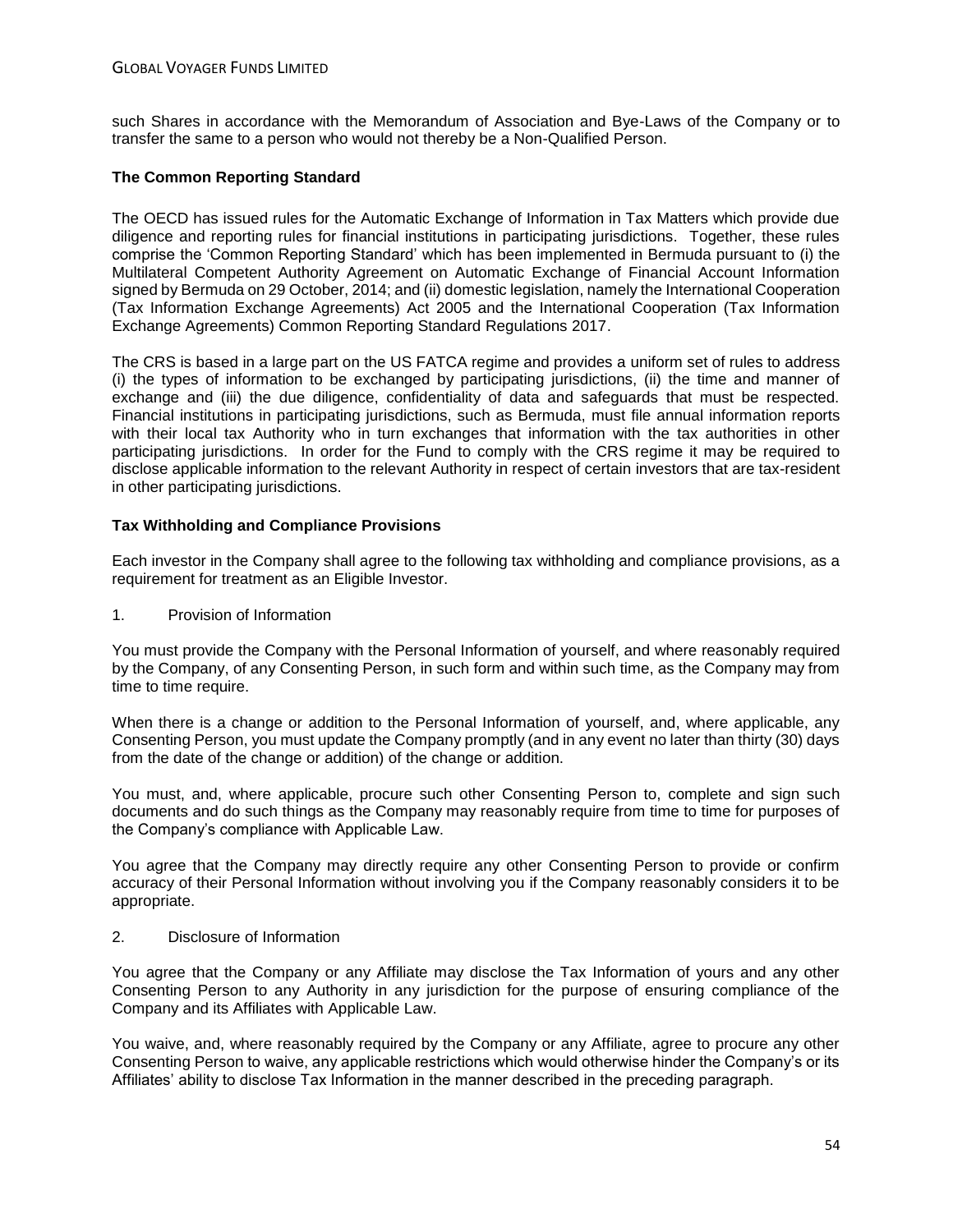such Shares in accordance with the Memorandum of Association and Bye-Laws of the Company or to transfer the same to a person who would not thereby be a Non-Qualified Person.

## **The Common Reporting Standard**

The OECD has issued rules for the Automatic Exchange of Information in Tax Matters which provide due diligence and reporting rules for financial institutions in participating jurisdictions. Together, these rules comprise the 'Common Reporting Standard' which has been implemented in Bermuda pursuant to (i) the Multilateral Competent Authority Agreement on Automatic Exchange of Financial Account Information signed by Bermuda on 29 October, 2014; and (ii) domestic legislation, namely the International Cooperation (Tax Information Exchange Agreements) Act 2005 and the International Cooperation (Tax Information Exchange Agreements) Common Reporting Standard Regulations 2017.

The CRS is based in a large part on the US FATCA regime and provides a uniform set of rules to address (i) the types of information to be exchanged by participating jurisdictions, (ii) the time and manner of exchange and (iii) the due diligence, confidentiality of data and safeguards that must be respected. Financial institutions in participating jurisdictions, such as Bermuda, must file annual information reports with their local tax Authority who in turn exchanges that information with the tax authorities in other participating jurisdictions. In order for the Fund to comply with the CRS regime it may be required to disclose applicable information to the relevant Authority in respect of certain investors that are tax-resident in other participating jurisdictions.

## **Tax Withholding and Compliance Provisions**

Each investor in the Company shall agree to the following tax withholding and compliance provisions, as a requirement for treatment as an Eligible Investor.

1. Provision of Information

You must provide the Company with the Personal Information of yourself, and where reasonably required by the Company, of any Consenting Person, in such form and within such time, as the Company may from time to time require.

When there is a change or addition to the Personal Information of yourself, and, where applicable, any Consenting Person, you must update the Company promptly (and in any event no later than thirty (30) days from the date of the change or addition) of the change or addition.

You must, and, where applicable, procure such other Consenting Person to, complete and sign such documents and do such things as the Company may reasonably require from time to time for purposes of the Company's compliance with Applicable Law.

You agree that the Company may directly require any other Consenting Person to provide or confirm accuracy of their Personal Information without involving you if the Company reasonably considers it to be appropriate.

### 2. Disclosure of Information

You agree that the Company or any Affiliate may disclose the Tax Information of yours and any other Consenting Person to any Authority in any jurisdiction for the purpose of ensuring compliance of the Company and its Affiliates with Applicable Law.

You waive, and, where reasonably required by the Company or any Affiliate, agree to procure any other Consenting Person to waive, any applicable restrictions which would otherwise hinder the Company's or its Affiliates' ability to disclose Tax Information in the manner described in the preceding paragraph.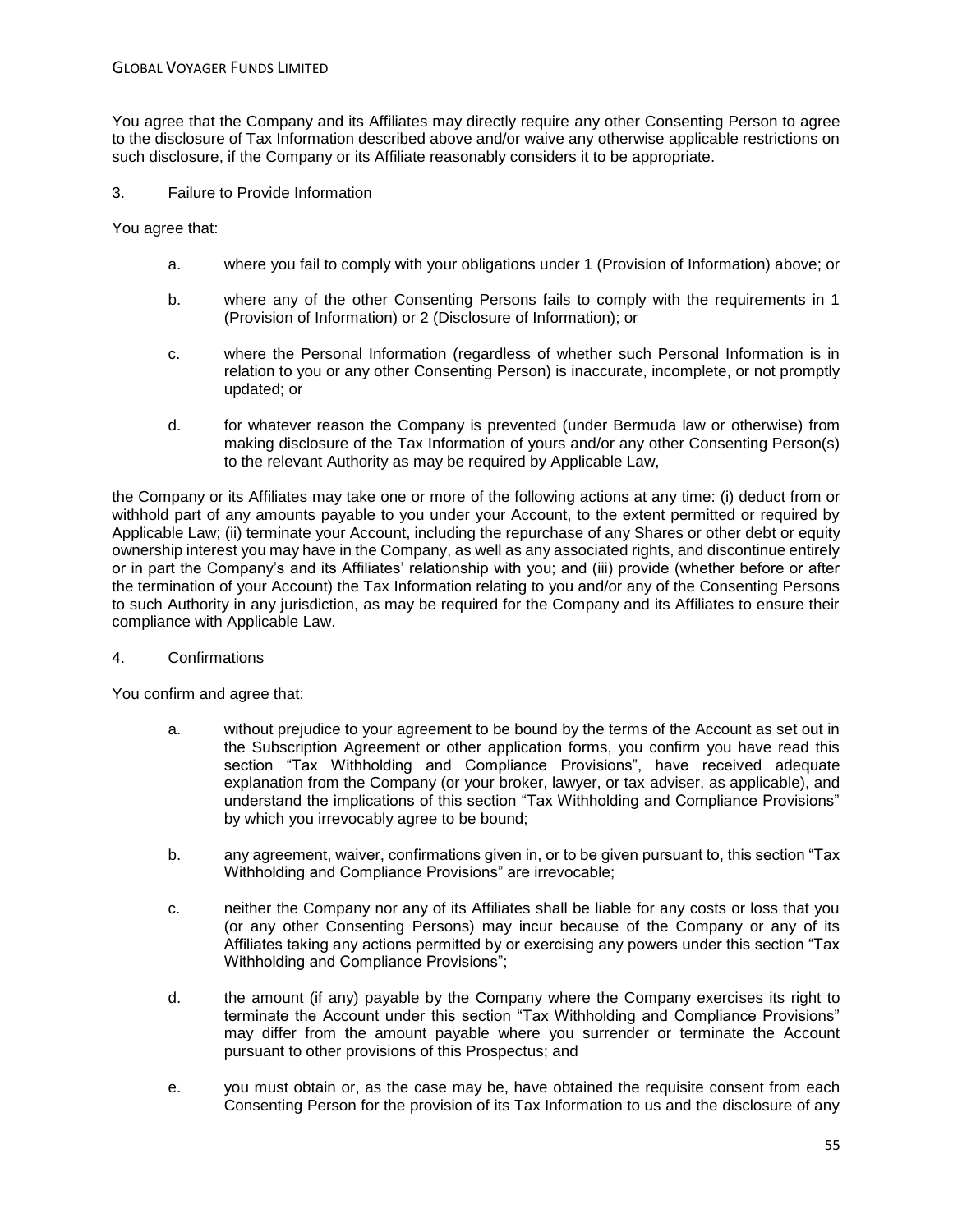You agree that the Company and its Affiliates may directly require any other Consenting Person to agree to the disclosure of Tax Information described above and/or waive any otherwise applicable restrictions on such disclosure, if the Company or its Affiliate reasonably considers it to be appropriate.

3. Failure to Provide Information

You agree that:

- a. where you fail to comply with your obligations under 1 (Provision of Information) above; or
- b. where any of the other Consenting Persons fails to comply with the requirements in 1 (Provision of Information) or 2 (Disclosure of Information); or
- c. where the Personal Information (regardless of whether such Personal Information is in relation to you or any other Consenting Person) is inaccurate, incomplete, or not promptly updated; or
- d. for whatever reason the Company is prevented (under Bermuda law or otherwise) from making disclosure of the Tax Information of yours and/or any other Consenting Person(s) to the relevant Authority as may be required by Applicable Law,

the Company or its Affiliates may take one or more of the following actions at any time: (i) deduct from or withhold part of any amounts payable to you under your Account, to the extent permitted or required by Applicable Law; (ii) terminate your Account, including the repurchase of any Shares or other debt or equity ownership interest you may have in the Company, as well as any associated rights, and discontinue entirely or in part the Company's and its Affiliates' relationship with you; and (iii) provide (whether before or after the termination of your Account) the Tax Information relating to you and/or any of the Consenting Persons to such Authority in any jurisdiction, as may be required for the Company and its Affiliates to ensure their compliance with Applicable Law.

### 4. Confirmations

You confirm and agree that:

- a. without prejudice to your agreement to be bound by the terms of the Account as set out in the Subscription Agreement or other application forms, you confirm you have read this section "Tax Withholding and Compliance Provisions", have received adequate explanation from the Company (or your broker, lawyer, or tax adviser, as applicable), and understand the implications of this section "Tax Withholding and Compliance Provisions" by which you irrevocably agree to be bound;
- b. any agreement, waiver, confirmations given in, or to be given pursuant to, this section "Tax Withholding and Compliance Provisions" are irrevocable;
- c. neither the Company nor any of its Affiliates shall be liable for any costs or loss that you (or any other Consenting Persons) may incur because of the Company or any of its Affiliates taking any actions permitted by or exercising any powers under this section "Tax Withholding and Compliance Provisions";
- d. the amount (if any) payable by the Company where the Company exercises its right to terminate the Account under this section "Tax Withholding and Compliance Provisions" may differ from the amount payable where you surrender or terminate the Account pursuant to other provisions of this Prospectus; and
- e. you must obtain or, as the case may be, have obtained the requisite consent from each Consenting Person for the provision of its Tax Information to us and the disclosure of any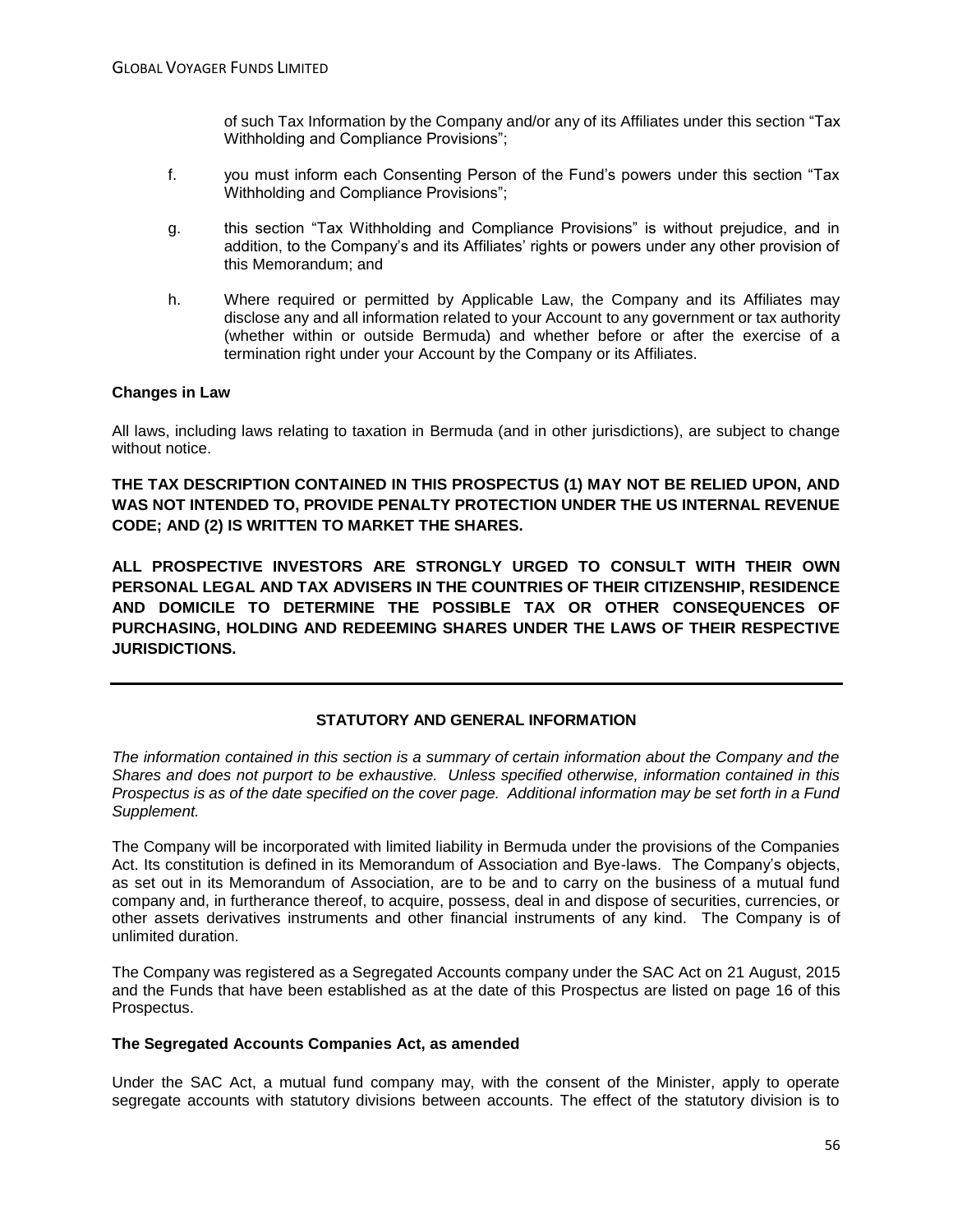of such Tax Information by the Company and/or any of its Affiliates under this section "Tax Withholding and Compliance Provisions";

- f. you must inform each Consenting Person of the Fund's powers under this section "Tax Withholding and Compliance Provisions";
- g. this section "Tax Withholding and Compliance Provisions" is without prejudice, and in addition, to the Company's and its Affiliates' rights or powers under any other provision of this Memorandum; and
- h. Where required or permitted by Applicable Law, the Company and its Affiliates may disclose any and all information related to your Account to any government or tax authority (whether within or outside Bermuda) and whether before or after the exercise of a termination right under your Account by the Company or its Affiliates.

## **Changes in Law**

All laws, including laws relating to taxation in Bermuda (and in other jurisdictions), are subject to change without notice.

**THE TAX DESCRIPTION CONTAINED IN THIS PROSPECTUS (1) MAY NOT BE RELIED UPON, AND WAS NOT INTENDED TO, PROVIDE PENALTY PROTECTION UNDER THE US INTERNAL REVENUE CODE; AND (2) IS WRITTEN TO MARKET THE SHARES.** 

**ALL PROSPECTIVE INVESTORS ARE STRONGLY URGED TO CONSULT WITH THEIR OWN PERSONAL LEGAL AND TAX ADVISERS IN THE COUNTRIES OF THEIR CITIZENSHIP, RESIDENCE AND DOMICILE TO DETERMINE THE POSSIBLE TAX OR OTHER CONSEQUENCES OF PURCHASING, HOLDING AND REDEEMING SHARES UNDER THE LAWS OF THEIR RESPECTIVE JURISDICTIONS.**

# **STATUTORY AND GENERAL INFORMATION**

*The information contained in this section is a summary of certain information about the Company and the Shares and does not purport to be exhaustive. Unless specified otherwise, information contained in this Prospectus is as of the date specified on the cover page. Additional information may be set forth in a Fund Supplement.*

The Company will be incorporated with limited liability in Bermuda under the provisions of the Companies Act. Its constitution is defined in its Memorandum of Association and Bye-laws. The Company's objects, as set out in its Memorandum of Association, are to be and to carry on the business of a mutual fund company and, in furtherance thereof, to acquire, possess, deal in and dispose of securities, currencies, or other assets derivatives instruments and other financial instruments of any kind. The Company is of unlimited duration.

The Company was registered as a Segregated Accounts company under the SAC Act on 21 August, 2015 and the Funds that have been established as at the date of this Prospectus are listed on page [16](#page-15-0) of this Prospectus.

### **The Segregated Accounts Companies Act, as amended**

Under the SAC Act, a mutual fund company may, with the consent of the Minister, apply to operate segregate accounts with statutory divisions between accounts. The effect of the statutory division is to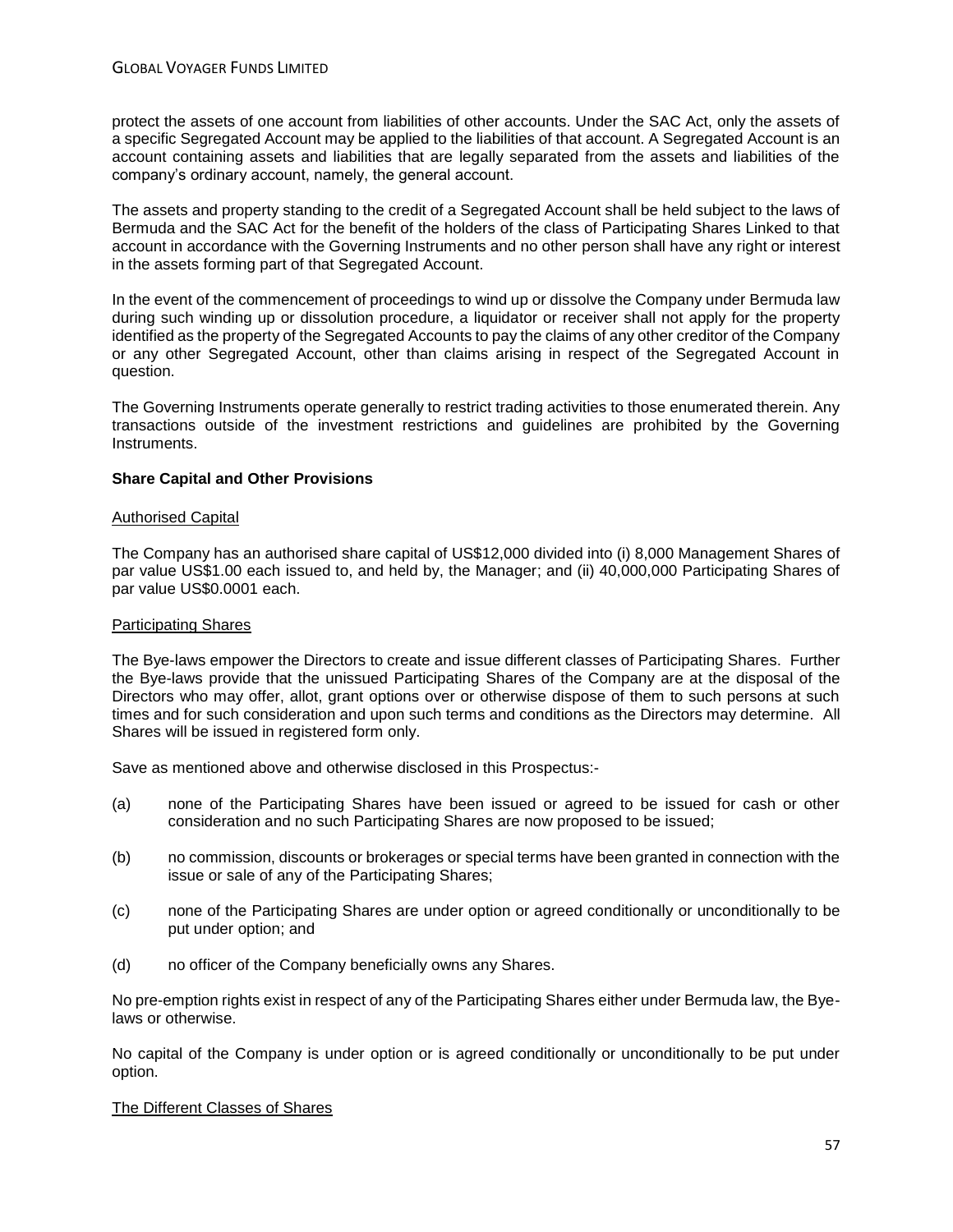protect the assets of one account from liabilities of other accounts. Under the SAC Act, only the assets of a specific Segregated Account may be applied to the liabilities of that account. A Segregated Account is an account containing assets and liabilities that are legally separated from the assets and liabilities of the company's ordinary account, namely, the general account.

The assets and property standing to the credit of a Segregated Account shall be held subject to the laws of Bermuda and the SAC Act for the benefit of the holders of the class of Participating Shares Linked to that account in accordance with the Governing Instruments and no other person shall have any right or interest in the assets forming part of that Segregated Account.

In the event of the commencement of proceedings to wind up or dissolve the Company under Bermuda law during such winding up or dissolution procedure, a liquidator or receiver shall not apply for the property identified as the property of the Segregated Accounts to pay the claims of any other creditor of the Company or any other Segregated Account, other than claims arising in respect of the Segregated Account in question.

The Governing Instruments operate generally to restrict trading activities to those enumerated therein. Any transactions outside of the investment restrictions and guidelines are prohibited by the Governing Instruments.

# **Share Capital and Other Provisions**

### Authorised Capital

The Company has an authorised share capital of US\$12,000 divided into (i) 8,000 Management Shares of par value US\$1.00 each issued to, and held by, the Manager; and (ii) 40,000,000 Participating Shares of par value US\$0.0001 each.

### Participating Shares

The Bye-laws empower the Directors to create and issue different classes of Participating Shares. Further the Bye-laws provide that the unissued Participating Shares of the Company are at the disposal of the Directors who may offer, allot, grant options over or otherwise dispose of them to such persons at such times and for such consideration and upon such terms and conditions as the Directors may determine. All Shares will be issued in registered form only.

Save as mentioned above and otherwise disclosed in this Prospectus:-

- (a) none of the Participating Shares have been issued or agreed to be issued for cash or other consideration and no such Participating Shares are now proposed to be issued;
- (b) no commission, discounts or brokerages or special terms have been granted in connection with the issue or sale of any of the Participating Shares;
- (c) none of the Participating Shares are under option or agreed conditionally or unconditionally to be put under option; and
- (d) no officer of the Company beneficially owns any Shares.

No pre-emption rights exist in respect of any of the Participating Shares either under Bermuda law, the Byelaws or otherwise.

No capital of the Company is under option or is agreed conditionally or unconditionally to be put under option.

### The Different Classes of Shares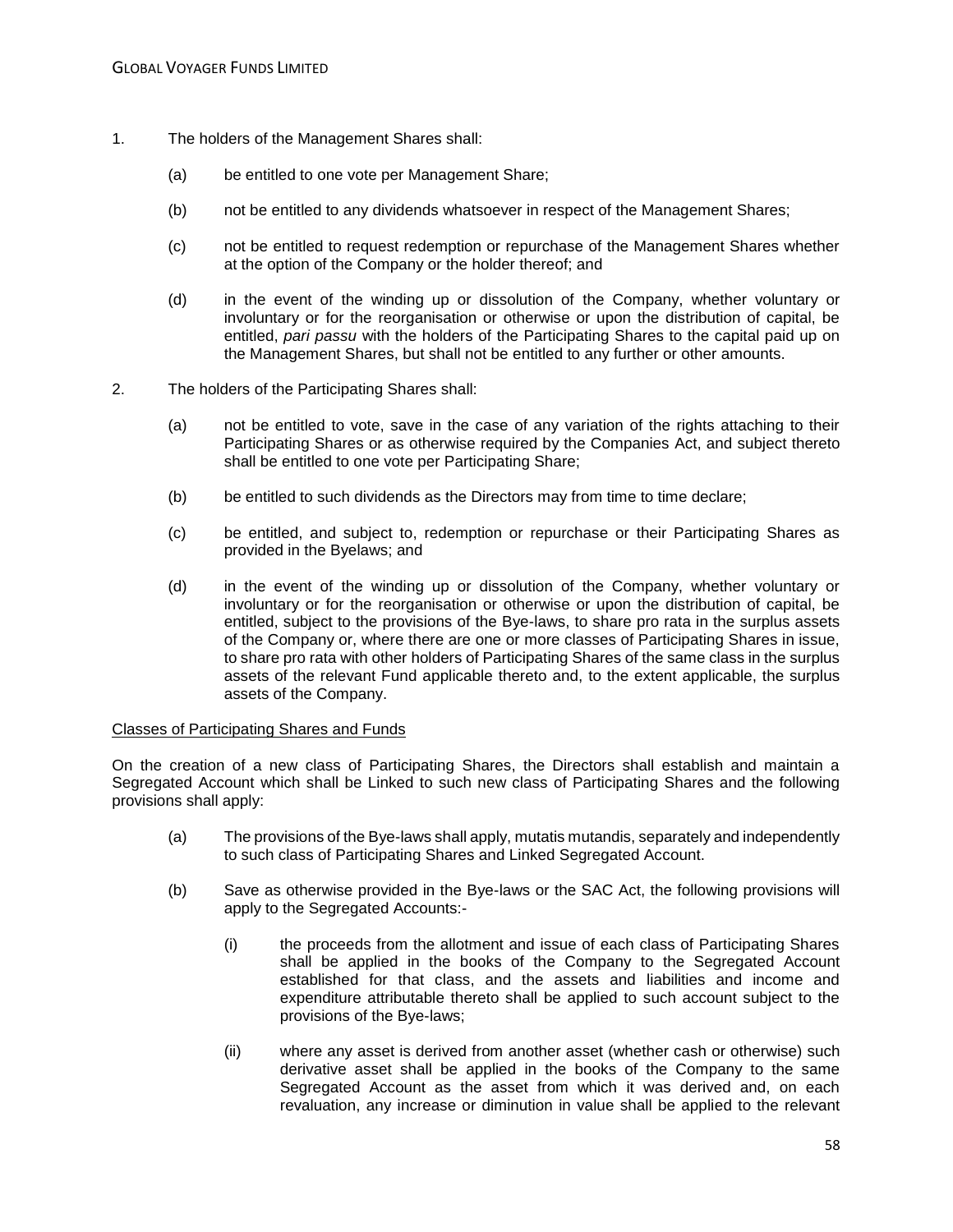- 1. The holders of the Management Shares shall:
	- (a) be entitled to one vote per Management Share;
	- (b) not be entitled to any dividends whatsoever in respect of the Management Shares;
	- (c) not be entitled to request redemption or repurchase of the Management Shares whether at the option of the Company or the holder thereof; and
	- (d) in the event of the winding up or dissolution of the Company, whether voluntary or involuntary or for the reorganisation or otherwise or upon the distribution of capital, be entitled, *pari passu* with the holders of the Participating Shares to the capital paid up on the Management Shares, but shall not be entitled to any further or other amounts.
- 2. The holders of the Participating Shares shall:
	- (a) not be entitled to vote, save in the case of any variation of the rights attaching to their Participating Shares or as otherwise required by the Companies Act, and subject thereto shall be entitled to one vote per Participating Share;
	- (b) be entitled to such dividends as the Directors may from time to time declare;
	- (c) be entitled, and subject to, redemption or repurchase or their Participating Shares as provided in the Byelaws; and
	- (d) in the event of the winding up or dissolution of the Company, whether voluntary or involuntary or for the reorganisation or otherwise or upon the distribution of capital, be entitled, subject to the provisions of the Bye-laws, to share pro rata in the surplus assets of the Company or, where there are one or more classes of Participating Shares in issue, to share pro rata with other holders of Participating Shares of the same class in the surplus assets of the relevant Fund applicable thereto and, to the extent applicable, the surplus assets of the Company.

### Classes of Participating Shares and Funds

On the creation of a new class of Participating Shares, the Directors shall establish and maintain a Segregated Account which shall be Linked to such new class of Participating Shares and the following provisions shall apply:

- (a) The provisions of the Bye-laws shall apply, mutatis mutandis, separately and independently to such class of Participating Shares and Linked Segregated Account.
- (b) Save as otherwise provided in the Bye-laws or the SAC Act, the following provisions will apply to the Segregated Accounts:-
	- (i) the proceeds from the allotment and issue of each class of Participating Shares shall be applied in the books of the Company to the Segregated Account established for that class, and the assets and liabilities and income and expenditure attributable thereto shall be applied to such account subject to the provisions of the Bye-laws;
	- (ii) where any asset is derived from another asset (whether cash or otherwise) such derivative asset shall be applied in the books of the Company to the same Segregated Account as the asset from which it was derived and, on each revaluation, any increase or diminution in value shall be applied to the relevant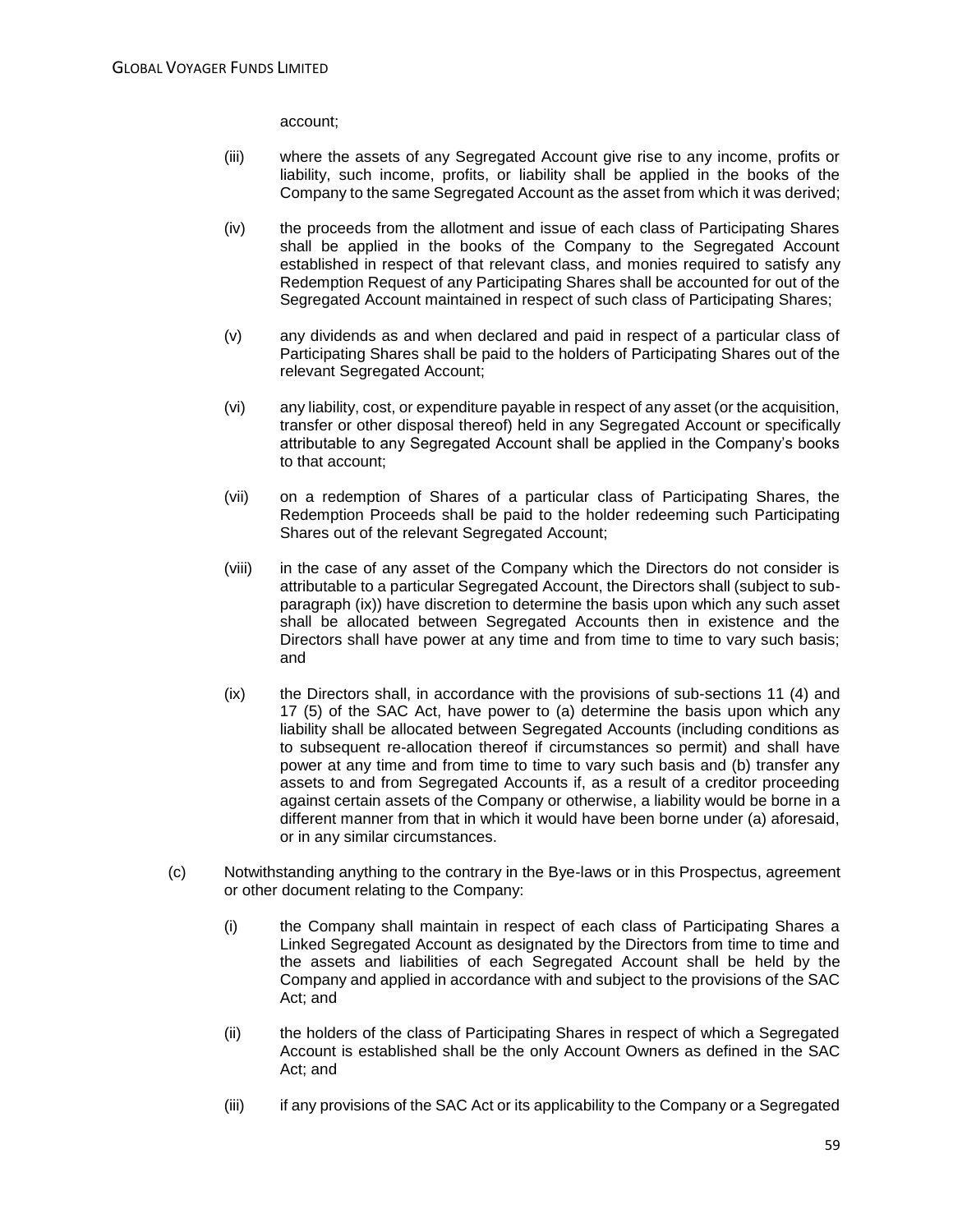account;

- (iii) where the assets of any Segregated Account give rise to any income, profits or liability, such income, profits, or liability shall be applied in the books of the Company to the same Segregated Account as the asset from which it was derived;
- (iv) the proceeds from the allotment and issue of each class of Participating Shares shall be applied in the books of the Company to the Segregated Account established in respect of that relevant class, and monies required to satisfy any Redemption Request of any Participating Shares shall be accounted for out of the Segregated Account maintained in respect of such class of Participating Shares;
- (v) any dividends as and when declared and paid in respect of a particular class of Participating Shares shall be paid to the holders of Participating Shares out of the relevant Segregated Account;
- (vi) any liability, cost, or expenditure payable in respect of any asset (or the acquisition, transfer or other disposal thereof) held in any Segregated Account or specifically attributable to any Segregated Account shall be applied in the Company's books to that account;
- (vii) on a redemption of Shares of a particular class of Participating Shares, the Redemption Proceeds shall be paid to the holder redeeming such Participating Shares out of the relevant Segregated Account;
- (viii) in the case of any asset of the Company which the Directors do not consider is attributable to a particular Segregated Account, the Directors shall (subject to subparagraph (ix)) have discretion to determine the basis upon which any such asset shall be allocated between Segregated Accounts then in existence and the Directors shall have power at any time and from time to time to vary such basis; and
- (ix) the Directors shall, in accordance with the provisions of sub-sections 11 (4) and 17 (5) of the SAC Act, have power to (a) determine the basis upon which any liability shall be allocated between Segregated Accounts (including conditions as to subsequent re-allocation thereof if circumstances so permit) and shall have power at any time and from time to time to vary such basis and (b) transfer any assets to and from Segregated Accounts if, as a result of a creditor proceeding against certain assets of the Company or otherwise, a liability would be borne in a different manner from that in which it would have been borne under (a) aforesaid, or in any similar circumstances.
- (c) Notwithstanding anything to the contrary in the Bye-laws or in this Prospectus, agreement or other document relating to the Company:
	- (i) the Company shall maintain in respect of each class of Participating Shares a Linked Segregated Account as designated by the Directors from time to time and the assets and liabilities of each Segregated Account shall be held by the Company and applied in accordance with and subject to the provisions of the SAC Act; and
	- (ii) the holders of the class of Participating Shares in respect of which a Segregated Account is established shall be the only Account Owners as defined in the SAC Act; and
	- (iii) if any provisions of the SAC Act or its applicability to the Company or a Segregated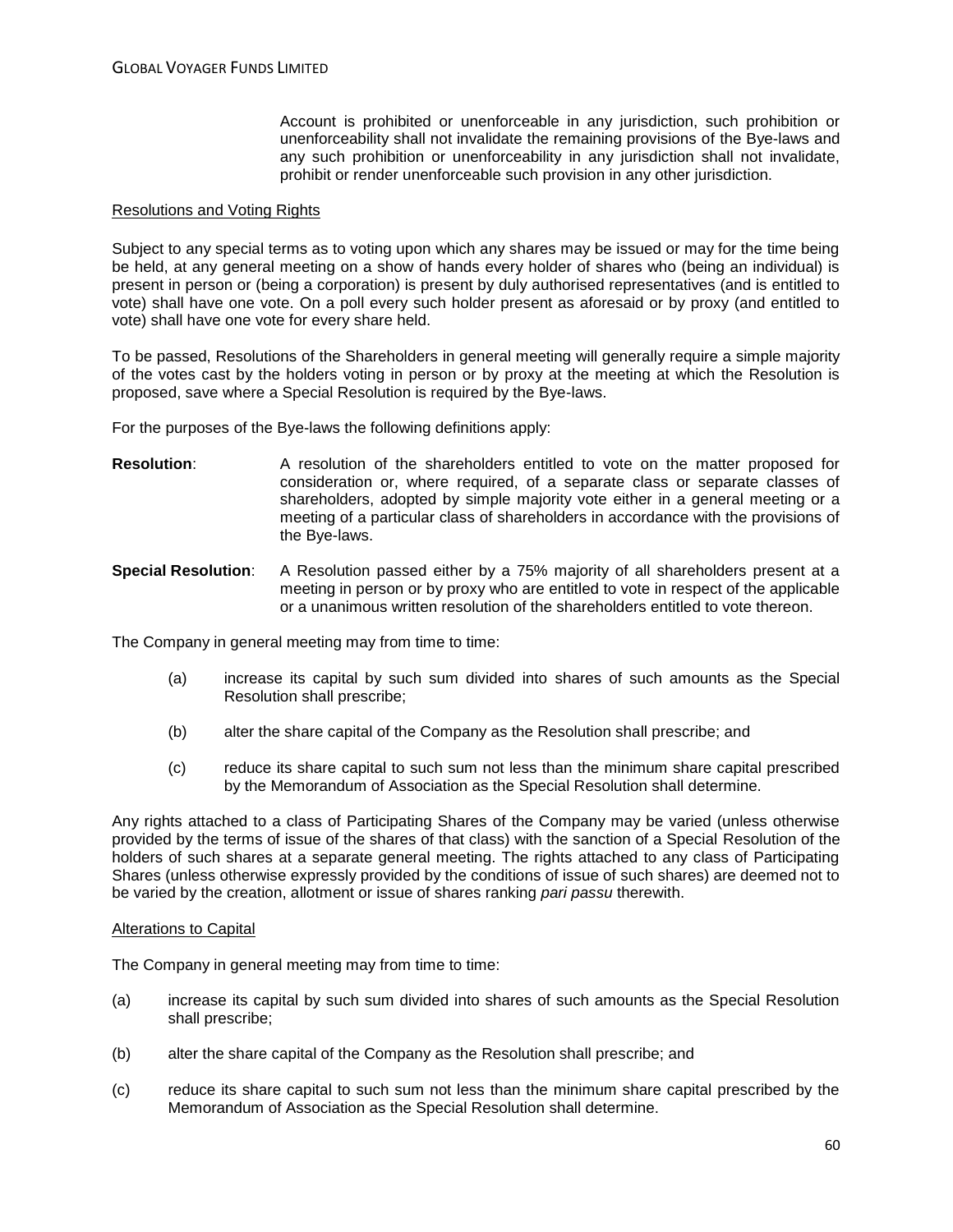Account is prohibited or unenforceable in any jurisdiction, such prohibition or unenforceability shall not invalidate the remaining provisions of the Bye-laws and any such prohibition or unenforceability in any jurisdiction shall not invalidate, prohibit or render unenforceable such provision in any other jurisdiction.

### Resolutions and Voting Rights

Subject to any special terms as to voting upon which any shares may be issued or may for the time being be held, at any general meeting on a show of hands every holder of shares who (being an individual) is present in person or (being a corporation) is present by duly authorised representatives (and is entitled to vote) shall have one vote. On a poll every such holder present as aforesaid or by proxy (and entitled to vote) shall have one vote for every share held.

To be passed, Resolutions of the Shareholders in general meeting will generally require a simple majority of the votes cast by the holders voting in person or by proxy at the meeting at which the Resolution is proposed, save where a Special Resolution is required by the Bye-laws.

For the purposes of the Bye-laws the following definitions apply:

- <span id="page-59-0"></span>**Resolution:** A resolution of the shareholders entitled to vote on the matter proposed for consideration or, where required, of a separate class or separate classes of shareholders, adopted by simple majority vote either in a general meeting or a meeting of a particular class of shareholders in accordance with the provisions of the Bye-laws.
- <span id="page-59-1"></span>**Special Resolution**: A Resolution passed either by a 75% majority of all shareholders present at a meeting in person or by proxy who are entitled to vote in respect of the applicable or a unanimous written resolution of the shareholders entitled to vote thereon.

The Company in general meeting may from time to time:

- (a) increase its capital by such sum divided into shares of such amounts as the Special Resolution shall prescribe;
- (b) alter the share capital of the Company as the Resolution shall prescribe; and
- (c) reduce its share capital to such sum not less than the minimum share capital prescribed by the Memorandum of Association as the Special Resolution shall determine.

Any rights attached to a class of Participating Shares of the Company may be varied (unless otherwise provided by the terms of issue of the shares of that class) with the sanction of a Special Resolution of the holders of such shares at a separate general meeting. The rights attached to any class of Participating Shares (unless otherwise expressly provided by the conditions of issue of such shares) are deemed not to be varied by the creation, allotment or issue of shares ranking *pari passu* therewith.

#### Alterations to Capital

The Company in general meeting may from time to time:

- (a) increase its capital by such sum divided into shares of such amounts as the Special Resolution shall prescribe;
- (b) alter the share capital of the Company as the Resolution shall prescribe; and
- (c) reduce its share capital to such sum not less than the minimum share capital prescribed by the Memorandum of Association as the Special Resolution shall determine.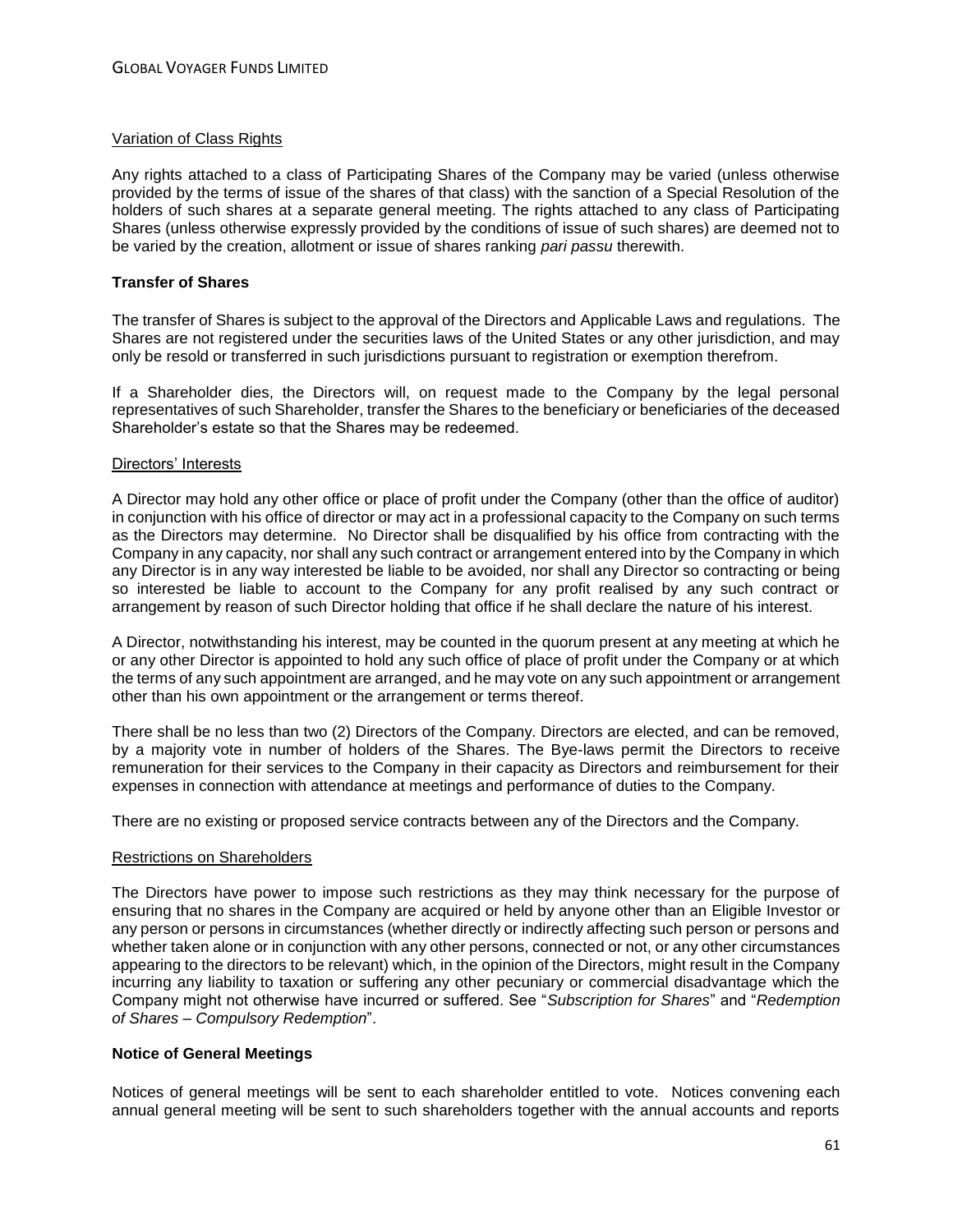### Variation of Class Rights

Any rights attached to a class of Participating Shares of the Company may be varied (unless otherwise provided by the terms of issue of the shares of that class) with the sanction of a Special Resolution of the holders of such shares at a separate general meeting. The rights attached to any class of Participating Shares (unless otherwise expressly provided by the conditions of issue of such shares) are deemed not to be varied by the creation, allotment or issue of shares ranking *pari passu* therewith.

## **Transfer of Shares**

The transfer of Shares is subject to the approval of the Directors and Applicable Laws and regulations. The Shares are not registered under the securities laws of the United States or any other jurisdiction, and may only be resold or transferred in such jurisdictions pursuant to registration or exemption therefrom.

If a Shareholder dies, the Directors will, on request made to the Company by the legal personal representatives of such Shareholder, transfer the Shares to the beneficiary or beneficiaries of the deceased Shareholder's estate so that the Shares may be redeemed.

### Directors' Interests

A Director may hold any other office or place of profit under the Company (other than the office of auditor) in conjunction with his office of director or may act in a professional capacity to the Company on such terms as the Directors may determine. No Director shall be disqualified by his office from contracting with the Company in any capacity, nor shall any such contract or arrangement entered into by the Company in which any Director is in any way interested be liable to be avoided, nor shall any Director so contracting or being so interested be liable to account to the Company for any profit realised by any such contract or arrangement by reason of such Director holding that office if he shall declare the nature of his interest.

A Director, notwithstanding his interest, may be counted in the quorum present at any meeting at which he or any other Director is appointed to hold any such office of place of profit under the Company or at which the terms of any such appointment are arranged, and he may vote on any such appointment or arrangement other than his own appointment or the arrangement or terms thereof.

There shall be no less than two (2) Directors of the Company. Directors are elected, and can be removed, by a majority vote in number of holders of the Shares. The Bye-laws permit the Directors to receive remuneration for their services to the Company in their capacity as Directors and reimbursement for their expenses in connection with attendance at meetings and performance of duties to the Company.

There are no existing or proposed service contracts between any of the Directors and the Company.

# Restrictions on Shareholders

The Directors have power to impose such restrictions as they may think necessary for the purpose of ensuring that no shares in the Company are acquired or held by anyone other than an Eligible Investor or any person or persons in circumstances (whether directly or indirectly affecting such person or persons and whether taken alone or in conjunction with any other persons, connected or not, or any other circumstances appearing to the directors to be relevant) which, in the opinion of the Directors, might result in the Company incurring any liability to taxation or suffering any other pecuniary or commercial disadvantage which the Company might not otherwise have incurred or suffered. See "*Subscription for Shares*" and "*Redemption of Shares – Compulsory Redemption*".

### **Notice of General Meetings**

Notices of general meetings will be sent to each shareholder entitled to vote. Notices convening each annual general meeting will be sent to such shareholders together with the annual accounts and reports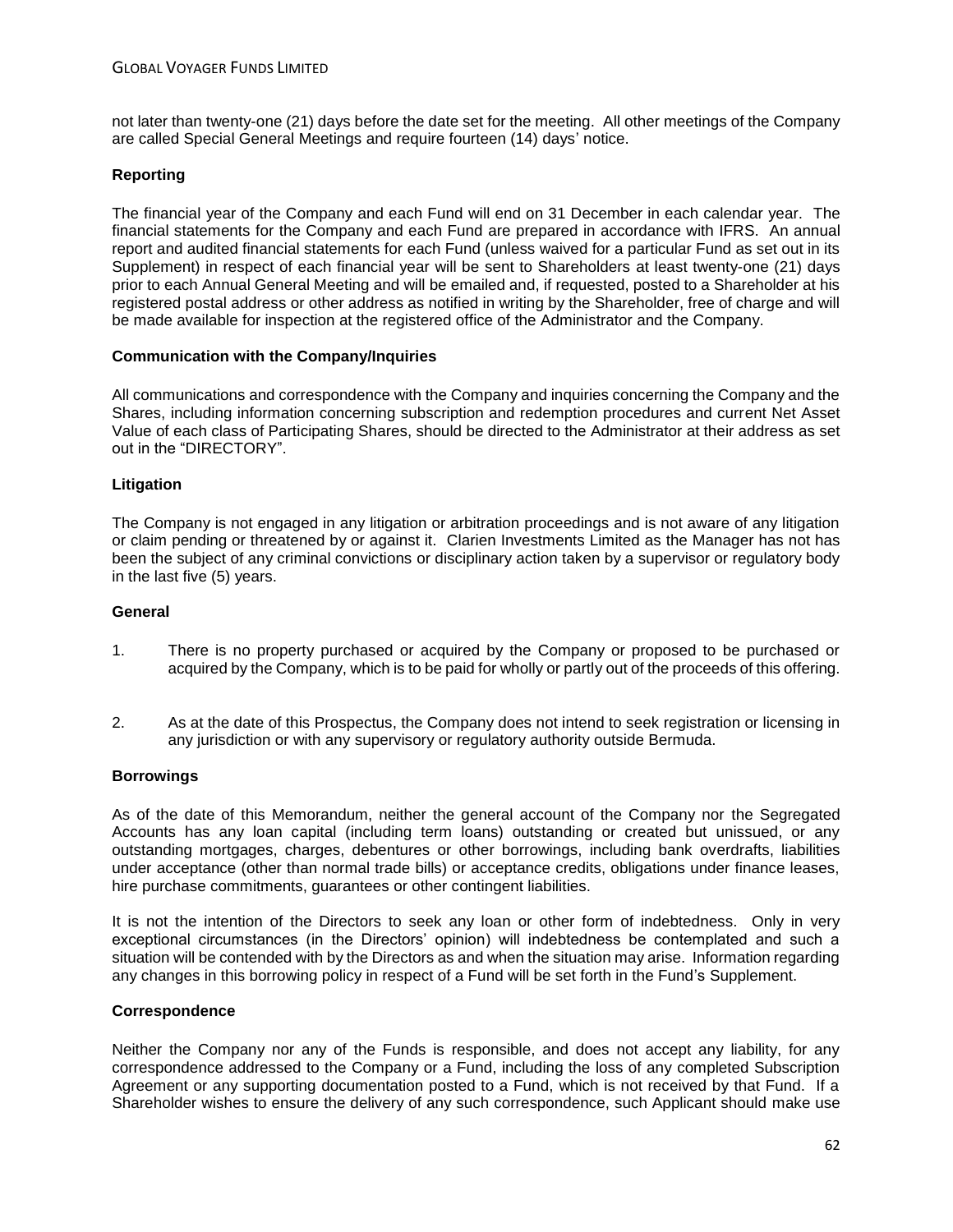not later than twenty-one (21) days before the date set for the meeting. All other meetings of the Company are called Special General Meetings and require fourteen (14) days' notice.

## **Reporting**

The financial year of the Company and each Fund will end on 31 December in each calendar year. The financial statements for the Company and each Fund are prepared in accordance with IFRS. An annual report and audited financial statements for each Fund (unless waived for a particular Fund as set out in its Supplement) in respect of each financial year will be sent to Shareholders at least twenty-one (21) days prior to each Annual General Meeting and will be emailed and, if requested, posted to a Shareholder at his registered postal address or other address as notified in writing by the Shareholder, free of charge and will be made available for inspection at the registered office of the Administrator and the Company.

### **Communication with the Company/Inquiries**

All communications and correspondence with the Company and inquiries concerning the Company and the Shares, including information concerning subscription and redemption procedures and current Net Asset Value of each class of Participating Shares, should be directed to the Administrator at their address as set out in the "DIRECTORY".

### **Litigation**

The Company is not engaged in any litigation or arbitration proceedings and is not aware of any litigation or claim pending or threatened by or against it. Clarien Investments Limited as the Manager has not has been the subject of any criminal convictions or disciplinary action taken by a supervisor or regulatory body in the last five (5) years.

### **General**

- 1. There is no property purchased or acquired by the Company or proposed to be purchased or acquired by the Company, which is to be paid for wholly or partly out of the proceeds of this offering.
- 2. As at the date of this Prospectus, the Company does not intend to seek registration or licensing in any jurisdiction or with any supervisory or regulatory authority outside Bermuda.

### **Borrowings**

As of the date of this Memorandum, neither the general account of the Company nor the Segregated Accounts has any loan capital (including term loans) outstanding or created but unissued, or any outstanding mortgages, charges, debentures or other borrowings, including bank overdrafts, liabilities under acceptance (other than normal trade bills) or acceptance credits, obligations under finance leases, hire purchase commitments, guarantees or other contingent liabilities.

It is not the intention of the Directors to seek any loan or other form of indebtedness. Only in very exceptional circumstances (in the Directors' opinion) will indebtedness be contemplated and such a situation will be contended with by the Directors as and when the situation may arise. Information regarding any changes in this borrowing policy in respect of a Fund will be set forth in the Fund's Supplement.

### **Correspondence**

Neither the Company nor any of the Funds is responsible, and does not accept any liability, for any correspondence addressed to the Company or a Fund, including the loss of any completed Subscription Agreement or any supporting documentation posted to a Fund, which is not received by that Fund. If a Shareholder wishes to ensure the delivery of any such correspondence, such Applicant should make use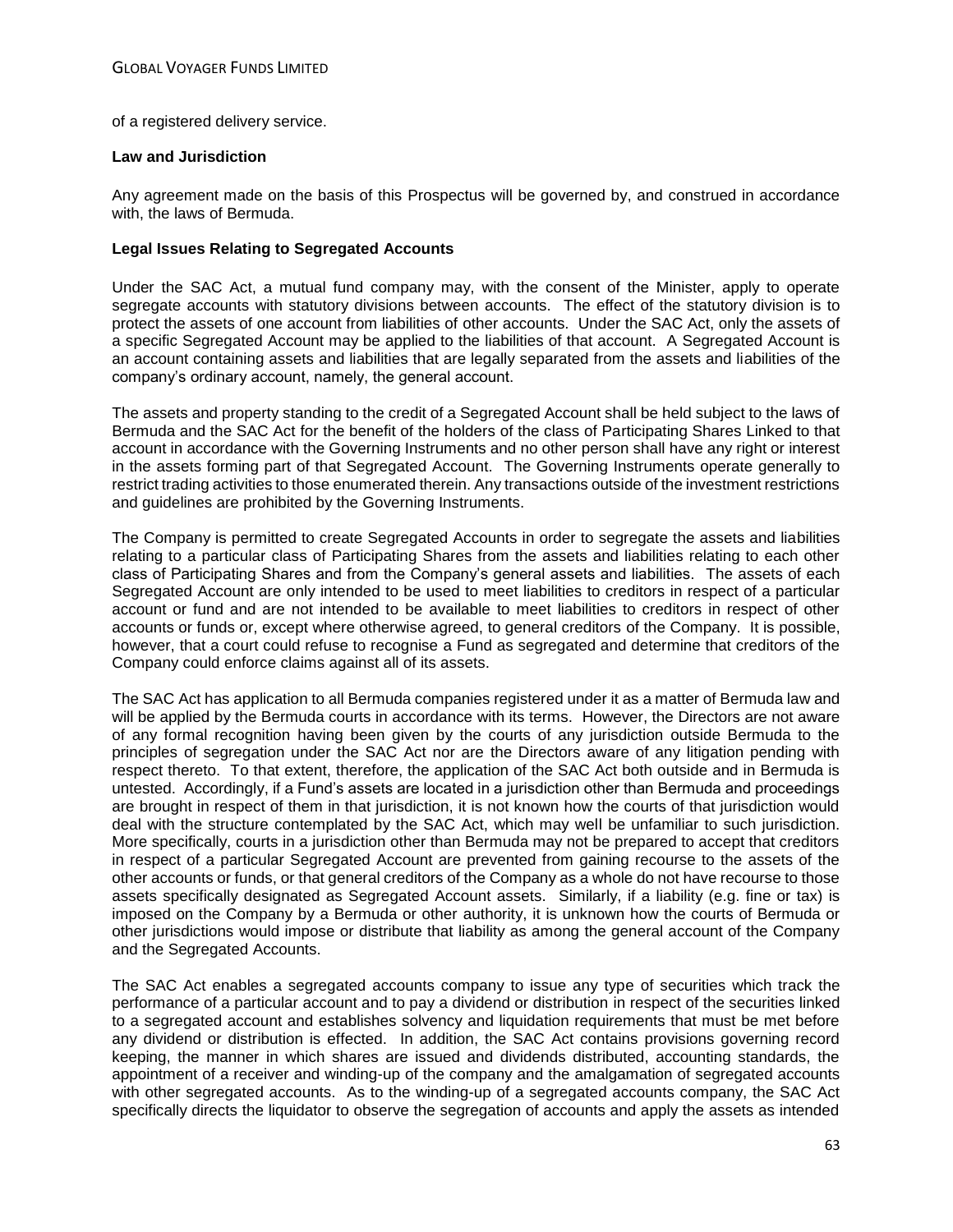of a registered delivery service.

## **Law and Jurisdiction**

Any agreement made on the basis of this Prospectus will be governed by, and construed in accordance with, the laws of Bermuda.

## **Legal Issues Relating to Segregated Accounts**

Under the SAC Act, a mutual fund company may, with the consent of the Minister, apply to operate segregate accounts with statutory divisions between accounts. The effect of the statutory division is to protect the assets of one account from liabilities of other accounts. Under the SAC Act, only the assets of a specific Segregated Account may be applied to the liabilities of that account. A Segregated Account is an account containing assets and liabilities that are legally separated from the assets and liabilities of the company's ordinary account, namely, the general account.

The assets and property standing to the credit of a Segregated Account shall be held subject to the laws of Bermuda and the SAC Act for the benefit of the holders of the class of Participating Shares Linked to that account in accordance with the Governing Instruments and no other person shall have any right or interest in the assets forming part of that Segregated Account. The Governing Instruments operate generally to restrict trading activities to those enumerated therein. Any transactions outside of the investment restrictions and guidelines are prohibited by the Governing Instruments.

The Company is permitted to create Segregated Accounts in order to segregate the assets and liabilities relating to a particular class of Participating Shares from the assets and liabilities relating to each other class of Participating Shares and from the Company's general assets and liabilities. The assets of each Segregated Account are only intended to be used to meet liabilities to creditors in respect of a particular account or fund and are not intended to be available to meet liabilities to creditors in respect of other accounts or funds or, except where otherwise agreed, to general creditors of the Company. It is possible, however, that a court could refuse to recognise a Fund as segregated and determine that creditors of the Company could enforce claims against all of its assets.

The SAC Act has application to all Bermuda companies registered under it as a matter of Bermuda law and will be applied by the Bermuda courts in accordance with its terms. However, the Directors are not aware of any formal recognition having been given by the courts of any jurisdiction outside Bermuda to the principles of segregation under the SAC Act nor are the Directors aware of any litigation pending with respect thereto. To that extent, therefore, the application of the SAC Act both outside and in Bermuda is untested. Accordingly, if a Fund's assets are located in a jurisdiction other than Bermuda and proceedings are brought in respect of them in that jurisdiction, it is not known how the courts of that jurisdiction would deal with the structure contemplated by the SAC Act, which may well be unfamiliar to such jurisdiction. More specifically, courts in a jurisdiction other than Bermuda may not be prepared to accept that creditors in respect of a particular Segregated Account are prevented from gaining recourse to the assets of the other accounts or funds, or that general creditors of the Company as a whole do not have recourse to those assets specifically designated as Segregated Account assets. Similarly, if a liability (e.g. fine or tax) is imposed on the Company by a Bermuda or other authority, it is unknown how the courts of Bermuda or other jurisdictions would impose or distribute that liability as among the general account of the Company and the Segregated Accounts.

The SAC Act enables a segregated accounts company to issue any type of securities which track the performance of a particular account and to pay a dividend or distribution in respect of the securities linked to a segregated account and establishes solvency and liquidation requirements that must be met before any dividend or distribution is effected. In addition, the SAC Act contains provisions governing record keeping, the manner in which shares are issued and dividends distributed, accounting standards, the appointment of a receiver and winding-up of the company and the amalgamation of segregated accounts with other segregated accounts. As to the winding-up of a segregated accounts company, the SAC Act specifically directs the liquidator to observe the segregation of accounts and apply the assets as intended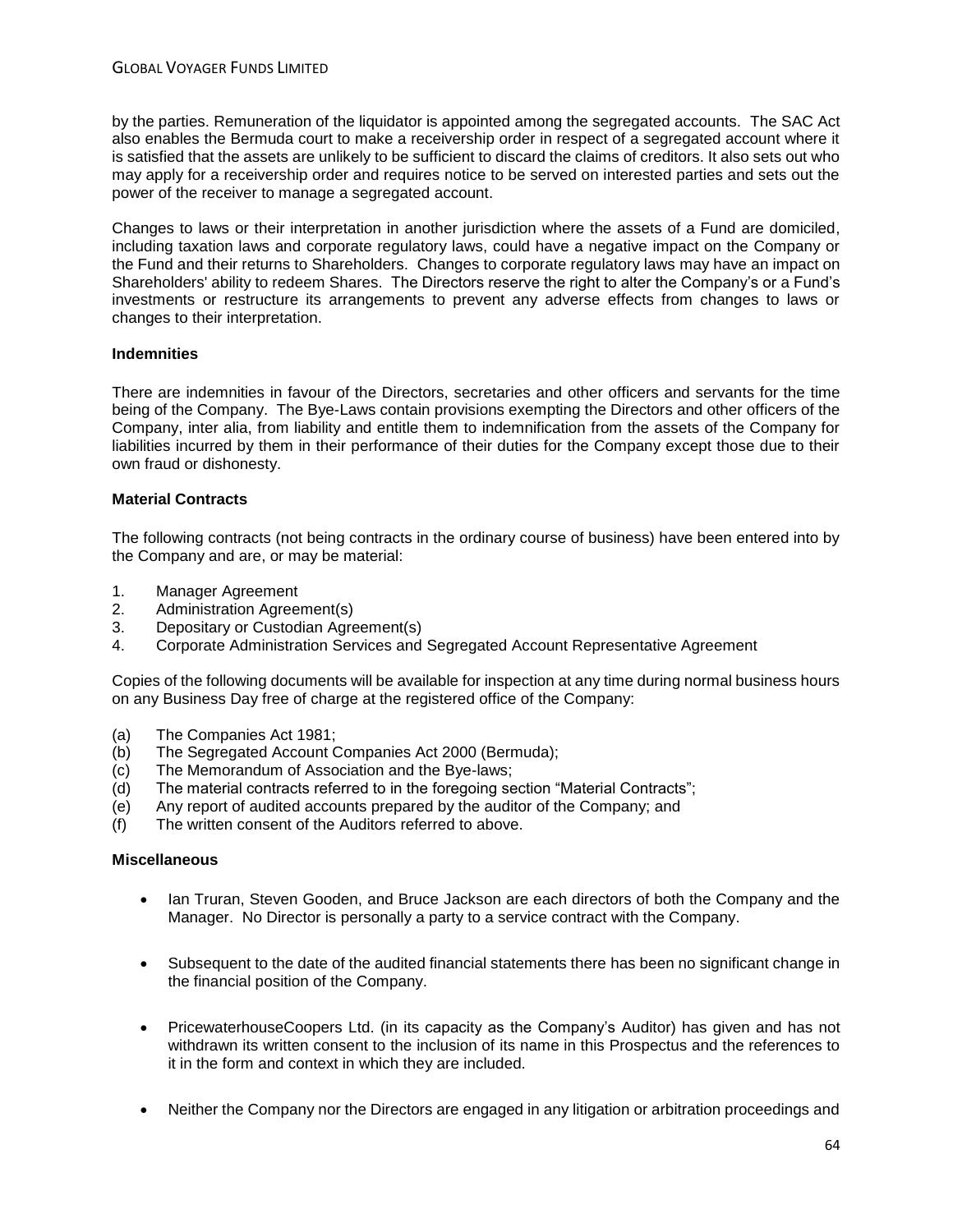by the parties. Remuneration of the liquidator is appointed among the segregated accounts. The SAC Act also enables the Bermuda court to make a receivership order in respect of a segregated account where it is satisfied that the assets are unlikely to be sufficient to discard the claims of creditors. It also sets out who may apply for a receivership order and requires notice to be served on interested parties and sets out the power of the receiver to manage a segregated account.

Changes to laws or their interpretation in another jurisdiction where the assets of a Fund are domiciled, including taxation laws and corporate regulatory laws, could have a negative impact on the Company or the Fund and their returns to Shareholders. Changes to corporate regulatory laws may have an impact on Shareholders' ability to redeem Shares. The Directors reserve the right to alter the Company's or a Fund's investments or restructure its arrangements to prevent any adverse effects from changes to laws or changes to their interpretation.

### **Indemnities**

There are indemnities in favour of the Directors, secretaries and other officers and servants for the time being of the Company. The Bye-Laws contain provisions exempting the Directors and other officers of the Company, inter alia, from liability and entitle them to indemnification from the assets of the Company for liabilities incurred by them in their performance of their duties for the Company except those due to their own fraud or dishonesty.

## **Material Contracts**

The following contracts (not being contracts in the ordinary course of business) have been entered into by the Company and are, or may be material:

- 1. Manager Agreement
- 2. Administration Agreement(s)
- 3. Depositary or Custodian Agreement(s)
- 4. Corporate Administration Services and Segregated Account Representative Agreement

Copies of the following documents will be available for inspection at any time during normal business hours on any Business Day free of charge at the registered office of the Company:

- (a) The Companies Act 1981;
- (b) The Segregated Account Companies Act 2000 (Bermuda);
- (c) The Memorandum of Association and the Bye-laws;
- (d) The material contracts referred to in the foregoing section "Material Contracts";
- (e) Any report of audited accounts prepared by the auditor of the Company; and
- (f) The written consent of the Auditors referred to above.

### **Miscellaneous**

- Ian Truran, Steven Gooden, and Bruce Jackson are each directors of both the Company and the Manager. No Director is personally a party to a service contract with the Company.
- Subsequent to the date of the audited financial statements there has been no significant change in the financial position of the Company.
- PricewaterhouseCoopers Ltd. (in its capacity as the Company's Auditor) has given and has not withdrawn its written consent to the inclusion of its name in this Prospectus and the references to it in the form and context in which they are included.
- Neither the Company nor the Directors are engaged in any litigation or arbitration proceedings and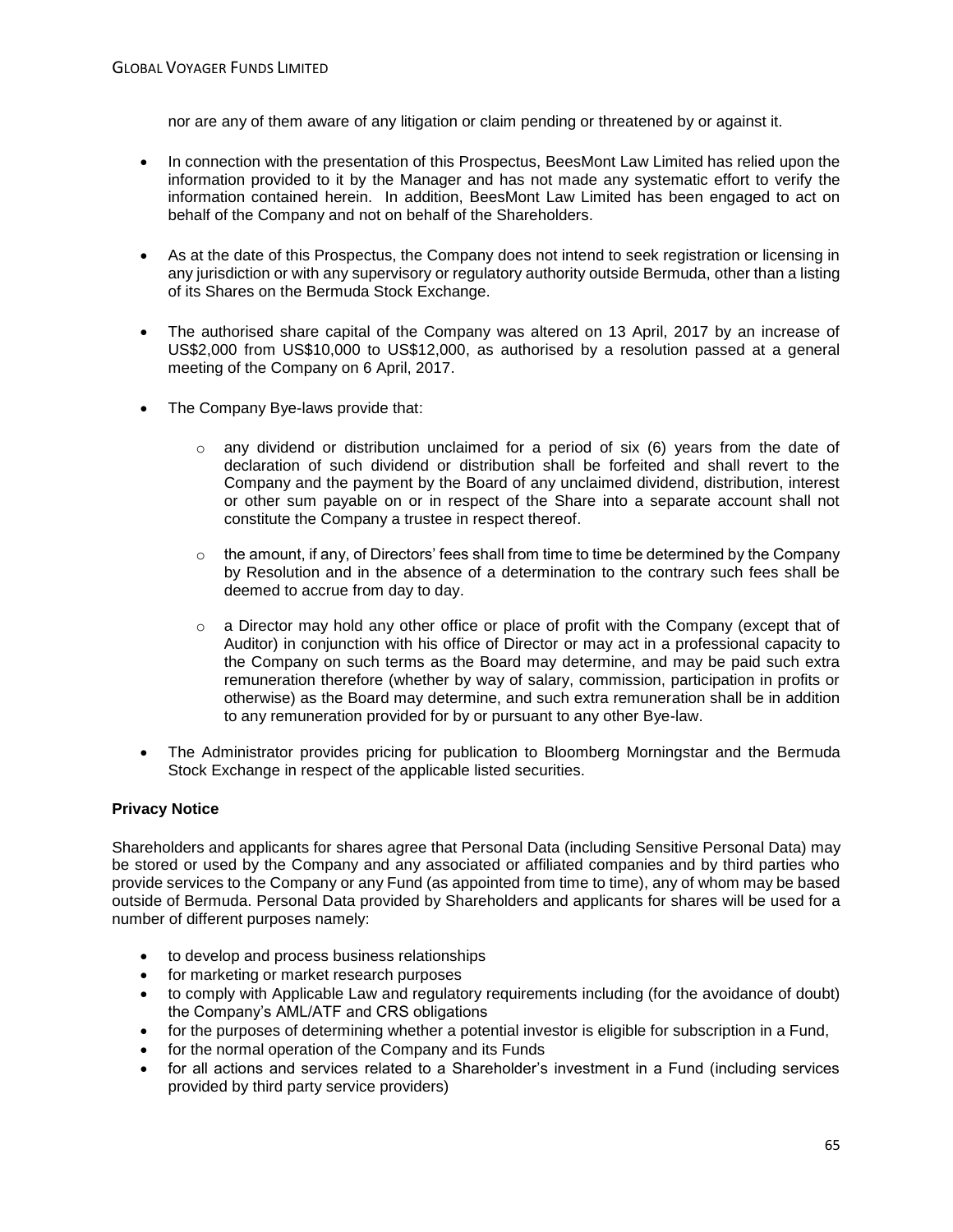nor are any of them aware of any litigation or claim pending or threatened by or against it.

- In connection with the presentation of this Prospectus, BeesMont Law Limited has relied upon the information provided to it by the Manager and has not made any systematic effort to verify the information contained herein. In addition, BeesMont Law Limited has been engaged to act on behalf of the Company and not on behalf of the Shareholders.
- As at the date of this Prospectus, the Company does not intend to seek registration or licensing in any jurisdiction or with any supervisory or regulatory authority outside Bermuda, other than a listing of its Shares on the Bermuda Stock Exchange.
- The authorised share capital of the Company was altered on 13 April, 2017 by an increase of US\$2,000 from US\$10,000 to US\$12,000, as authorised by a resolution passed at a general meeting of the Company on 6 April, 2017.
- The Company Bye-laws provide that:
	- $\circ$  any dividend or distribution unclaimed for a period of six (6) years from the date of declaration of such dividend or distribution shall be forfeited and shall revert to the Company and the payment by the Board of any unclaimed dividend, distribution, interest or other sum payable on or in respect of the Share into a separate account shall not constitute the Company a trustee in respect thereof.
	- $\circ$  the amount, if any, of Directors' fees shall from time to time be determined by the Company by Resolution and in the absence of a determination to the contrary such fees shall be deemed to accrue from day to day.
	- $\circ$  a Director may hold any other office or place of profit with the Company (except that of Auditor) in conjunction with his office of Director or may act in a professional capacity to the Company on such terms as the Board may determine, and may be paid such extra remuneration therefore (whether by way of salary, commission, participation in profits or otherwise) as the Board may determine, and such extra remuneration shall be in addition to any remuneration provided for by or pursuant to any other Bye-law.
- The Administrator provides pricing for publication to Bloomberg Morningstar and the Bermuda Stock Exchange in respect of the applicable listed securities.

# **Privacy Notice**

Shareholders and applicants for shares agree that Personal Data (including Sensitive Personal Data) may be stored or used by the Company and any associated or affiliated companies and by third parties who provide services to the Company or any Fund (as appointed from time to time), any of whom may be based outside of Bermuda. Personal Data provided by Shareholders and applicants for shares will be used for a number of different purposes namely:

- to develop and process business relationships
- for marketing or market research purposes
- to comply with Applicable Law and regulatory requirements including (for the avoidance of doubt) the Company's AML/ATF and CRS obligations
- for the purposes of determining whether a potential investor is eligible for subscription in a Fund,
- for the normal operation of the Company and its Funds
- for all actions and services related to a Shareholder's investment in a Fund (including services provided by third party service providers)